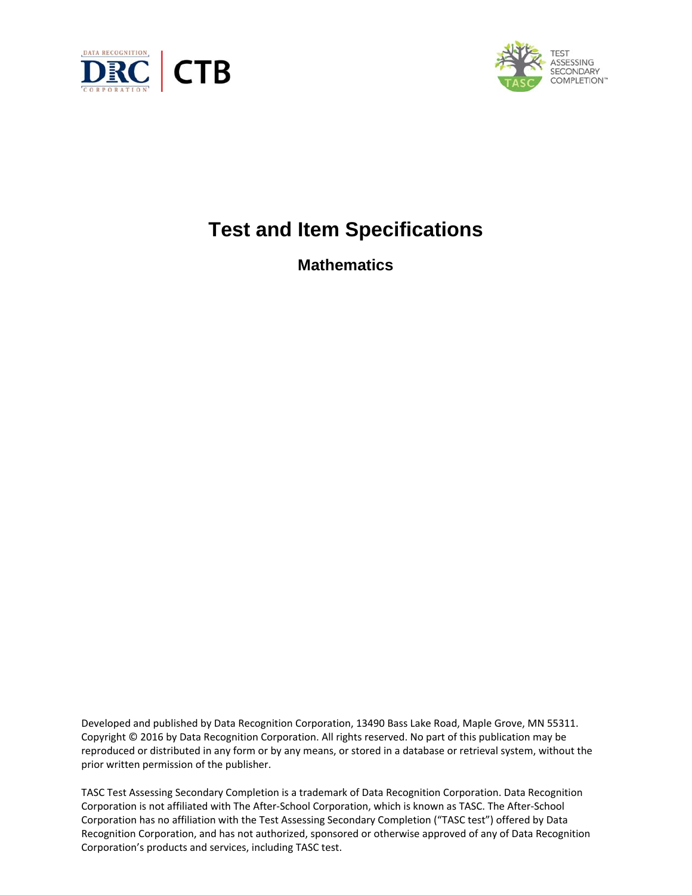



# **Test and Item Specifications**

**Mathematics** 

Developed and published by Data Recognition Corporation, 13490 Bass Lake Road, Maple Grove, MN 55311. Copyright © 2016 by Data Recognition Corporation. All rights reserved. No part of this publication may be reproduced or distributed in any form or by any means, or stored in a database or retrieval system, without the prior written permission of the publisher.

TASC Test Assessing Secondary Completion is a trademark of Data Recognition Corporation. Data Recognition Corporation is not affiliated with The After-School Corporation, which is known as TASC. The After-School Corporation has no affiliation with the Test Assessing Secondary Completion ("TASC test") offered by Data Recognition Corporation, and has not authorized, sponsored or otherwise approved of any of Data Recognition Corporation's products and services, including TASC test.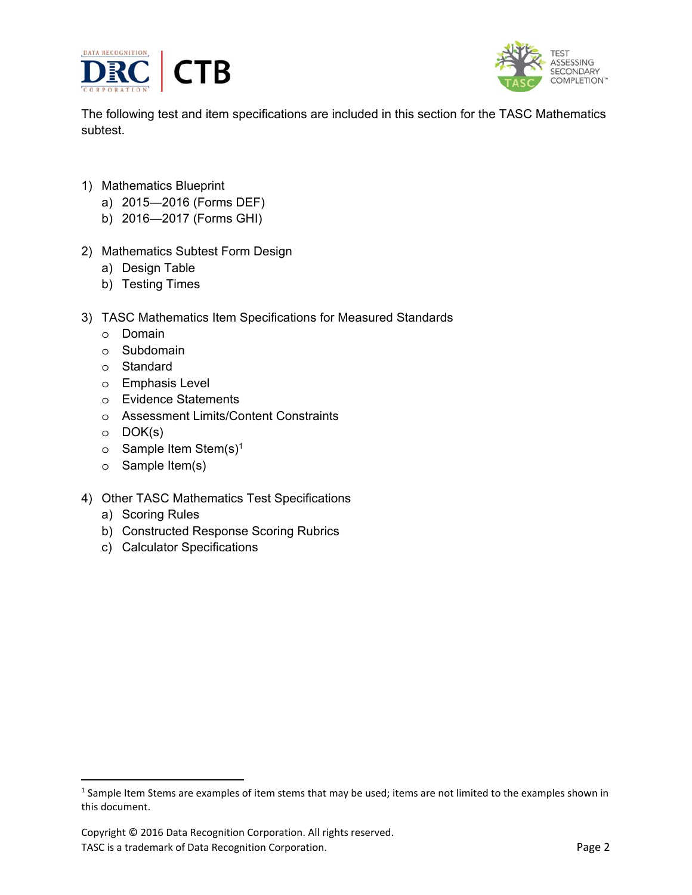



The following test and item specifications are included in this section for the TASC Mathematics subtest.

- 1) Mathematics Blueprint
	- a) 2015—2016 (Forms DEF)
	- b) 2016—2017 (Forms GHI)
- 2) Mathematics Subtest Form Design
	- a) Design Table
	- b) Testing Times
- 3) TASC Mathematics Item Specifications for Measured Standards
	- o Domain
	- o Subdomain
	- o Standard
	- o Emphasis Level
	- o Evidence Statements
	- o Assessment Limits/Content Constraints
	- o DOK(s)

 $\overline{a}$ 

- $\circ$  Sample Item Stem(s)<sup>1</sup>
- o Sample Item(s)
- 4) Other TASC Mathematics Test Specifications
	- a) Scoring Rules
	- b) Constructed Response Scoring Rubrics
	- c) Calculator Specifications

 $<sup>1</sup>$  Sample Item Stems are examples of item stems that may be used; items are not limited to the examples shown in</sup> this document.

Copyright © 2016 Data Recognition Corporation. All rights reserved. TASC is a trademark of Data Recognition Corporation. The extra set of the Page 2 and 2 and 2 and 2 and 2 and 2 and 2 and 2 and 2 and 2 and 2 and 2 and 2 and 2 and 2 and 2 and 2 and 2 and 2 and 2 and 2 and 2 and 2 and 2 and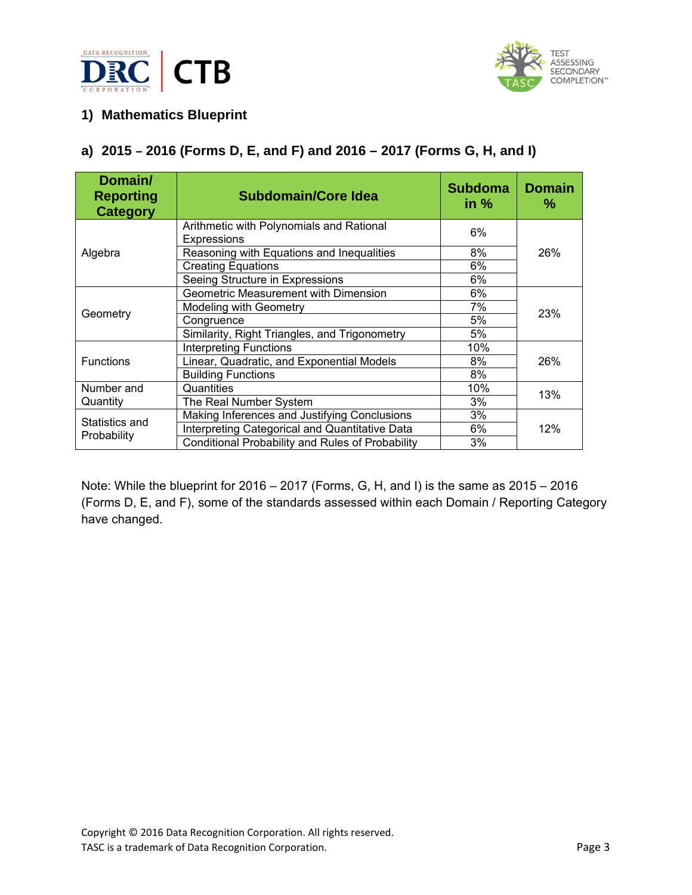



## **1) Mathematics Blueprint**

## **a) 2015 – 2016 (Forms D, E, and F) and 2016 – 2017 (Forms G, H, and I)**

| Domain/<br><b>Reporting</b><br><b>Category</b> | <b>Subdomain/Core Idea</b>                              | <b>Subdoma</b><br>in $%$ | <b>Domain</b><br>℅ |
|------------------------------------------------|---------------------------------------------------------|--------------------------|--------------------|
|                                                | Arithmetic with Polynomials and Rational<br>Expressions | 6%                       |                    |
| Algebra                                        | Reasoning with Equations and Inequalities               | 8%                       | 26%                |
|                                                | <b>Creating Equations</b>                               | 6%                       |                    |
|                                                | Seeing Structure in Expressions                         | 6%                       |                    |
|                                                | Geometric Measurement with Dimension                    | 6%                       |                    |
|                                                | <b>Modeling with Geometry</b>                           | 7%                       | 23%                |
| Geometry                                       | Congruence                                              | 5%                       |                    |
|                                                | Similarity, Right Triangles, and Trigonometry           | 5%                       |                    |
|                                                | <b>Interpreting Functions</b>                           | 10%                      |                    |
| <b>Functions</b>                               | Linear, Quadratic, and Exponential Models               | 8%                       | 26%                |
|                                                | <b>Building Functions</b>                               | 8%                       |                    |
| Number and                                     | Quantities                                              | 10%                      | 13%                |
| Quantity                                       | The Real Number System                                  | 3%                       |                    |
| Statistics and<br>Probability                  | Making Inferences and Justifying Conclusions            | 3%                       |                    |
|                                                | Interpreting Categorical and Quantitative Data          | 6%                       | 12%                |
|                                                | Conditional Probability and Rules of Probability        | 3%                       |                    |

Note: While the blueprint for 2016 – 2017 (Forms, G, H, and I) is the same as 2015 – 2016 (Forms D, E, and F), some of the standards assessed within each Domain / Reporting Category have changed.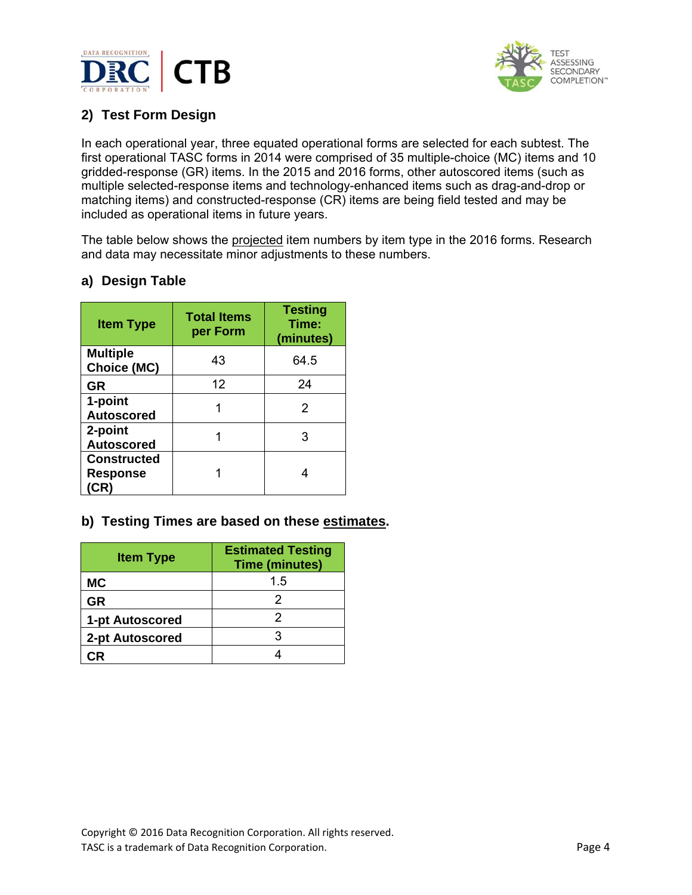



## **2) Test Form Design**

In each operational year, three equated operational forms are selected for each subtest. The first operational TASC forms in 2014 were comprised of 35 multiple-choice (MC) items and 10 gridded-response (GR) items. In the 2015 and 2016 forms, other autoscored items (such as multiple selected-response items and technology-enhanced items such as drag-and-drop or matching items) and constructed-response (CR) items are being field tested and may be included as operational items in future years.

The table below shows the projected item numbers by item type in the 2016 forms. Research and data may necessitate minor adjustments to these numbers.

#### **Item Type Total Items per Form Testing Time: (minutes) Multiple Choice (MC)** 43 64.5 **GR** 12 24 **1-point Autoscored** 1 2 **2-point Autoscored** 1 3 **Constructed Response (CR)**  1 4

## **a) Design Table**

## **b) Testing Times are based on these estimates.**

| <b>Item Type</b> | <b>Estimated Testing</b><br><b>Time (minutes)</b> |
|------------------|---------------------------------------------------|
| <b>MC</b>        | 1.5                                               |
| GR               | 2                                                 |
| 1-pt Autoscored  |                                                   |
| 2-pt Autoscored  |                                                   |
|                  |                                                   |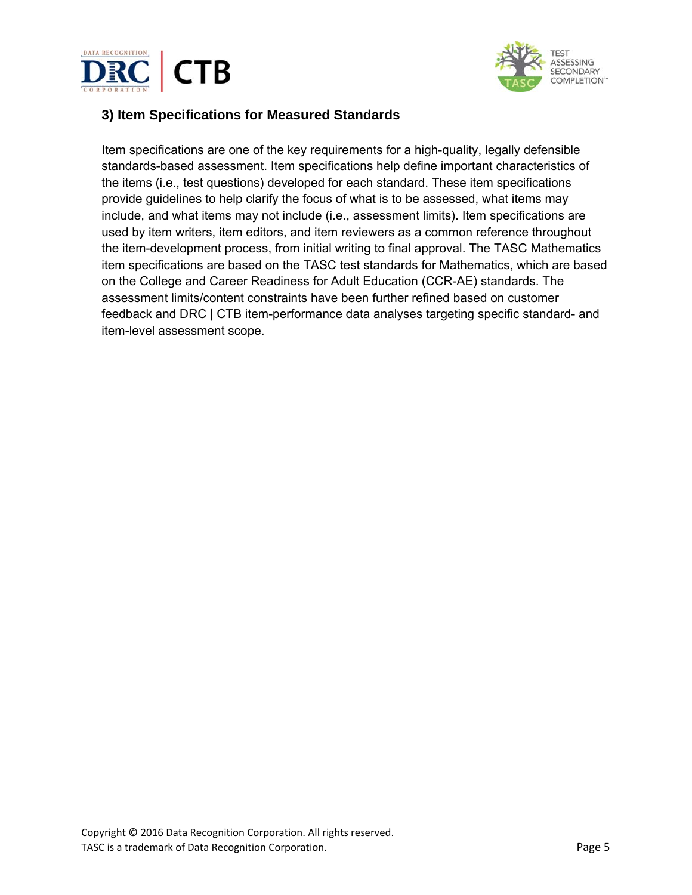



## **3) Item Specifications for Measured Standards**

Item specifications are one of the key requirements for a high-quality, legally defensible standards-based assessment. Item specifications help define important characteristics of the items (i.e., test questions) developed for each standard. These item specifications provide guidelines to help clarify the focus of what is to be assessed, what items may include, and what items may not include (i.e., assessment limits). Item specifications are used by item writers, item editors, and item reviewers as a common reference throughout the item-development process, from initial writing to final approval. The TASC Mathematics item specifications are based on the TASC test standards for Mathematics, which are based on the College and Career Readiness for Adult Education (CCR-AE) standards. The assessment limits/content constraints have been further refined based on customer feedback and DRC | CTB item-performance data analyses targeting specific standard- and item-level assessment scope.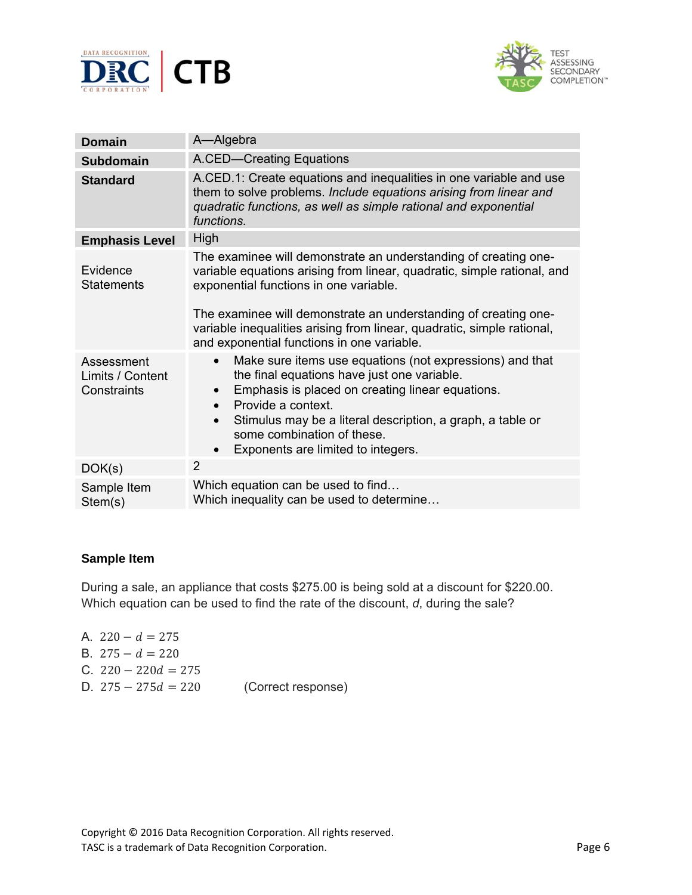



| <b>Domain</b>                                 | A-Algebra                                                                                                                                                                                                                                                                                                                                                                       |
|-----------------------------------------------|---------------------------------------------------------------------------------------------------------------------------------------------------------------------------------------------------------------------------------------------------------------------------------------------------------------------------------------------------------------------------------|
| <b>Subdomain</b>                              | A.CED-Creating Equations                                                                                                                                                                                                                                                                                                                                                        |
| <b>Standard</b>                               | A.CED.1: Create equations and inequalities in one variable and use<br>them to solve problems. Include equations arising from linear and<br>quadratic functions, as well as simple rational and exponential<br>functions.                                                                                                                                                        |
| <b>Emphasis Level</b>                         | High                                                                                                                                                                                                                                                                                                                                                                            |
| Evidence<br><b>Statements</b>                 | The examinee will demonstrate an understanding of creating one-<br>variable equations arising from linear, quadratic, simple rational, and<br>exponential functions in one variable.<br>The examinee will demonstrate an understanding of creating one-<br>variable inequalities arising from linear, quadratic, simple rational,<br>and exponential functions in one variable. |
| Assessment<br>Limits / Content<br>Constraints | Make sure items use equations (not expressions) and that<br>$\bullet$<br>the final equations have just one variable.<br>Emphasis is placed on creating linear equations.<br>Provide a context.<br>$\bullet$<br>Stimulus may be a literal description, a graph, a table or<br>some combination of these.<br>Exponents are limited to integers.<br>$\bullet$                      |
| DOK(s)                                        | 2                                                                                                                                                                                                                                                                                                                                                                               |
| Sample Item<br>Stem(s)                        | Which equation can be used to find<br>Which inequality can be used to determine                                                                                                                                                                                                                                                                                                 |

During a sale, an appliance that costs \$275.00 is being sold at a discount for \$220.00. Which equation can be used to find the rate of the discount, *d*, during the sale?

| A. $220 - d = 275$    |                    |
|-----------------------|--------------------|
| B. $275 - d = 220$    |                    |
| C. $220 - 220d = 275$ |                    |
| D. $275 - 275d = 220$ | (Correct response) |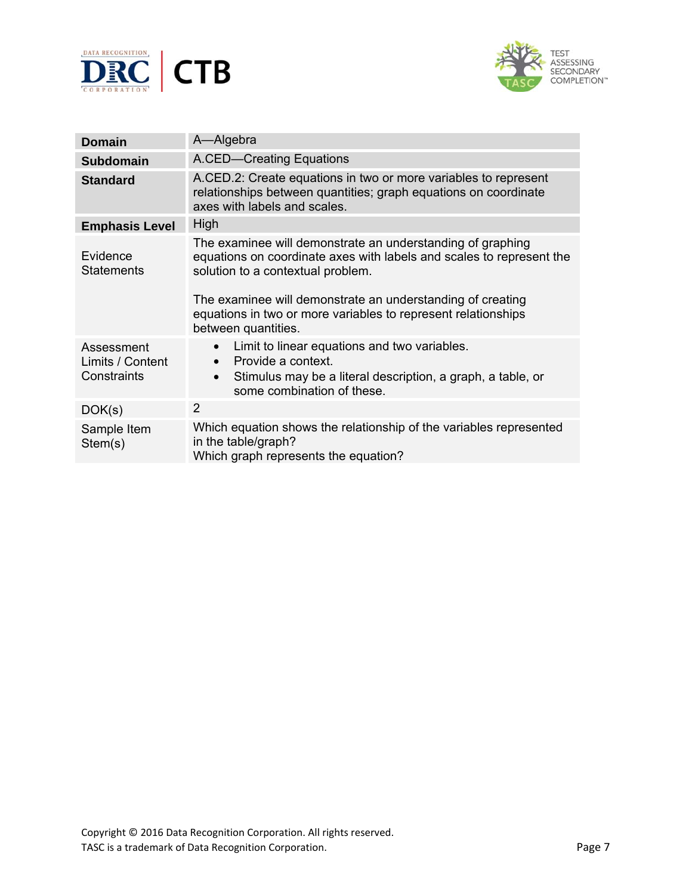



| <b>Domain</b>                                 | A-Algebra                                                                                                                                                                                                                                                                                                                     |
|-----------------------------------------------|-------------------------------------------------------------------------------------------------------------------------------------------------------------------------------------------------------------------------------------------------------------------------------------------------------------------------------|
| <b>Subdomain</b>                              | A.CED-Creating Equations                                                                                                                                                                                                                                                                                                      |
| <b>Standard</b>                               | A.CED.2: Create equations in two or more variables to represent<br>relationships between quantities; graph equations on coordinate<br>axes with labels and scales.                                                                                                                                                            |
| <b>Emphasis Level</b>                         | High                                                                                                                                                                                                                                                                                                                          |
| Evidence<br><b>Statements</b>                 | The examinee will demonstrate an understanding of graphing<br>equations on coordinate axes with labels and scales to represent the<br>solution to a contextual problem.<br>The examinee will demonstrate an understanding of creating<br>equations in two or more variables to represent relationships<br>between quantities. |
| Assessment<br>Limits / Content<br>Constraints | Limit to linear equations and two variables.<br>Provide a context.<br>Stimulus may be a literal description, a graph, a table, or<br>$\bullet$<br>some combination of these.                                                                                                                                                  |
| DOK(s)                                        | 2                                                                                                                                                                                                                                                                                                                             |
| Sample Item<br>Stem(s)                        | Which equation shows the relationship of the variables represented<br>in the table/graph?<br>Which graph represents the equation?                                                                                                                                                                                             |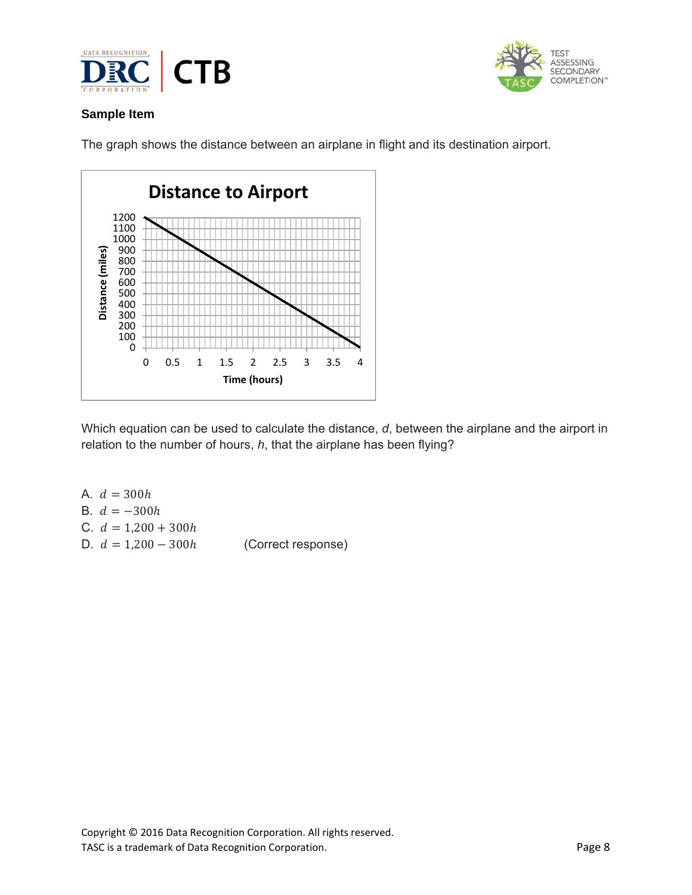



The graph shows the distance between an airplane in flight and its destination airport.



Which equation can be used to calculate the distance, *d*, between the airplane and the airport in relation to the number of hours, *h*, that the airplane has been flying?

| C. $d = 1,200 + 300h$                       |
|---------------------------------------------|
| (Correct response)<br>D. $d = 1,200 - 300h$ |
|                                             |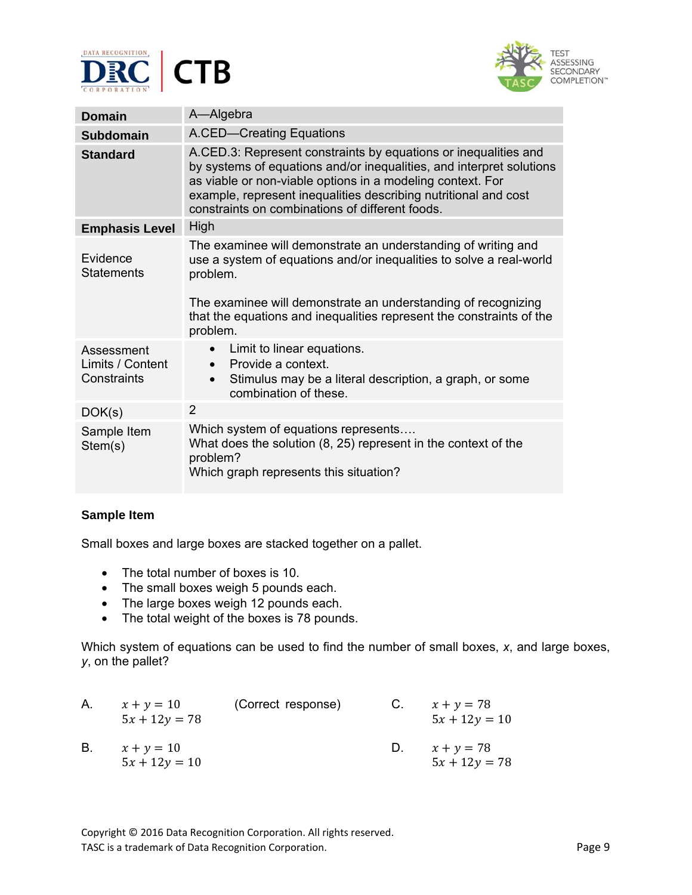



| <b>Domain</b>                                 | A-Algebra                                                                                                                                                                                                                                                                                                                   |  |
|-----------------------------------------------|-----------------------------------------------------------------------------------------------------------------------------------------------------------------------------------------------------------------------------------------------------------------------------------------------------------------------------|--|
| Subdomain                                     | A.CED-Creating Equations                                                                                                                                                                                                                                                                                                    |  |
| <b>Standard</b>                               | A.CED.3: Represent constraints by equations or inequalities and<br>by systems of equations and/or inequalities, and interpret solutions<br>as viable or non-viable options in a modeling context. For<br>example, represent inequalities describing nutritional and cost<br>constraints on combinations of different foods. |  |
| <b>Emphasis Level</b>                         | High                                                                                                                                                                                                                                                                                                                        |  |
| Evidence<br><b>Statements</b>                 | The examinee will demonstrate an understanding of writing and<br>use a system of equations and/or inequalities to solve a real-world<br>problem.<br>The examinee will demonstrate an understanding of recognizing<br>that the equations and inequalities represent the constraints of the<br>problem.                       |  |
| Assessment<br>Limits / Content<br>Constraints | Limit to linear equations.<br>$\bullet$<br>$\bullet$ Provide a context.<br>Stimulus may be a literal description, a graph, or some<br>$\bullet$<br>combination of these.                                                                                                                                                    |  |
| DOK(s)                                        | $\overline{2}$                                                                                                                                                                                                                                                                                                              |  |
| Sample Item<br>Stem(s)                        | Which system of equations represents<br>What does the solution (8, 25) represent in the context of the<br>problem?<br>Which graph represents this situation?                                                                                                                                                                |  |

Small boxes and large boxes are stacked together on a pallet.

- The total number of boxes is 10.
- The small boxes weigh 5 pounds each.
- The large boxes weigh 12 pounds each.
- The total weight of the boxes is 78 pounds.

Which system of equations can be used to find the number of small boxes, *x*, and large boxes, *y*, on the pallet?

| Α. | $x + y = 10$<br>$5x + 12y = 78$ | (Correct response) | C. | $x + y = 78$<br>$5x + 12y = 10$ |
|----|---------------------------------|--------------------|----|---------------------------------|
| В. | $x + y = 10$<br>$5x + 12y = 10$ |                    | D. | $x + y = 78$<br>$5x + 12y = 78$ |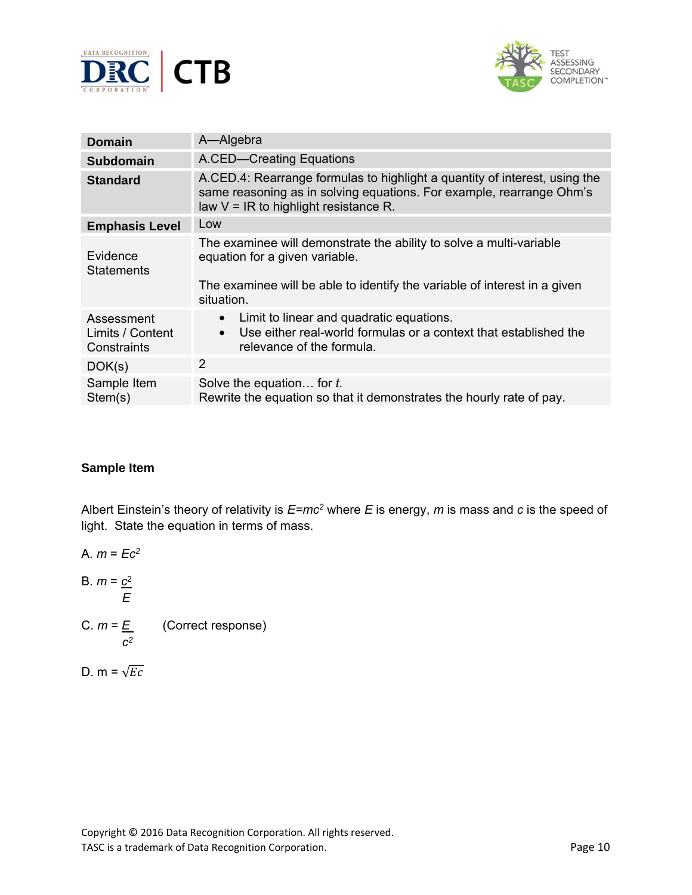



| <b>Domain</b>                                 | A-Algebra                                                                                                                                                                                        |
|-----------------------------------------------|--------------------------------------------------------------------------------------------------------------------------------------------------------------------------------------------------|
| <b>Subdomain</b>                              | A.CED-Creating Equations                                                                                                                                                                         |
| <b>Standard</b>                               | A.CED.4: Rearrange formulas to highlight a quantity of interest, using the<br>same reasoning as in solving equations. For example, rearrange Ohm's<br>law $V = IR$ to highlight resistance R.    |
| <b>Emphasis Level</b>                         | Low                                                                                                                                                                                              |
| Evidence<br><b>Statements</b>                 | The examinee will demonstrate the ability to solve a multi-variable<br>equation for a given variable.<br>The examinee will be able to identify the variable of interest in a given<br>situation. |
| Assessment<br>Limits / Content<br>Constraints | Limit to linear and quadratic equations.<br>$\bullet$<br>Use either real-world formulas or a context that established the<br>$\bullet$<br>relevance of the formula.                              |
| DOK(s)                                        | $\overline{2}$                                                                                                                                                                                   |
| Sample Item<br>Stem(s)                        | Solve the equation for t.<br>Rewrite the equation so that it demonstrates the hourly rate of pay.                                                                                                |

Albert Einstein's theory of relativity is *E=mc2* where *E* is energy, *m* is mass and *c* is the speed of light. State the equation in terms of mass.

A. *m* = *Ec2* B. *m* = *c*<sup>2</sup> *E* C. *m* = *E* (Correct response) *c2* D.  $m = \sqrt{Ec}$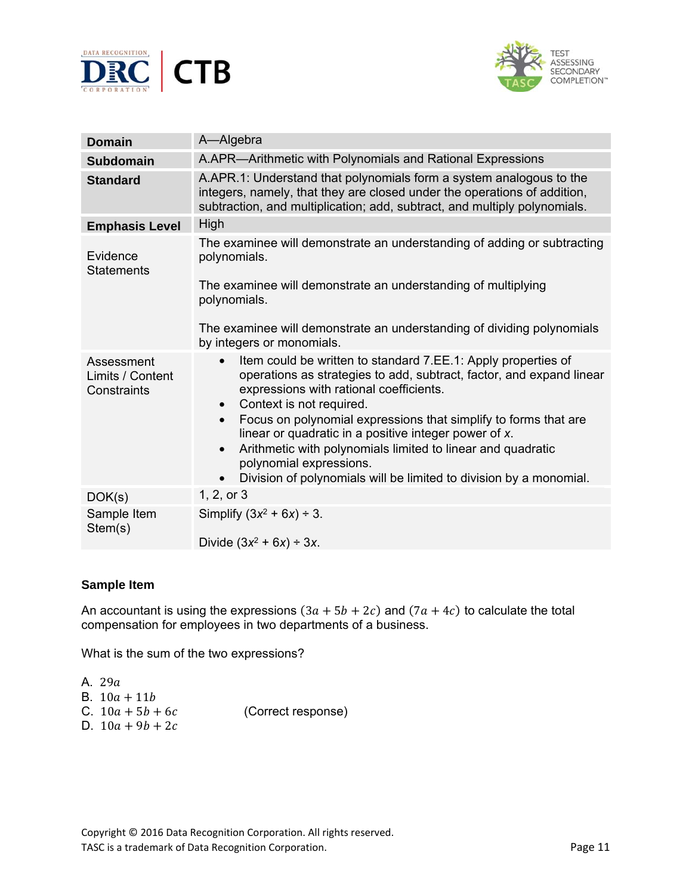



| <b>Domain</b>                                 | A-Algebra                                                                                                                                                                                                                                    |
|-----------------------------------------------|----------------------------------------------------------------------------------------------------------------------------------------------------------------------------------------------------------------------------------------------|
| <b>Subdomain</b>                              | A.APR—Arithmetic with Polynomials and Rational Expressions                                                                                                                                                                                   |
| <b>Standard</b>                               | A.APR.1: Understand that polynomials form a system analogous to the<br>integers, namely, that they are closed under the operations of addition,<br>subtraction, and multiplication; add, subtract, and multiply polynomials.                 |
| <b>Emphasis Level</b>                         | High                                                                                                                                                                                                                                         |
| Evidence<br><b>Statements</b>                 | The examinee will demonstrate an understanding of adding or subtracting<br>polynomials.<br>The examinee will demonstrate an understanding of multiplying                                                                                     |
|                                               | polynomials.                                                                                                                                                                                                                                 |
|                                               | The examinee will demonstrate an understanding of dividing polynomials<br>by integers or monomials.                                                                                                                                          |
| Assessment<br>Limits / Content<br>Constraints | Item could be written to standard 7.EE.1: Apply properties of<br>$\bullet$<br>operations as strategies to add, subtract, factor, and expand linear<br>expressions with rational coefficients.<br>Context is not required.<br>$\bullet$       |
|                                               | Focus on polynomial expressions that simplify to forms that are<br>$\bullet$<br>linear or quadratic in a positive integer power of x.<br>Arithmetic with polynomials limited to linear and quadratic<br>$\bullet$<br>polynomial expressions. |
|                                               | Division of polynomials will be limited to division by a monomial.                                                                                                                                                                           |
| DOK(s)                                        | 1, 2, or 3                                                                                                                                                                                                                                   |
| Sample Item<br>Stem(s)                        | Simplify $(3x^2 + 6x) \div 3$ .                                                                                                                                                                                                              |
|                                               | Divide $(3x^2 + 6x) \div 3x$ .                                                                                                                                                                                                               |

An accountant is using the expressions  $(3a + 5b + 2c)$  and  $(7a + 4c)$  to calculate the total compensation for employees in two departments of a business.

What is the sum of the two expressions?

A. 29a B.  $10a + 11b$ C.  $10a + 5b + 6c$  (Correct response) D.  $10a + 9b + 2c$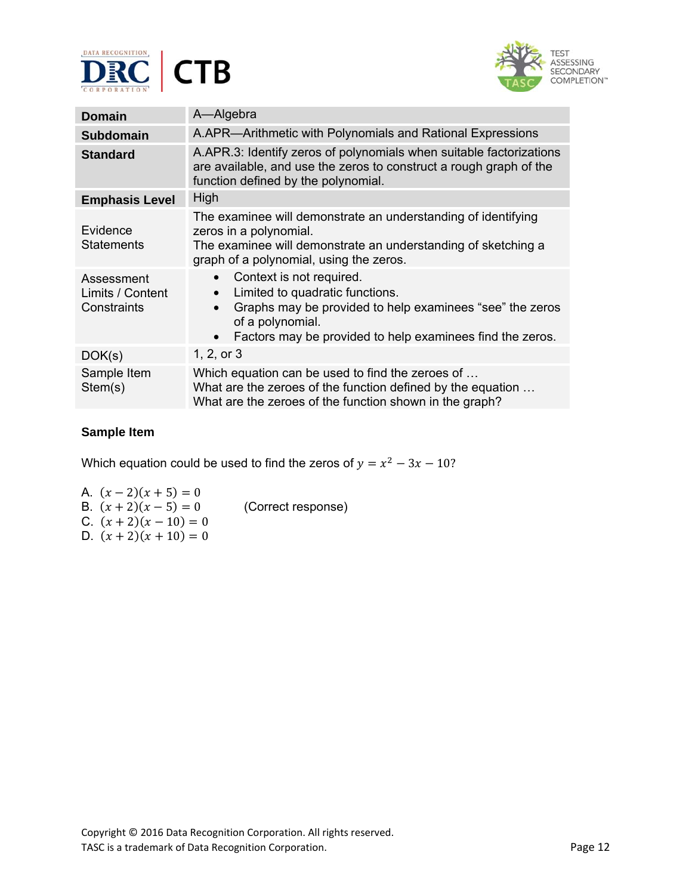



| <b>Domain</b>                                 | A-Algebra                                                                                                                                                                                                                          |  |
|-----------------------------------------------|------------------------------------------------------------------------------------------------------------------------------------------------------------------------------------------------------------------------------------|--|
| <b>Subdomain</b>                              | A.APR-Arithmetic with Polynomials and Rational Expressions                                                                                                                                                                         |  |
| <b>Standard</b>                               | A.APR.3: Identify zeros of polynomials when suitable factorizations<br>are available, and use the zeros to construct a rough graph of the<br>function defined by the polynomial.                                                   |  |
| <b>Emphasis Level</b>                         | High                                                                                                                                                                                                                               |  |
| Evidence<br><b>Statements</b>                 | The examinee will demonstrate an understanding of identifying<br>zeros in a polynomial.<br>The examinee will demonstrate an understanding of sketching a<br>graph of a polynomial, using the zeros.                                |  |
| Assessment<br>Limits / Content<br>Constraints | Context is not required.<br>$\bullet$<br>Limited to quadratic functions.<br>$\bullet$<br>Graphs may be provided to help examinees "see" the zeros<br>of a polynomial.<br>Factors may be provided to help examinees find the zeros. |  |
| DOK(s)                                        | 1, 2, or $3$                                                                                                                                                                                                                       |  |
| Sample Item<br>Stem(s)                        | Which equation can be used to find the zeroes of<br>What are the zeroes of the function defined by the equation<br>What are the zeroes of the function shown in the graph?                                                         |  |

Which equation could be used to find the zeros of  $y = x^2 - 3x - 10$ ?

A.  $(x - 2)(x + 5) = 0$ B.  $(x+2)(x-5) = 0$  (Correct response)

C.  $(x + 2)(x - 10) = 0$ D.  $(x + 2)(x + 10) = 0$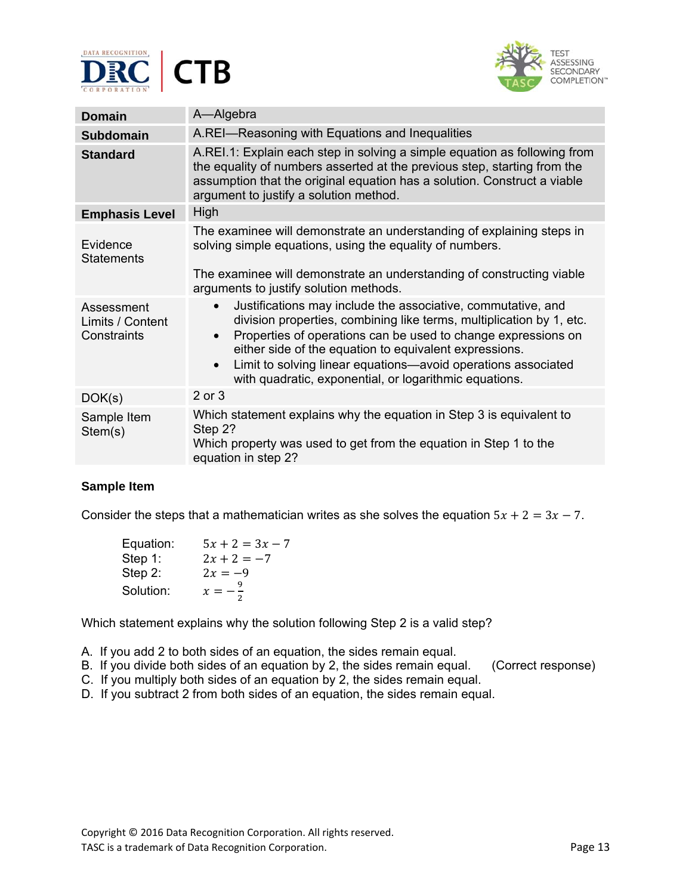



| <b>Domain</b>                                 | A-Algebra                                                                                                                                                                                                                                                                                                                                                                                                                         |
|-----------------------------------------------|-----------------------------------------------------------------------------------------------------------------------------------------------------------------------------------------------------------------------------------------------------------------------------------------------------------------------------------------------------------------------------------------------------------------------------------|
| <b>Subdomain</b>                              | A.REI-Reasoning with Equations and Inequalities                                                                                                                                                                                                                                                                                                                                                                                   |
| <b>Standard</b>                               | A.REI.1: Explain each step in solving a simple equation as following from<br>the equality of numbers asserted at the previous step, starting from the<br>assumption that the original equation has a solution. Construct a viable<br>argument to justify a solution method.                                                                                                                                                       |
| <b>Emphasis Level</b>                         | High                                                                                                                                                                                                                                                                                                                                                                                                                              |
| Evidence<br><b>Statements</b>                 | The examinee will demonstrate an understanding of explaining steps in<br>solving simple equations, using the equality of numbers.<br>The examinee will demonstrate an understanding of constructing viable<br>arguments to justify solution methods.                                                                                                                                                                              |
| Assessment<br>Limits / Content<br>Constraints | Justifications may include the associative, commutative, and<br>$\bullet$<br>division properties, combining like terms, multiplication by 1, etc.<br>Properties of operations can be used to change expressions on<br>$\bullet$<br>either side of the equation to equivalent expressions.<br>Limit to solving linear equations—avoid operations associated<br>$\bullet$<br>with quadratic, exponential, or logarithmic equations. |
| DOK(s)                                        | 2 or 3                                                                                                                                                                                                                                                                                                                                                                                                                            |
| Sample Item<br>Stem(s)                        | Which statement explains why the equation in Step 3 is equivalent to<br>Step 2?<br>Which property was used to get from the equation in Step 1 to the<br>equation in step 2?                                                                                                                                                                                                                                                       |

Consider the steps that a mathematician writes as she solves the equation  $5x + 2 = 3x - 7$ .

| Equation:  | $5x + 2 = 3x - 7$  |
|------------|--------------------|
| Step 1:    | $2x + 2 = -7$      |
| Step $2$ : | $2x = -9$          |
| Solution:  | $x = -\frac{9}{x}$ |

Which statement explains why the solution following Step 2 is a valid step?

- A. If you add 2 to both sides of an equation, the sides remain equal.
- B.If you divide both sides of an equation by 2, the sides remain equal.(Correct response)
- C. If you multiply both sides of an equation by 2, the sides remain equal.
- D. If you subtract 2 from both sides of an equation, the sides remain equal.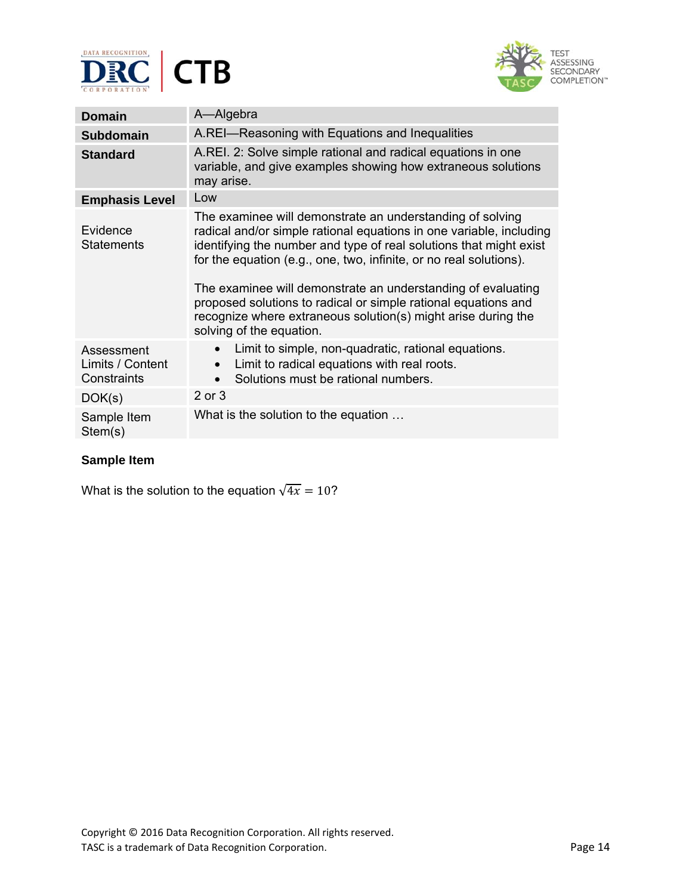



| <b>Domain</b>                                 | A-Algebra                                                                                                                                                                                                                                                                                                                                                                                                                                                                                                   |
|-----------------------------------------------|-------------------------------------------------------------------------------------------------------------------------------------------------------------------------------------------------------------------------------------------------------------------------------------------------------------------------------------------------------------------------------------------------------------------------------------------------------------------------------------------------------------|
| <b>Subdomain</b>                              | A.REI-Reasoning with Equations and Inequalities                                                                                                                                                                                                                                                                                                                                                                                                                                                             |
| <b>Standard</b>                               | A.REI. 2: Solve simple rational and radical equations in one<br>variable, and give examples showing how extraneous solutions<br>may arise.                                                                                                                                                                                                                                                                                                                                                                  |
| <b>Emphasis Level</b>                         | Low                                                                                                                                                                                                                                                                                                                                                                                                                                                                                                         |
| Evidence<br><b>Statements</b>                 | The examinee will demonstrate an understanding of solving<br>radical and/or simple rational equations in one variable, including<br>identifying the number and type of real solutions that might exist<br>for the equation (e.g., one, two, infinite, or no real solutions).<br>The examinee will demonstrate an understanding of evaluating<br>proposed solutions to radical or simple rational equations and<br>recognize where extraneous solution(s) might arise during the<br>solving of the equation. |
| Assessment<br>Limits / Content<br>Constraints | Limit to simple, non-quadratic, rational equations.<br>$\bullet$<br>Limit to radical equations with real roots.<br>$\bullet$<br>Solutions must be rational numbers.<br>$\bullet$                                                                                                                                                                                                                                                                                                                            |
| DOK(s)                                        | 2 or 3                                                                                                                                                                                                                                                                                                                                                                                                                                                                                                      |
| Sample Item<br>Stem(s)                        | What is the solution to the equation                                                                                                                                                                                                                                                                                                                                                                                                                                                                        |

What is the solution to the equation  $\sqrt{4x} = 10$ ?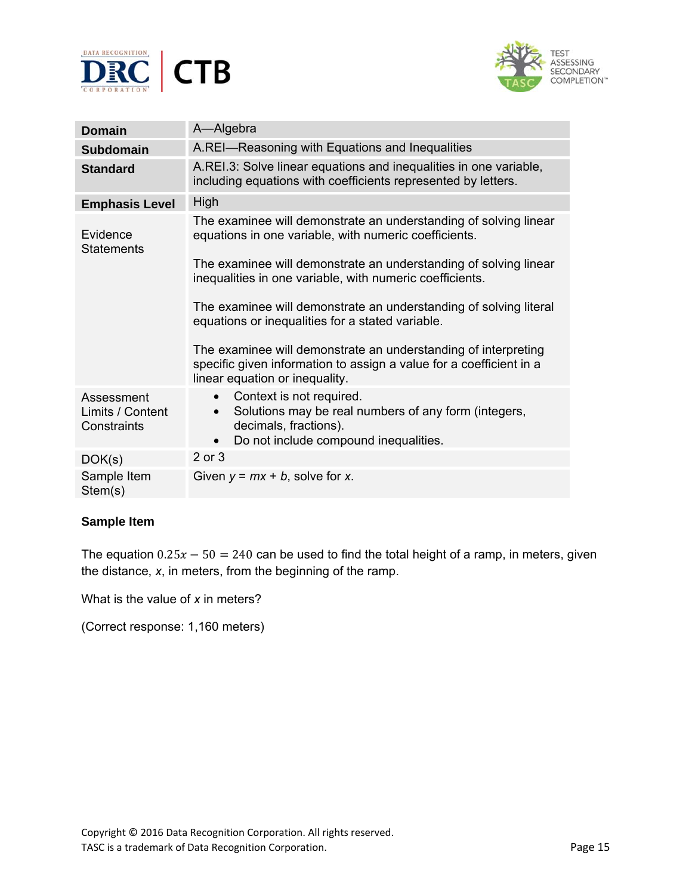



| <b>Domain</b>                                 | A-Algebra                                                                                                                                                                                                                                                                                                                                                                                                                                                                                                                   |
|-----------------------------------------------|-----------------------------------------------------------------------------------------------------------------------------------------------------------------------------------------------------------------------------------------------------------------------------------------------------------------------------------------------------------------------------------------------------------------------------------------------------------------------------------------------------------------------------|
| <b>Subdomain</b>                              | A.REI-Reasoning with Equations and Inequalities                                                                                                                                                                                                                                                                                                                                                                                                                                                                             |
| <b>Standard</b>                               | A.REI.3: Solve linear equations and inequalities in one variable,<br>including equations with coefficients represented by letters.                                                                                                                                                                                                                                                                                                                                                                                          |
| <b>Emphasis Level</b>                         | High                                                                                                                                                                                                                                                                                                                                                                                                                                                                                                                        |
| Evidence<br><b>Statements</b>                 | The examinee will demonstrate an understanding of solving linear<br>equations in one variable, with numeric coefficients.<br>The examinee will demonstrate an understanding of solving linear<br>inequalities in one variable, with numeric coefficients.<br>The examinee will demonstrate an understanding of solving literal<br>equations or inequalities for a stated variable.<br>The examinee will demonstrate an understanding of interpreting<br>specific given information to assign a value for a coefficient in a |
|                                               | linear equation or inequality.                                                                                                                                                                                                                                                                                                                                                                                                                                                                                              |
| Assessment<br>Limits / Content<br>Constraints | Context is not required.<br>Solutions may be real numbers of any form (integers,<br>decimals, fractions).<br>Do not include compound inequalities.<br>$\bullet$                                                                                                                                                                                                                                                                                                                                                             |
| DOK(s)                                        | 2 or 3                                                                                                                                                                                                                                                                                                                                                                                                                                                                                                                      |
| Sample Item<br>Stem(s)                        | Given $y = mx + b$ , solve for x.                                                                                                                                                                                                                                                                                                                                                                                                                                                                                           |

The equation  $0.25x - 50 = 240$  can be used to find the total height of a ramp, in meters, given the distance, *x*, in meters, from the beginning of the ramp.

What is the value of *x* in meters?

(Correct response: 1,160 meters)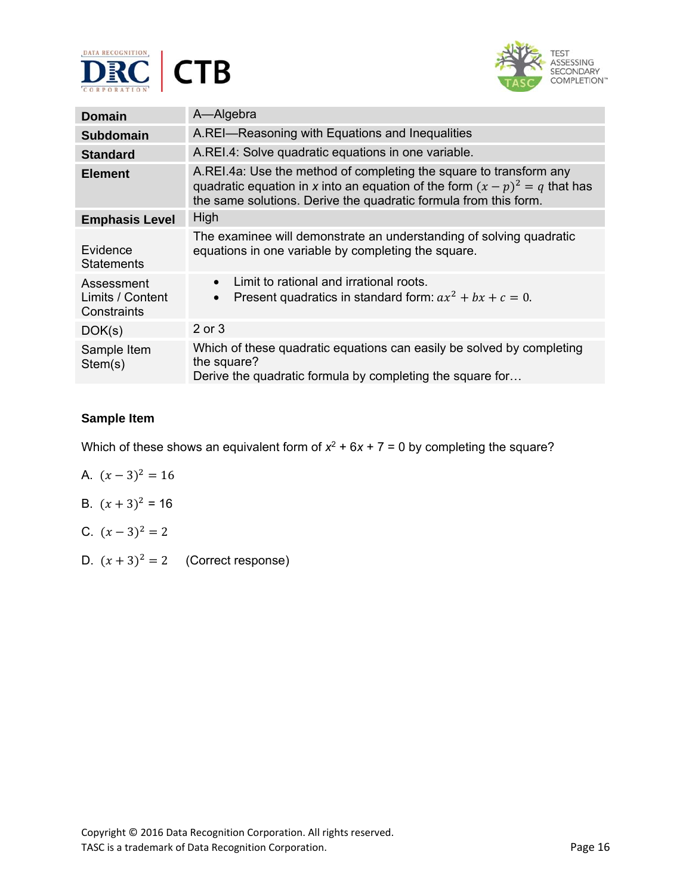



| <b>Domain</b>                                 | A-Algebra                                                                                                                                                                                                               |
|-----------------------------------------------|-------------------------------------------------------------------------------------------------------------------------------------------------------------------------------------------------------------------------|
| Subdomain                                     | A.REI-Reasoning with Equations and Inequalities                                                                                                                                                                         |
| <b>Standard</b>                               | A.REI.4: Solve quadratic equations in one variable.                                                                                                                                                                     |
| <b>Element</b>                                | A.REI.4a: Use the method of completing the square to transform any<br>quadratic equation in x into an equation of the form $(x - p)^2 = q$ that has<br>the same solutions. Derive the quadratic formula from this form. |
| <b>Emphasis Level</b>                         | High                                                                                                                                                                                                                    |
| Evidence<br><b>Statements</b>                 | The examinee will demonstrate an understanding of solving quadratic<br>equations in one variable by completing the square.                                                                                              |
| Assessment<br>Limits / Content<br>Constraints | Limit to rational and irrational roots.<br>$\bullet$<br>Present quadratics in standard form: $ax^2 + bx + c = 0$ .<br>$\bullet$                                                                                         |
| DOK(s)                                        | 2 or 3                                                                                                                                                                                                                  |
| Sample Item<br>Stem(s)                        | Which of these quadratic equations can easily be solved by completing<br>the square?<br>Derive the quadratic formula by completing the square for                                                                       |

Which of these shows an equivalent form of  $x^2 + 6x + 7 = 0$  by completing the square?

- A.  $(x-3)^2 = 16$
- B.  $(x + 3)^2 = 16$
- C.  $(x-3)^2 = 2$
- D.  $(x+3)^2 = 2$  (Correct response)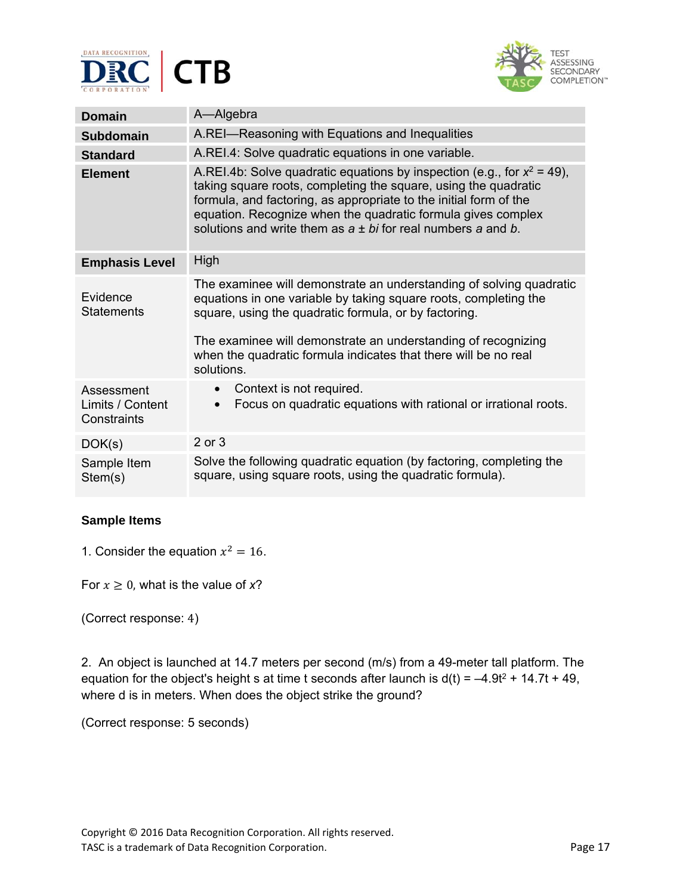



| <b>Domain</b>                                 | A-Algebra                                                                                                                                                                                                                                                                                                                                              |
|-----------------------------------------------|--------------------------------------------------------------------------------------------------------------------------------------------------------------------------------------------------------------------------------------------------------------------------------------------------------------------------------------------------------|
| <b>Subdomain</b>                              | A.REI-Reasoning with Equations and Inequalities                                                                                                                                                                                                                                                                                                        |
| <b>Standard</b>                               | A.REI.4: Solve quadratic equations in one variable.                                                                                                                                                                                                                                                                                                    |
| <b>Element</b>                                | A.REI.4b: Solve quadratic equations by inspection (e.g., for $x^2 = 49$ ),<br>taking square roots, completing the square, using the quadratic<br>formula, and factoring, as appropriate to the initial form of the<br>equation. Recognize when the quadratic formula gives complex<br>solutions and write them as $a \pm bi$ for real numbers a and b. |
| <b>Emphasis Level</b>                         | High                                                                                                                                                                                                                                                                                                                                                   |
| Evidence<br><b>Statements</b>                 | The examinee will demonstrate an understanding of solving quadratic<br>equations in one variable by taking square roots, completing the<br>square, using the quadratic formula, or by factoring.<br>The examinee will demonstrate an understanding of recognizing<br>when the quadratic formula indicates that there will be no real<br>solutions.     |
| Assessment<br>Limits / Content<br>Constraints | Context is not required.<br>$\bullet$<br>Focus on quadratic equations with rational or irrational roots.                                                                                                                                                                                                                                               |
| DOK(s)                                        | 2 or 3                                                                                                                                                                                                                                                                                                                                                 |
| Sample Item<br>Stem(s)                        | Solve the following quadratic equation (by factoring, completing the<br>square, using square roots, using the quadratic formula).                                                                                                                                                                                                                      |

1. Consider the equation  $x^2 = 16$ .

For  $x \geq 0$ , what is the value of x?

(Correct response: 4)

2. An object is launched at 14.7 meters per second (m/s) from a 49-meter tall platform. The equation for the object's height s at time t seconds after launch is  $d(t) = -4.9t^2 + 14.7t + 49$ , where d is in meters. When does the object strike the ground?

(Correct response: 5 seconds)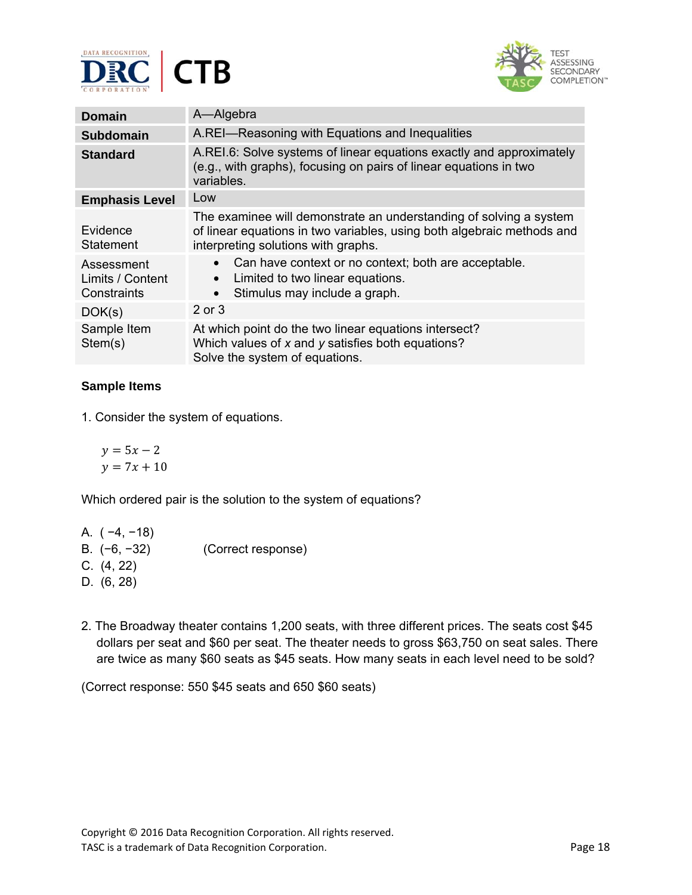



| <b>Domain</b>                                 | A-Algebra                                                                                                                                                                           |
|-----------------------------------------------|-------------------------------------------------------------------------------------------------------------------------------------------------------------------------------------|
| <b>Subdomain</b>                              | A.REI-Reasoning with Equations and Inequalities                                                                                                                                     |
| <b>Standard</b>                               | A.REI.6: Solve systems of linear equations exactly and approximately<br>(e.g., with graphs), focusing on pairs of linear equations in two<br>variables.                             |
| <b>Emphasis Level</b>                         | Low                                                                                                                                                                                 |
| Evidence<br>Statement                         | The examinee will demonstrate an understanding of solving a system<br>of linear equations in two variables, using both algebraic methods and<br>interpreting solutions with graphs. |
| Assessment<br>Limits / Content<br>Constraints | Can have context or no context; both are acceptable.<br>Limited to two linear equations.<br>$\bullet$<br>Stimulus may include a graph.<br>$\bullet$                                 |
| DOK(s)                                        | 2 or 3                                                                                                                                                                              |
| Sample Item<br>Stem(s)                        | At which point do the two linear equations intersect?<br>Which values of $x$ and $y$ satisfies both equations?<br>Solve the system of equations.                                    |

1. Consider the system of equations.

 $y = 5x - 2$  $y = 7x + 10$ 

Which ordered pair is the solution to the system of equations?

| A. (-4, -18) |  |
|--------------|--|
|              |  |

- B.(−6, −32) (Correct response)
- C. (4, 22)
- D. (6, 28)
- 2. The Broadway theater contains 1,200 seats, with three different prices. The seats cost \$45 dollars per seat and \$60 per seat. The theater needs to gross \$63,750 on seat sales. There are twice as many \$60 seats as \$45 seats. How many seats in each level need to be sold?

(Correct response: 550 \$45 seats and 650 \$60 seats)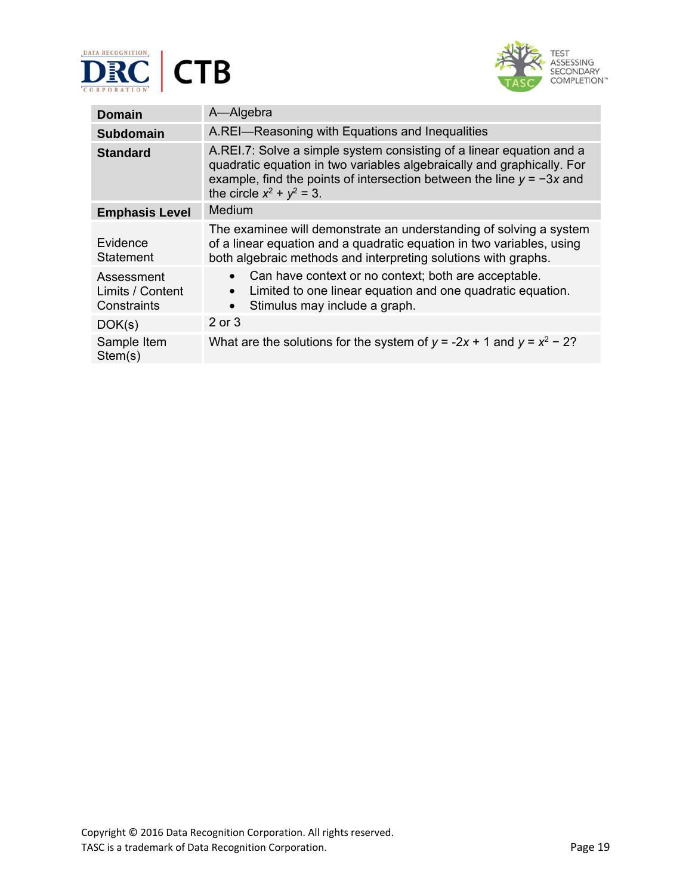



| <b>Domain</b>                                 | A-Algebra                                                                                                                                                                                                                                                 |
|-----------------------------------------------|-----------------------------------------------------------------------------------------------------------------------------------------------------------------------------------------------------------------------------------------------------------|
| <b>Subdomain</b>                              | A.REI-Reasoning with Equations and Inequalities                                                                                                                                                                                                           |
| <b>Standard</b>                               | A.REI.7: Solve a simple system consisting of a linear equation and a<br>quadratic equation in two variables algebraically and graphically. For<br>example, find the points of intersection between the line $y = -3x$ and<br>the circle $x^2 + y^2 = 3$ . |
| <b>Emphasis Level</b>                         | Medium                                                                                                                                                                                                                                                    |
| Evidence<br>Statement                         | The examinee will demonstrate an understanding of solving a system<br>of a linear equation and a quadratic equation in two variables, using<br>both algebraic methods and interpreting solutions with graphs.                                             |
| Assessment<br>Limits / Content<br>Constraints | Can have context or no context; both are acceptable.<br>$\bullet$<br>Limited to one linear equation and one quadratic equation.<br>Stimulus may include a graph.<br>$\bullet$                                                                             |
| DOK(s)                                        | 2 or 3                                                                                                                                                                                                                                                    |
| Sample Item<br>Stem(s)                        | What are the solutions for the system of $y = -2x + 1$ and $y = x^2 - 2$ ?                                                                                                                                                                                |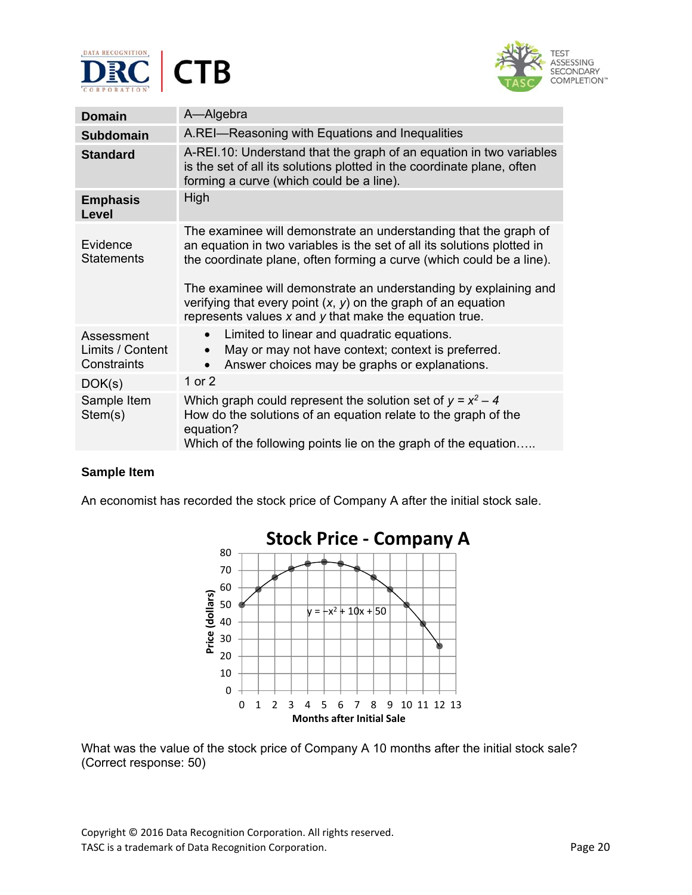



| <b>Domain</b>                                 | A-Algebra                                                                                                                                                                                                                                                                                                                                                                                                                |
|-----------------------------------------------|--------------------------------------------------------------------------------------------------------------------------------------------------------------------------------------------------------------------------------------------------------------------------------------------------------------------------------------------------------------------------------------------------------------------------|
| <b>Subdomain</b>                              | A.REI-Reasoning with Equations and Inequalities                                                                                                                                                                                                                                                                                                                                                                          |
| <b>Standard</b>                               | A-REI.10: Understand that the graph of an equation in two variables<br>is the set of all its solutions plotted in the coordinate plane, often<br>forming a curve (which could be a line).                                                                                                                                                                                                                                |
| <b>Emphasis</b><br><b>Level</b>               | High                                                                                                                                                                                                                                                                                                                                                                                                                     |
| Evidence<br><b>Statements</b>                 | The examinee will demonstrate an understanding that the graph of<br>an equation in two variables is the set of all its solutions plotted in<br>the coordinate plane, often forming a curve (which could be a line).<br>The examinee will demonstrate an understanding by explaining and<br>verifying that every point $(x, y)$ on the graph of an equation<br>represents values $x$ and $y$ that make the equation true. |
| Assessment<br>Limits / Content<br>Constraints | Limited to linear and quadratic equations.<br>$\bullet$<br>May or may not have context; context is preferred.<br>Answer choices may be graphs or explanations.                                                                                                                                                                                                                                                           |
| DOK(s)                                        | 1 or 2                                                                                                                                                                                                                                                                                                                                                                                                                   |
| Sample Item<br>Stem(s)                        | Which graph could represent the solution set of $y = x^2 - 4$<br>How do the solutions of an equation relate to the graph of the<br>equation?<br>Which of the following points lie on the graph of the equation                                                                                                                                                                                                           |

An economist has recorded the stock price of Company A after the initial stock sale.



What was the value of the stock price of Company A 10 months after the initial stock sale? (Correct response: 50)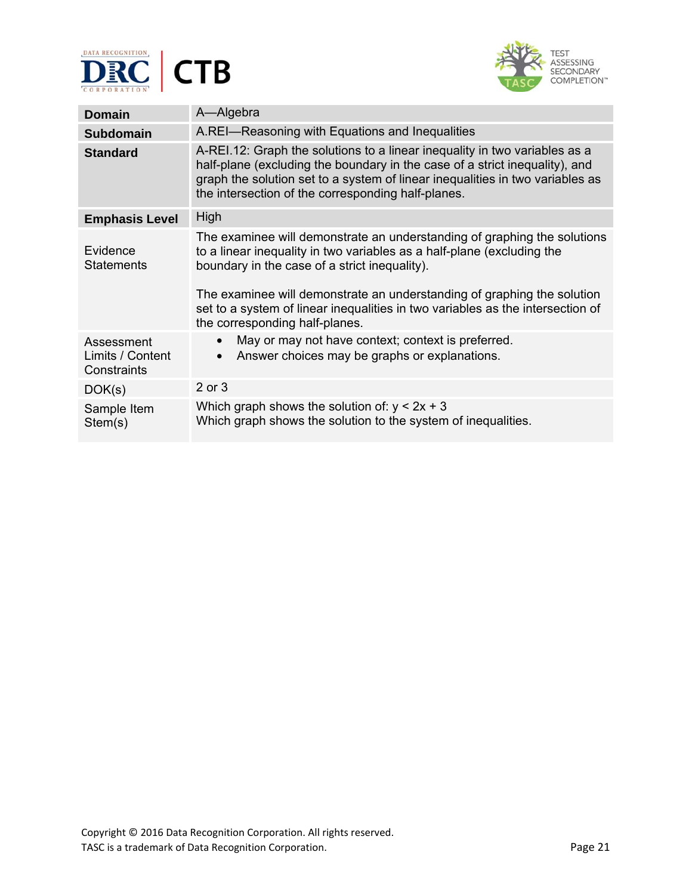



| Domain                                        | A-Algebra                                                                                                                                                                                                                                                                                                                                                                                          |
|-----------------------------------------------|----------------------------------------------------------------------------------------------------------------------------------------------------------------------------------------------------------------------------------------------------------------------------------------------------------------------------------------------------------------------------------------------------|
| <b>Subdomain</b>                              | A.REI-Reasoning with Equations and Inequalities                                                                                                                                                                                                                                                                                                                                                    |
| <b>Standard</b>                               | A-REI.12: Graph the solutions to a linear inequality in two variables as a<br>half-plane (excluding the boundary in the case of a strict inequality), and<br>graph the solution set to a system of linear inequalities in two variables as<br>the intersection of the corresponding half-planes.                                                                                                   |
| <b>Emphasis Level</b>                         | High                                                                                                                                                                                                                                                                                                                                                                                               |
| Evidence<br><b>Statements</b>                 | The examinee will demonstrate an understanding of graphing the solutions<br>to a linear inequality in two variables as a half-plane (excluding the<br>boundary in the case of a strict inequality).<br>The examinee will demonstrate an understanding of graphing the solution<br>set to a system of linear inequalities in two variables as the intersection of<br>the corresponding half-planes. |
| Assessment<br>Limits / Content<br>Constraints | May or may not have context; context is preferred.<br>$\bullet$<br>Answer choices may be graphs or explanations.<br>$\bullet$                                                                                                                                                                                                                                                                      |
| DOK(s)                                        | 2 or 3                                                                                                                                                                                                                                                                                                                                                                                             |
| Sample Item<br>Stem(s)                        | Which graph shows the solution of: $y < 2x + 3$<br>Which graph shows the solution to the system of inequalities.                                                                                                                                                                                                                                                                                   |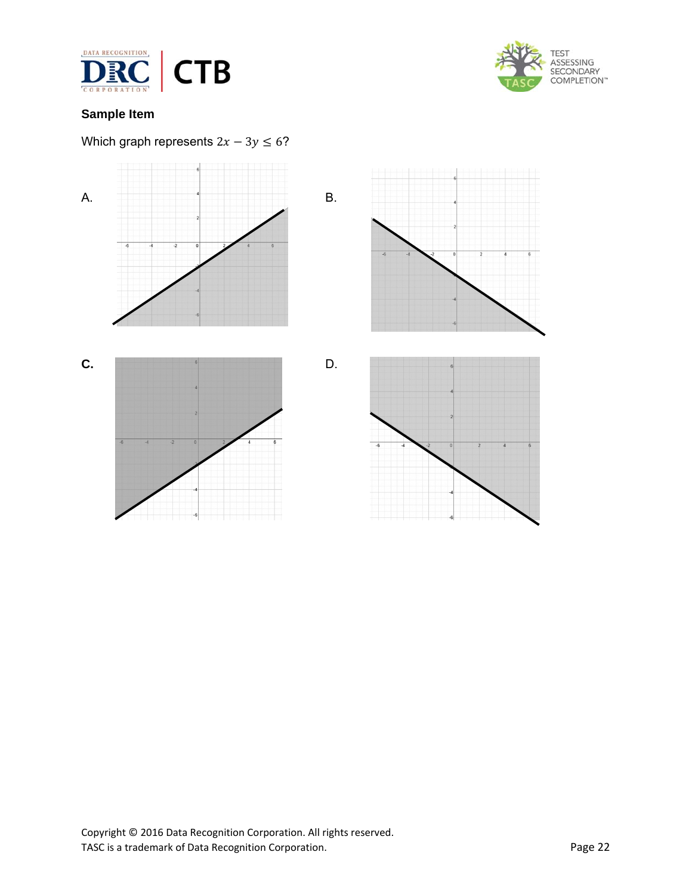



## Which graph represents  $2x - 3y \le 6$ ?

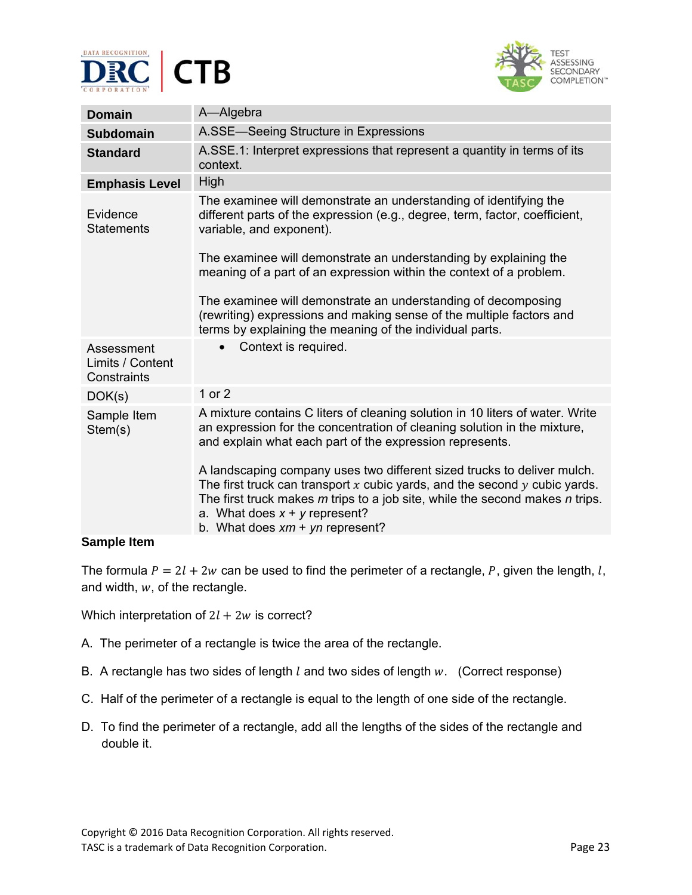



| <b>Domain</b>                                 | A-Algebra                                                                                                                                                                                                                                                                                                             |
|-----------------------------------------------|-----------------------------------------------------------------------------------------------------------------------------------------------------------------------------------------------------------------------------------------------------------------------------------------------------------------------|
| <b>Subdomain</b>                              | A.SSE-Seeing Structure in Expressions                                                                                                                                                                                                                                                                                 |
| <b>Standard</b>                               | A.SSE.1: Interpret expressions that represent a quantity in terms of its<br>context.                                                                                                                                                                                                                                  |
| <b>Emphasis Level</b>                         | High                                                                                                                                                                                                                                                                                                                  |
| Evidence<br><b>Statements</b>                 | The examinee will demonstrate an understanding of identifying the<br>different parts of the expression (e.g., degree, term, factor, coefficient,<br>variable, and exponent).                                                                                                                                          |
|                                               | The examinee will demonstrate an understanding by explaining the<br>meaning of a part of an expression within the context of a problem.                                                                                                                                                                               |
|                                               | The examinee will demonstrate an understanding of decomposing<br>(rewriting) expressions and making sense of the multiple factors and<br>terms by explaining the meaning of the individual parts.                                                                                                                     |
| Assessment<br>Limits / Content<br>Constraints | Context is required.                                                                                                                                                                                                                                                                                                  |
| DOK(s)                                        | 1 or 2                                                                                                                                                                                                                                                                                                                |
| Sample Item<br>Stem(s)                        | A mixture contains C liters of cleaning solution in 10 liters of water. Write<br>an expression for the concentration of cleaning solution in the mixture,<br>and explain what each part of the expression represents.                                                                                                 |
|                                               | A landscaping company uses two different sized trucks to deliver mulch.<br>The first truck can transport $x$ cubic yards, and the second $y$ cubic yards.<br>The first truck makes $m$ trips to a job site, while the second makes $n$ trips.<br>a. What does $x + y$ represent?<br>b. What does $xm + yn$ represent? |

The formula  $P = 2l + 2w$  can be used to find the perimeter of a rectangle, P, given the length, l, and width,  $w$ , of the rectangle.

Which interpretation of  $2l + 2w$  is correct?

- A. The perimeter of a rectangle is twice the area of the rectangle.
- B. A rectangle has two sides of length  $l$  and two sides of length  $w$ . (Correct response)
- C. Half of the perimeter of a rectangle is equal to the length of one side of the rectangle.
- D. To find the perimeter of a rectangle, add all the lengths of the sides of the rectangle and double it.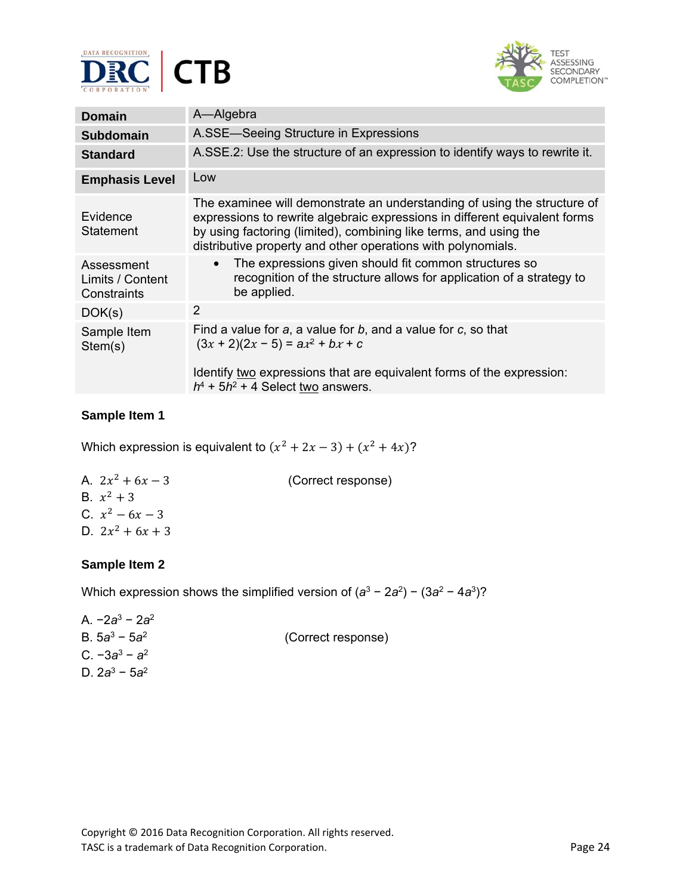



| <b>Domain</b>                                 | A-Algebra                                                                                                                                                                                                                                                                                   |
|-----------------------------------------------|---------------------------------------------------------------------------------------------------------------------------------------------------------------------------------------------------------------------------------------------------------------------------------------------|
| <b>Subdomain</b>                              | A.SSE-Seeing Structure in Expressions                                                                                                                                                                                                                                                       |
| <b>Standard</b>                               | A.SSE.2: Use the structure of an expression to identify ways to rewrite it.                                                                                                                                                                                                                 |
| <b>Emphasis Level</b>                         | Low                                                                                                                                                                                                                                                                                         |
| Evidence<br>Statement                         | The examinee will demonstrate an understanding of using the structure of<br>expressions to rewrite algebraic expressions in different equivalent forms<br>by using factoring (limited), combining like terms, and using the<br>distributive property and other operations with polynomials. |
| Assessment<br>Limits / Content<br>Constraints | The expressions given should fit common structures so<br>$\bullet$<br>recognition of the structure allows for application of a strategy to<br>be applied.                                                                                                                                   |
| DOK(s)                                        | 2                                                                                                                                                                                                                                                                                           |
| Sample Item<br>Stem(s)                        | Find a value for $a$ , a value for $b$ , and a value for $c$ , so that<br>$(3x + 2)(2x - 5) = a^2 + bx + c$<br>Identify two expressions that are equivalent forms of the expression:                                                                                                        |
|                                               | $h^4$ + 5 $h^2$ + 4 Select two answers.                                                                                                                                                                                                                                                     |

Which expression is equivalent to  $(x^2 + 2x - 3) + (x^2 + 4x)$ ?

A.  $2x^2 + 6x - 3$  (Correct response) B.  $x^2 + 3$ C.  $x^2 - 6x - 3$ D.  $2x^2 + 6x + 3$ 

## **Sample Item 2**

Which expression shows the simplified version of (*a*<sup>3</sup> − 2*a*2) − (3*a*<sup>2</sup> − 4*a*3)?

A. −2*a*<sup>3</sup> − 2*a*<sup>2</sup> B. 5*a*<sup>3</sup> − 5*a*2 (Correct response) C. −3*a*<sup>3</sup> − *a*<sup>2</sup> D. 2*a*<sup>3</sup> − 5*a*2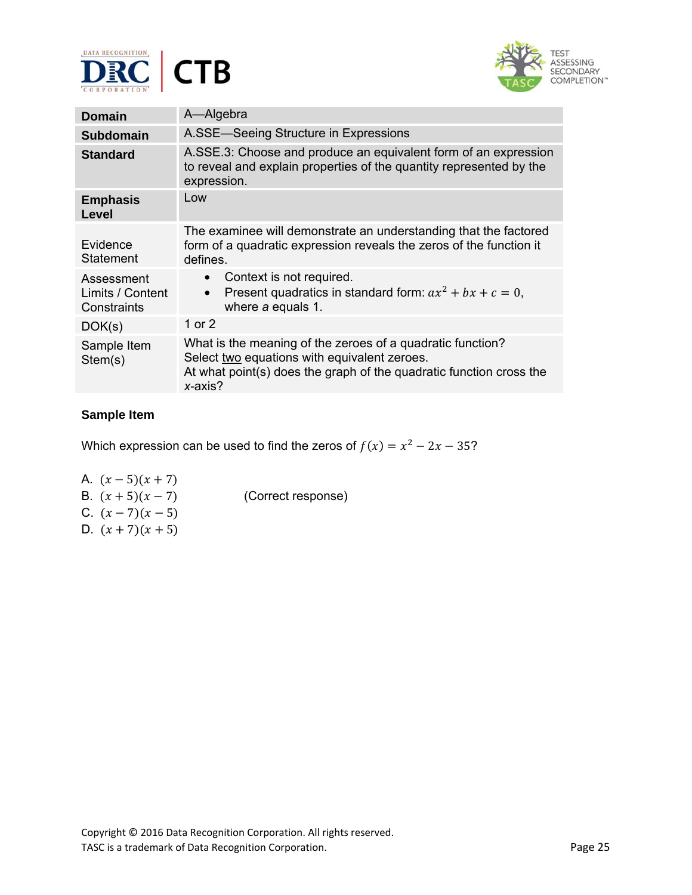



| <b>Domain</b>                                 | A-Algebra                                                                                                                                                                                       |
|-----------------------------------------------|-------------------------------------------------------------------------------------------------------------------------------------------------------------------------------------------------|
| <b>Subdomain</b>                              | A.SSE-Seeing Structure in Expressions                                                                                                                                                           |
| <b>Standard</b>                               | A.SSE.3: Choose and produce an equivalent form of an expression<br>to reveal and explain properties of the quantity represented by the<br>expression.                                           |
| <b>Emphasis</b><br>Level                      | Low                                                                                                                                                                                             |
| Evidence<br>Statement                         | The examinee will demonstrate an understanding that the factored<br>form of a quadratic expression reveals the zeros of the function it<br>defines.                                             |
| Assessment<br>Limits / Content<br>Constraints | Context is not required.<br>$\bullet$<br>Present quadratics in standard form: $ax^2 + bx + c = 0$ ,<br>$\bullet$<br>where a equals 1.                                                           |
| DOK(s)                                        | 1 or 2                                                                                                                                                                                          |
| Sample Item<br>Stem(s)                        | What is the meaning of the zeroes of a quadratic function?<br>Select two equations with equivalent zeroes.<br>At what point(s) does the graph of the quadratic function cross the<br>$x$ -axis? |

Which expression can be used to find the zeros of  $f(x) = x^2 - 2x - 35$ ?

- A.  $(x 5)(x + 7)$ B.  $(x + 5)(x - 7)$  (Correct response) C.  $(x - 7)(x - 5)$
- D.  $(x + 7)(x + 5)$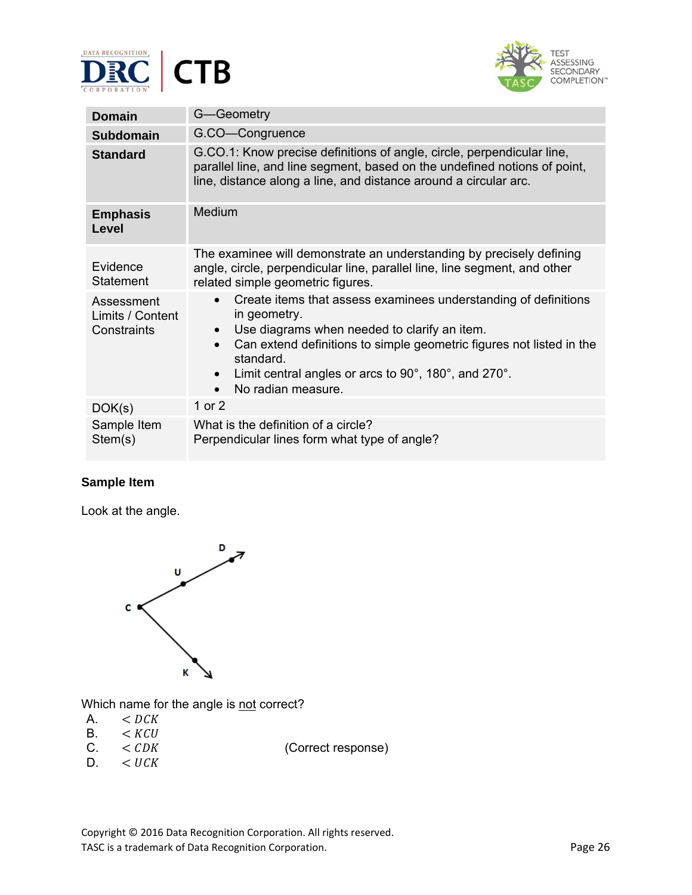



| <b>Domain</b>                                 | G-Geometry                                                                                                                                                                                                                                                                                                                                |
|-----------------------------------------------|-------------------------------------------------------------------------------------------------------------------------------------------------------------------------------------------------------------------------------------------------------------------------------------------------------------------------------------------|
| <b>Subdomain</b>                              | G.CO-Congruence                                                                                                                                                                                                                                                                                                                           |
| <b>Standard</b>                               | G.CO.1: Know precise definitions of angle, circle, perpendicular line,<br>parallel line, and line segment, based on the undefined notions of point,<br>line, distance along a line, and distance around a circular arc.                                                                                                                   |
| <b>Emphasis</b><br>Level                      | Medium                                                                                                                                                                                                                                                                                                                                    |
| Evidence<br>Statement                         | The examinee will demonstrate an understanding by precisely defining<br>angle, circle, perpendicular line, parallel line, line segment, and other<br>related simple geometric figures.                                                                                                                                                    |
| Assessment<br>Limits / Content<br>Constraints | Create items that assess examinees understanding of definitions<br>$\bullet$<br>in geometry.<br>Use diagrams when needed to clarify an item.<br>Can extend definitions to simple geometric figures not listed in the<br>$\bullet$<br>standard.<br>Limit central angles or arcs to 90°, 180°, and 270°.<br>No radian measure.<br>$\bullet$ |
| DOK(s)                                        | 1 or 2                                                                                                                                                                                                                                                                                                                                    |
| Sample Item<br>Stem(s)                        | What is the definition of a circle?<br>Perpendicular lines form what type of angle?                                                                                                                                                                                                                                                       |

Look at the angle.



Which name for the angle is not correct?

- A.  $\lt$  *DCK*<br>B.  $\lt$  *KCU*
- B.  $\lt$  *KCU*<br>C.  $\lt$  *CDK*
- < CDK (Correct response)
- $D. < *UCK*$

Copyright © 2016 Data Recognition Corporation. All rights reserved. TASC is a trademark of Data Recognition Corporation. The extra set of the Page 26 Page 26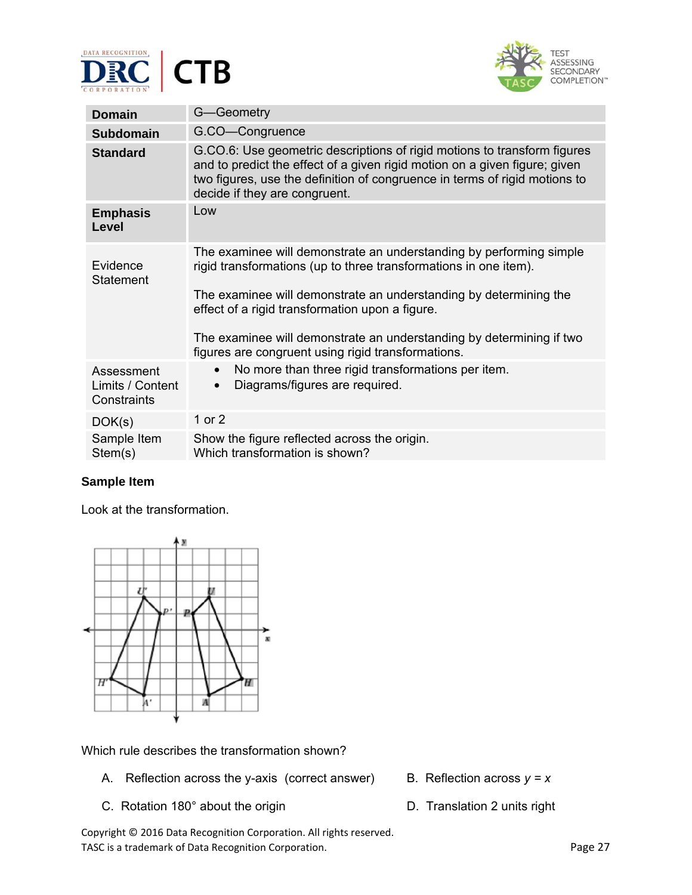



| <b>Domain</b>                                 | G-Geometry                                                                                                                                                                                                                                                                                                                                                                                    |
|-----------------------------------------------|-----------------------------------------------------------------------------------------------------------------------------------------------------------------------------------------------------------------------------------------------------------------------------------------------------------------------------------------------------------------------------------------------|
| <b>Subdomain</b>                              | G.CO-Congruence                                                                                                                                                                                                                                                                                                                                                                               |
| <b>Standard</b>                               | G.CO.6: Use geometric descriptions of rigid motions to transform figures<br>and to predict the effect of a given rigid motion on a given figure; given<br>two figures, use the definition of congruence in terms of rigid motions to<br>decide if they are congruent.                                                                                                                         |
| <b>Emphasis</b><br><b>Level</b>               | Low                                                                                                                                                                                                                                                                                                                                                                                           |
| Evidence<br><b>Statement</b>                  | The examinee will demonstrate an understanding by performing simple<br>rigid transformations (up to three transformations in one item).<br>The examinee will demonstrate an understanding by determining the<br>effect of a rigid transformation upon a figure.<br>The examinee will demonstrate an understanding by determining if two<br>figures are congruent using rigid transformations. |
| Assessment<br>Limits / Content<br>Constraints | No more than three rigid transformations per item.<br>$\bullet$<br>Diagrams/figures are required.<br>$\bullet$                                                                                                                                                                                                                                                                                |
| DOK(s)                                        | 1 or 2                                                                                                                                                                                                                                                                                                                                                                                        |
| Sample Item<br>Stem(s)                        | Show the figure reflected across the origin.<br>Which transformation is shown?                                                                                                                                                                                                                                                                                                                |

Look at the transformation.



Which rule describes the transformation shown?

- A. Reflection across the y-axis (correct answer) B. Reflection across  $y = x$
- C. Rotation 180° about the origin **D. Translation 2 units right**
- Copyright © 2016 Data Recognition Corporation. All rights reserved. TASC is a trademark of Data Recognition Corporation. The extra set of the Page 27 and 27
- 
-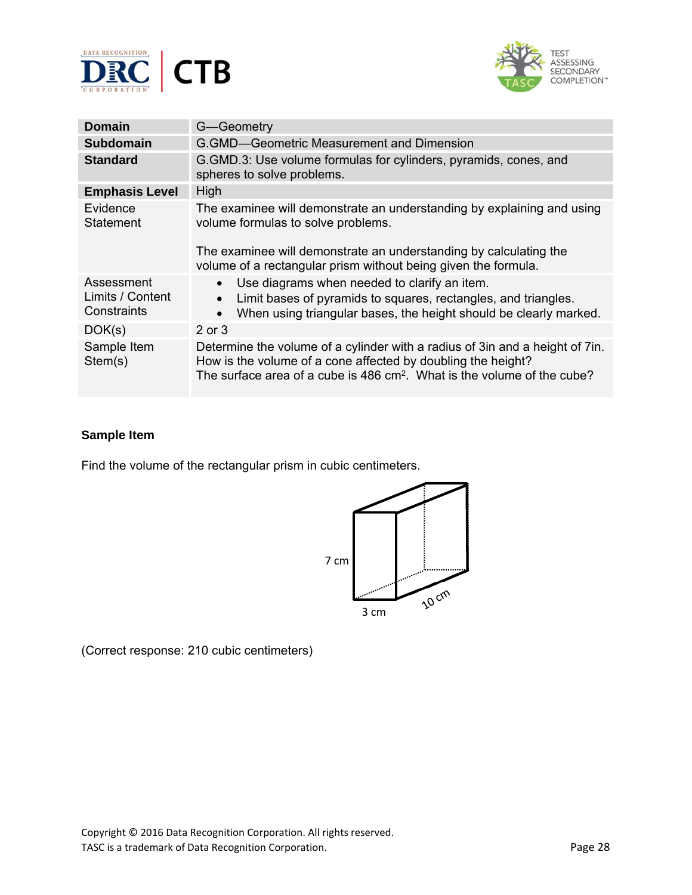



| Domain                                        | G-Geometry                                                                                                                                                                                                                            |
|-----------------------------------------------|---------------------------------------------------------------------------------------------------------------------------------------------------------------------------------------------------------------------------------------|
| <b>Subdomain</b>                              | G.GMD-Geometric Measurement and Dimension                                                                                                                                                                                             |
| <b>Standard</b>                               | G. GMD.3: Use volume formulas for cylinders, pyramids, cones, and<br>spheres to solve problems.                                                                                                                                       |
| <b>Emphasis Level</b>                         | High                                                                                                                                                                                                                                  |
| Evidence<br><b>Statement</b>                  | The examinee will demonstrate an understanding by explaining and using<br>volume formulas to solve problems.                                                                                                                          |
|                                               | The examinee will demonstrate an understanding by calculating the<br>volume of a rectangular prism without being given the formula.                                                                                                   |
| Assessment<br>Limits / Content<br>Constraints | Use diagrams when needed to clarify an item.<br>$\bullet$<br>Limit bases of pyramids to squares, rectangles, and triangles.<br>$\bullet$<br>When using triangular bases, the height should be clearly marked.<br>$\bullet$            |
| DOK(s)                                        | $2$ or $3$                                                                                                                                                                                                                            |
| Sample Item<br>Stem(s)                        | Determine the volume of a cylinder with a radius of 3 in and a height of 7 in.<br>How is the volume of a cone affected by doubling the height?<br>The surface area of a cube is 486 cm <sup>2</sup> . What is the volume of the cube? |

Find the volume of the rectangular prism in cubic centimeters.



(Correct response: 210 cubic centimeters)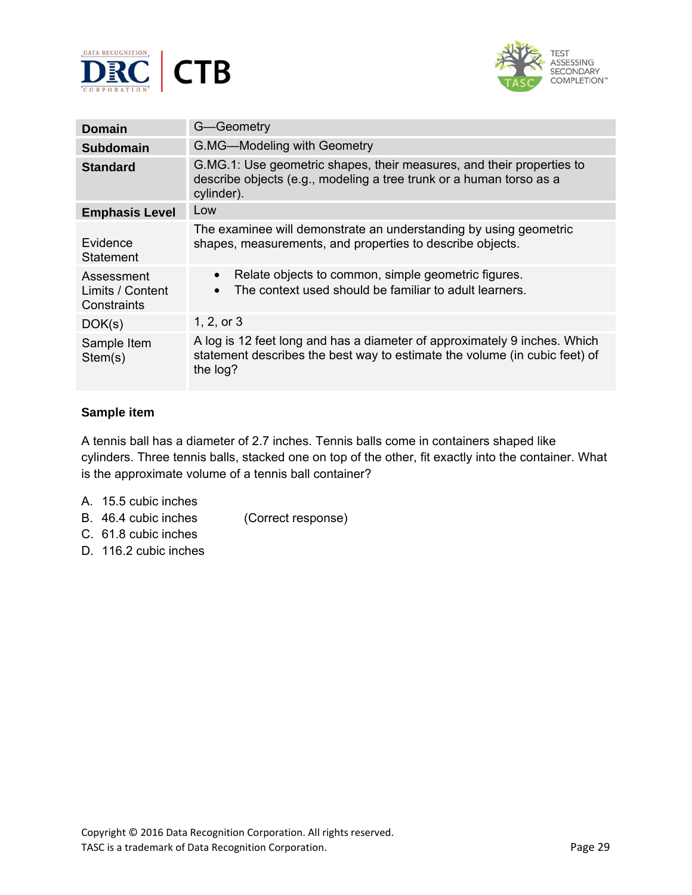



| <b>Domain</b>                                 | G-Geometry                                                                                                                                                          |
|-----------------------------------------------|---------------------------------------------------------------------------------------------------------------------------------------------------------------------|
| <b>Subdomain</b>                              | G.MG-Modeling with Geometry                                                                                                                                         |
| <b>Standard</b>                               | G.MG.1: Use geometric shapes, their measures, and their properties to<br>describe objects (e.g., modeling a tree trunk or a human torso as a<br>cylinder).          |
| <b>Emphasis Level</b>                         | Low                                                                                                                                                                 |
| Evidence<br>Statement                         | The examinee will demonstrate an understanding by using geometric<br>shapes, measurements, and properties to describe objects.                                      |
| Assessment<br>Limits / Content<br>Constraints | Relate objects to common, simple geometric figures.<br>$\bullet$<br>The context used should be familiar to adult learners.                                          |
| DOK(s)                                        | 1, 2, or $3$                                                                                                                                                        |
| Sample Item<br>Stem(s)                        | A log is 12 feet long and has a diameter of approximately 9 inches. Which<br>statement describes the best way to estimate the volume (in cubic feet) of<br>the log? |

A tennis ball has a diameter of 2.7 inches. Tennis balls come in containers shaped like cylinders. Three tennis balls, stacked one on top of the other, fit exactly into the container. What is the approximate volume of a tennis ball container?

- A. 15.5 cubic inches
- B. 46.4 cubic inches (Correct response)
- C. 61.8 cubic inches
- D. 116.2 cubic inches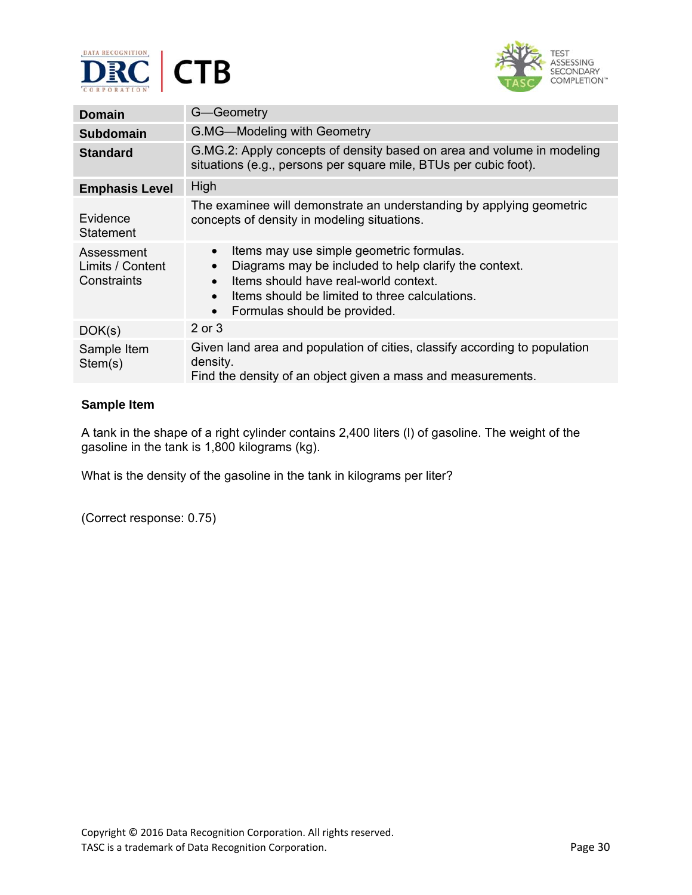



| <b>Domain</b>                                 | G-Geometry                                                                                                                                                                                                                                |
|-----------------------------------------------|-------------------------------------------------------------------------------------------------------------------------------------------------------------------------------------------------------------------------------------------|
| <b>Subdomain</b>                              | G.MG-Modeling with Geometry                                                                                                                                                                                                               |
| <b>Standard</b>                               | G.MG.2: Apply concepts of density based on area and volume in modeling<br>situations (e.g., persons per square mile, BTUs per cubic foot).                                                                                                |
| <b>Emphasis Level</b>                         | High                                                                                                                                                                                                                                      |
| Evidence<br>Statement                         | The examinee will demonstrate an understanding by applying geometric<br>concepts of density in modeling situations.                                                                                                                       |
| Assessment<br>Limits / Content<br>Constraints | Items may use simple geometric formulas.<br>Diagrams may be included to help clarify the context.<br>Items should have real-world context.<br>Items should be limited to three calculations.<br>Formulas should be provided.<br>$\bullet$ |
| DOK(s)                                        | $2$ or $3$                                                                                                                                                                                                                                |
| Sample Item<br>Stem(s)                        | Given land area and population of cities, classify according to population<br>density.<br>Find the density of an object given a mass and measurements.                                                                                    |

A tank in the shape of a right cylinder contains 2,400 liters (l) of gasoline. The weight of the gasoline in the tank is 1,800 kilograms (kg).

What is the density of the gasoline in the tank in kilograms per liter?

(Correct response: 0.75)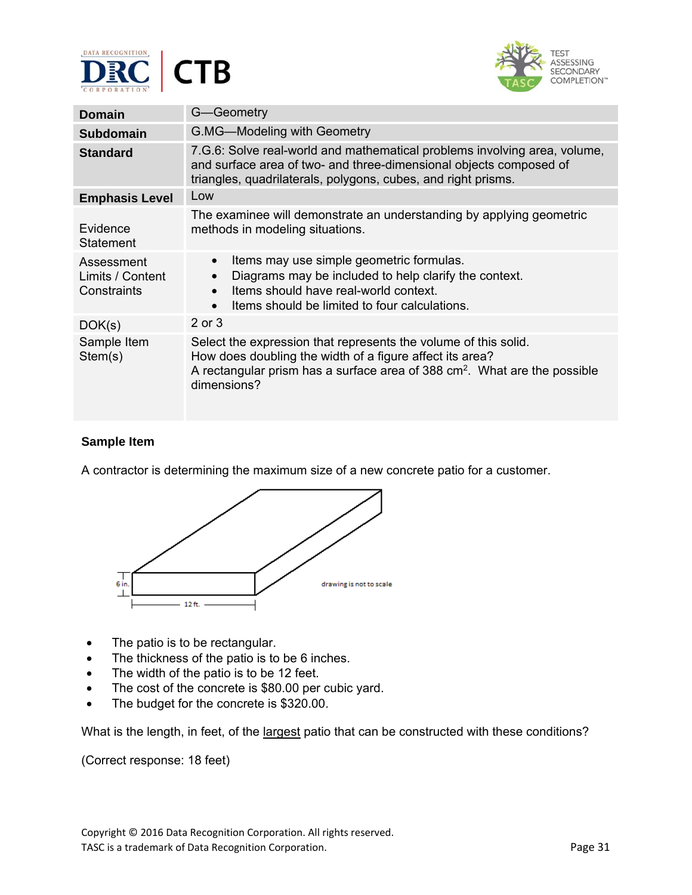



| <b>Domain</b>                                 | G-Geometry                                                                                                                                                                                                                          |
|-----------------------------------------------|-------------------------------------------------------------------------------------------------------------------------------------------------------------------------------------------------------------------------------------|
| <b>Subdomain</b>                              | G.MG-Modeling with Geometry                                                                                                                                                                                                         |
| <b>Standard</b>                               | 7.G.6: Solve real-world and mathematical problems involving area, volume,<br>and surface area of two- and three-dimensional objects composed of<br>triangles, quadrilaterals, polygons, cubes, and right prisms.                    |
| <b>Emphasis Level</b>                         | Low                                                                                                                                                                                                                                 |
| Evidence<br>Statement                         | The examinee will demonstrate an understanding by applying geometric<br>methods in modeling situations.                                                                                                                             |
| Assessment<br>Limits / Content<br>Constraints | Items may use simple geometric formulas.<br>$\bullet$<br>Diagrams may be included to help clarify the context.<br>Items should have real-world context.<br>Items should be limited to four calculations.<br>$\bullet$               |
| DOK(s)                                        | 2 or 3                                                                                                                                                                                                                              |
| Sample Item<br>Stem(s)                        | Select the expression that represents the volume of this solid.<br>How does doubling the width of a figure affect its area?<br>A rectangular prism has a surface area of 388 cm <sup>2</sup> . What are the possible<br>dimensions? |

A contractor is determining the maximum size of a new concrete patio for a customer.



- The patio is to be rectangular.
- The thickness of the patio is to be 6 inches.
- The width of the patio is to be 12 feet.
- The cost of the concrete is \$80.00 per cubic yard.
- The budget for the concrete is \$320.00.

What is the length, in feet, of the largest patio that can be constructed with these conditions?

(Correct response: 18 feet)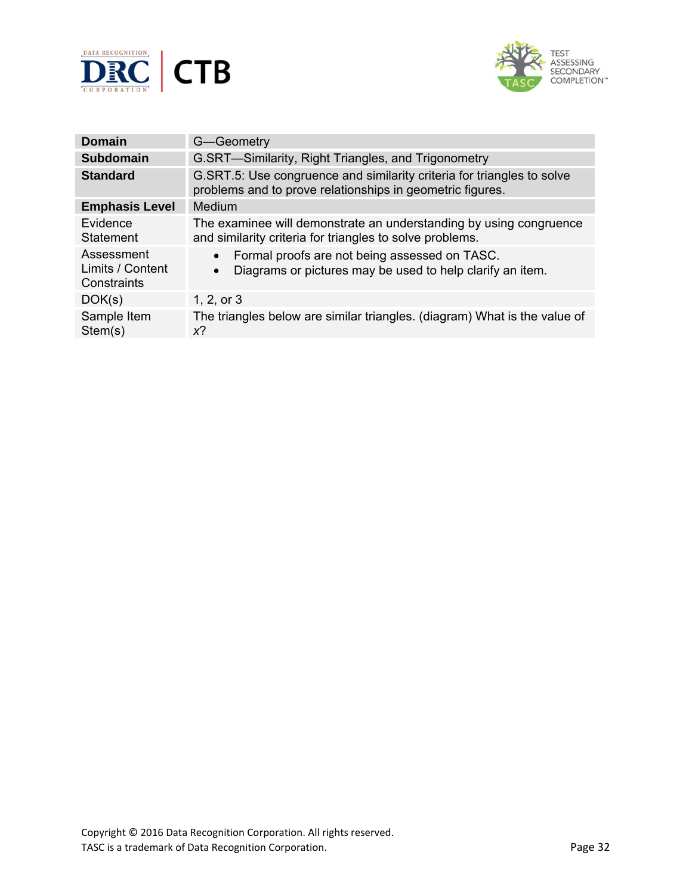



| <b>Domain</b>                                 | G-Geometry                                                                                                                           |
|-----------------------------------------------|--------------------------------------------------------------------------------------------------------------------------------------|
| <b>Subdomain</b>                              | G.SRT-Similarity, Right Triangles, and Trigonometry                                                                                  |
| <b>Standard</b>                               | G.SRT.5: Use congruence and similarity criteria for triangles to solve<br>problems and to prove relationships in geometric figures.  |
| <b>Emphasis Level</b>                         | Medium                                                                                                                               |
| Evidence<br>Statement                         | The examinee will demonstrate an understanding by using congruence<br>and similarity criteria for triangles to solve problems.       |
| Assessment<br>Limits / Content<br>Constraints | Formal proofs are not being assessed on TASC.<br>$\bullet$<br>Diagrams or pictures may be used to help clarify an item.<br>$\bullet$ |
| DOK(s)                                        | 1, 2, or $3$                                                                                                                         |
| Sample Item<br>Stem(s)                        | The triangles below are similar triangles. (diagram) What is the value of<br>x?                                                      |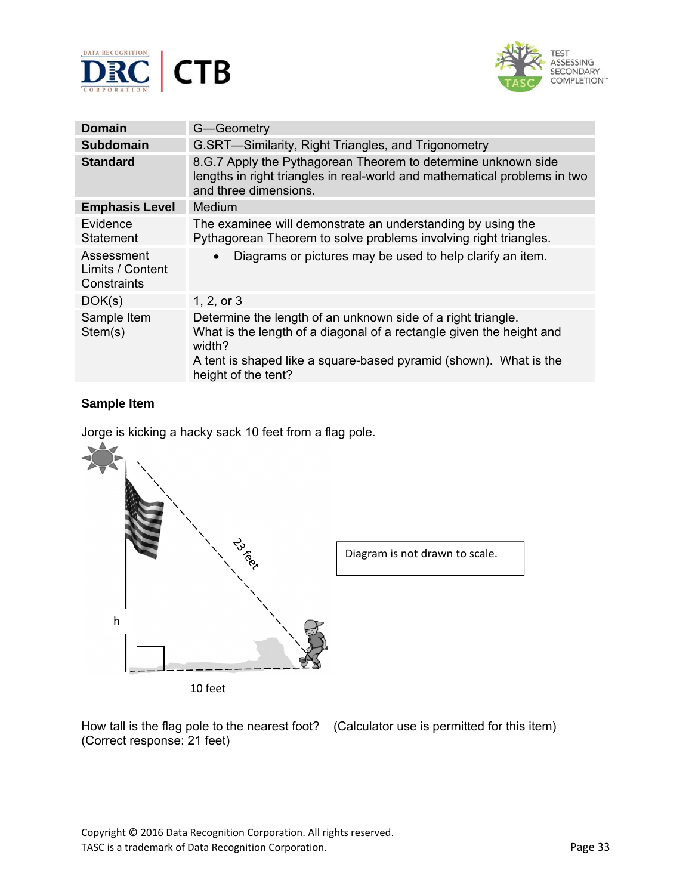



| G-Geometry                                                                                                                                                                                                                                 |
|--------------------------------------------------------------------------------------------------------------------------------------------------------------------------------------------------------------------------------------------|
| G.SRT-Similarity, Right Triangles, and Trigonometry                                                                                                                                                                                        |
| 8.G.7 Apply the Pythagorean Theorem to determine unknown side<br>lengths in right triangles in real-world and mathematical problems in two<br>and three dimensions.                                                                        |
| Medium                                                                                                                                                                                                                                     |
| The examinee will demonstrate an understanding by using the<br>Pythagorean Theorem to solve problems involving right triangles.                                                                                                            |
| Diagrams or pictures may be used to help clarify an item.                                                                                                                                                                                  |
| 1, 2, or 3                                                                                                                                                                                                                                 |
| Determine the length of an unknown side of a right triangle.<br>What is the length of a diagonal of a rectangle given the height and<br>width?<br>A tent is shaped like a square-based pyramid (shown). What is the<br>height of the tent? |
|                                                                                                                                                                                                                                            |

Jorge is kicking a hacky sack 10 feet from a flag pole.



How tall is the flag pole to the nearest foot? (Calculator use is permitted for this item) (Correct response: 21 feet)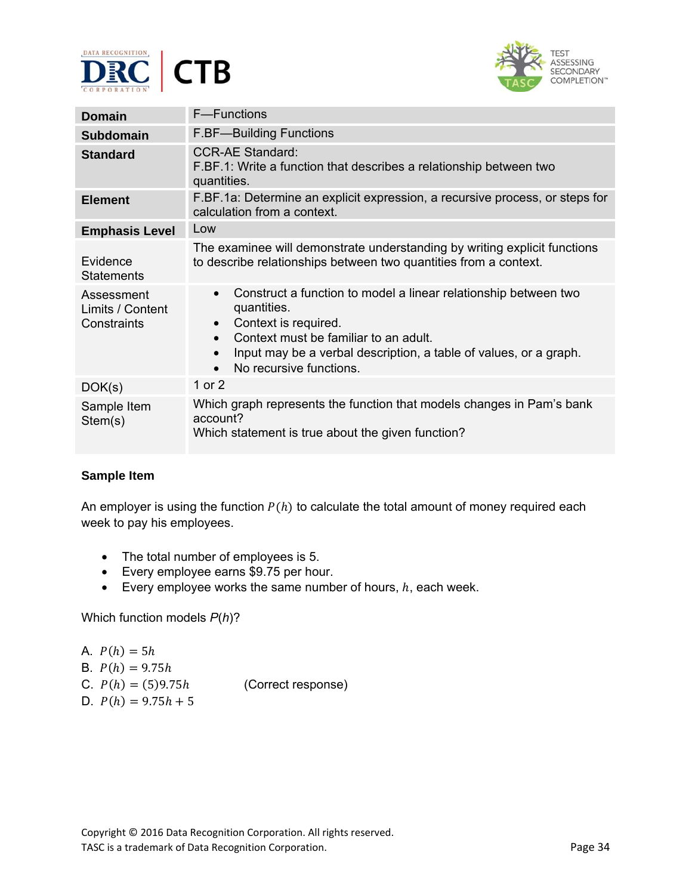



| <b>Domain</b>                                 | <b>F</b> —Functions                                                                                                                                                                                                                                                                    |
|-----------------------------------------------|----------------------------------------------------------------------------------------------------------------------------------------------------------------------------------------------------------------------------------------------------------------------------------------|
| <b>Subdomain</b>                              | <b>F.BF-Building Functions</b>                                                                                                                                                                                                                                                         |
| <b>Standard</b>                               | <b>CCR-AE Standard:</b><br>F.BF.1: Write a function that describes a relationship between two<br>quantities.                                                                                                                                                                           |
| <b>Element</b>                                | F.BF.1a: Determine an explicit expression, a recursive process, or steps for<br>calculation from a context.                                                                                                                                                                            |
| <b>Emphasis Level</b>                         | Low                                                                                                                                                                                                                                                                                    |
| Evidence<br><b>Statements</b>                 | The examinee will demonstrate understanding by writing explicit functions<br>to describe relationships between two quantities from a context.                                                                                                                                          |
| Assessment<br>Limits / Content<br>Constraints | Construct a function to model a linear relationship between two<br>$\bullet$<br>quantities.<br>Context is required.<br>$\bullet$<br>Context must be familiar to an adult.<br>Input may be a verbal description, a table of values, or a graph.<br>$\bullet$<br>No recursive functions. |
| DOK(s)                                        | 1 or 2                                                                                                                                                                                                                                                                                 |
| Sample Item<br>Stem(s)                        | Which graph represents the function that models changes in Pam's bank<br>account?<br>Which statement is true about the given function?                                                                                                                                                 |

An employer is using the function  $P(h)$  to calculate the total amount of money required each week to pay his employees.

- The total number of employees is 5.
- Every employee earns \$9.75 per hour.
- Every employee works the same number of hours,  $h$ , each week.

Which function models *P*(*h*)?

A. 
$$
P(h) = 5h
$$

- B.  $P(h) = 9.75h$
- C.  $P(h) = (5)9.75h$  (Correct response)
- D.  $P(h) = 9.75h + 5$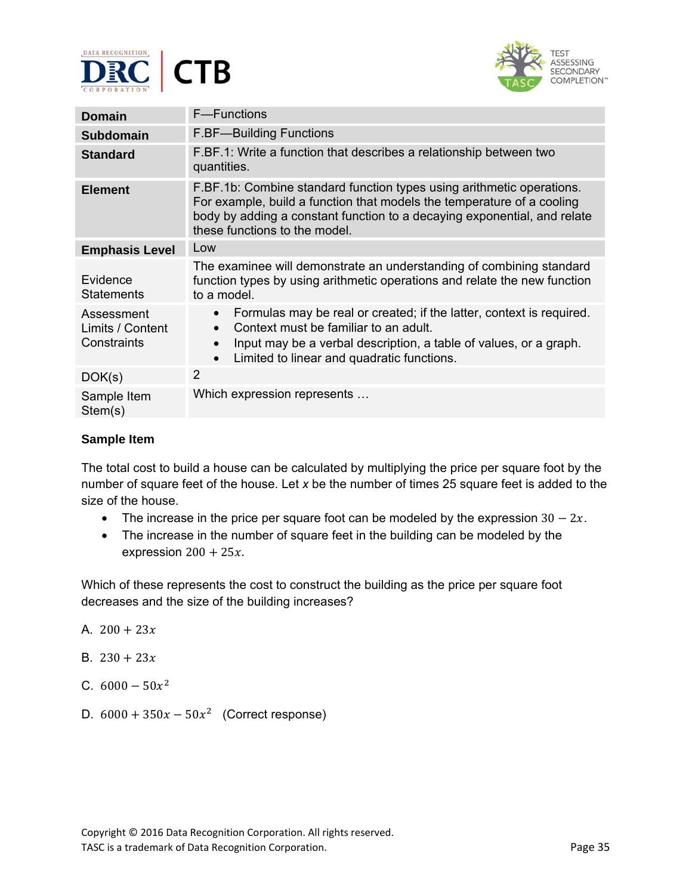



| <b>Domain</b>                                 | <b>F</b> —Functions                                                                                                                                                                                                                                                                  |
|-----------------------------------------------|--------------------------------------------------------------------------------------------------------------------------------------------------------------------------------------------------------------------------------------------------------------------------------------|
| <b>Subdomain</b>                              | <b>F.BF-Building Functions</b>                                                                                                                                                                                                                                                       |
| <b>Standard</b>                               | F.BF.1: Write a function that describes a relationship between two<br>quantities.                                                                                                                                                                                                    |
| <b>Element</b>                                | F.BF.1b: Combine standard function types using arithmetic operations.<br>For example, build a function that models the temperature of a cooling<br>body by adding a constant function to a decaying exponential, and relate<br>these functions to the model.                         |
| <b>Emphasis Level</b>                         | Low                                                                                                                                                                                                                                                                                  |
| Evidence<br><b>Statements</b>                 | The examinee will demonstrate an understanding of combining standard<br>function types by using arithmetic operations and relate the new function<br>to a model.                                                                                                                     |
| Assessment<br>Limits / Content<br>Constraints | Formulas may be real or created; if the latter, context is required.<br>$\bullet$<br>Context must be familiar to an adult.<br>$\bullet$<br>Input may be a verbal description, a table of values, or a graph.<br>$\bullet$<br>Limited to linear and quadratic functions.<br>$\bullet$ |
| DOK(s)                                        | 2                                                                                                                                                                                                                                                                                    |
| Sample Item<br>Stem(s)                        | Which expression represents                                                                                                                                                                                                                                                          |

The total cost to build a house can be calculated by multiplying the price per square foot by the number of square feet of the house. Let *x* be the number of times 25 square feet is added to the size of the house.

- The increase in the price per square foot can be modeled by the expression  $30 2x$ .
- The increase in the number of square feet in the building can be modeled by the expression  $200 + 25x$ .

Which of these represents the cost to construct the building as the price per square foot decreases and the size of the building increases?

- A.  $200 + 23x$
- B.  $230 + 23x$
- C.  $6000 50x^2$
- D.  $6000 + 350x 50x^2$  (Correct response)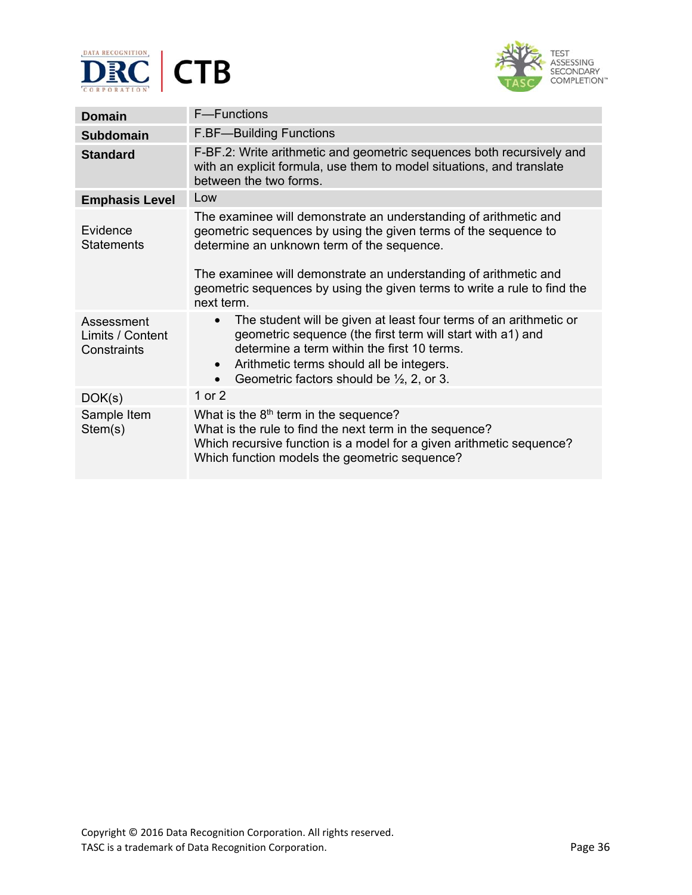



| <b>Domain</b>                                 | F-Functions                                                                                                                                                                                                                                                                                                                                     |
|-----------------------------------------------|-------------------------------------------------------------------------------------------------------------------------------------------------------------------------------------------------------------------------------------------------------------------------------------------------------------------------------------------------|
| <b>Subdomain</b>                              | <b>F.BF-Building Functions</b>                                                                                                                                                                                                                                                                                                                  |
| <b>Standard</b>                               | F-BF.2: Write arithmetic and geometric sequences both recursively and<br>with an explicit formula, use them to model situations, and translate<br>between the two forms.                                                                                                                                                                        |
| <b>Emphasis Level</b>                         | Low                                                                                                                                                                                                                                                                                                                                             |
| Evidence<br><b>Statements</b>                 | The examinee will demonstrate an understanding of arithmetic and<br>geometric sequences by using the given terms of the sequence to<br>determine an unknown term of the sequence.<br>The examinee will demonstrate an understanding of arithmetic and<br>geometric sequences by using the given terms to write a rule to find the<br>next term. |
| Assessment<br>Limits / Content<br>Constraints | The student will be given at least four terms of an arithmetic or<br>$\bullet$<br>geometric sequence (the first term will start with a1) and<br>determine a term within the first 10 terms.<br>Arithmetic terms should all be integers.<br>$\bullet$<br>Geometric factors should be $\frac{1}{2}$ , 2, or 3.<br>$\bullet$                       |
| DOK(s)                                        | 1 or $2$                                                                                                                                                                                                                                                                                                                                        |
| Sample Item<br>Stem(s)                        | What is the 8 <sup>th</sup> term in the sequence?<br>What is the rule to find the next term in the sequence?<br>Which recursive function is a model for a given arithmetic sequence?<br>Which function models the geometric sequence?                                                                                                           |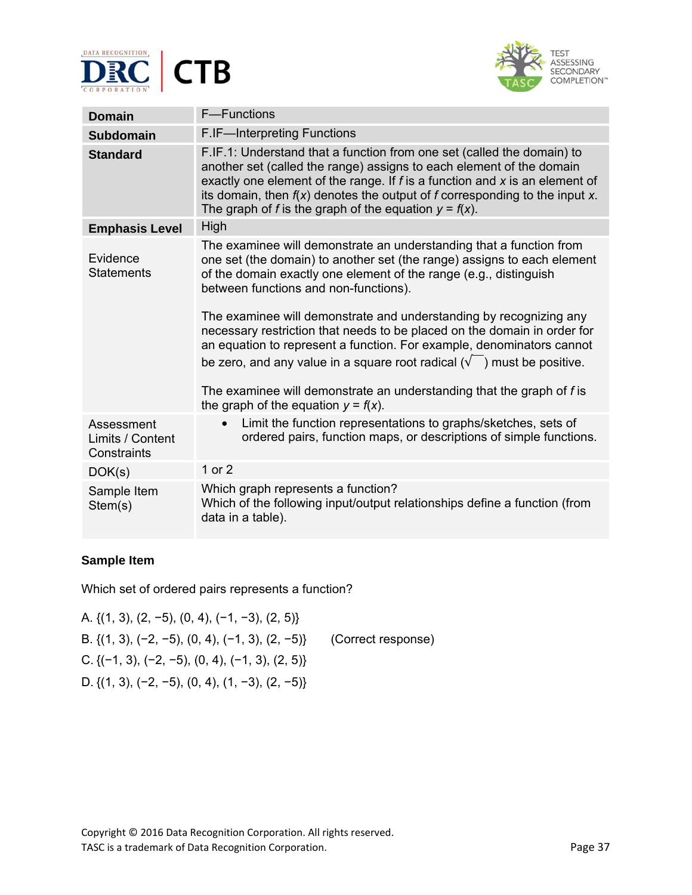



| <b>Domain</b>                                 | F-Functions                                                                                                                                                                                                                                                                                                                                                                                                                                                                                                                                                                                                                                                                                            |  |
|-----------------------------------------------|--------------------------------------------------------------------------------------------------------------------------------------------------------------------------------------------------------------------------------------------------------------------------------------------------------------------------------------------------------------------------------------------------------------------------------------------------------------------------------------------------------------------------------------------------------------------------------------------------------------------------------------------------------------------------------------------------------|--|
| <b>Subdomain</b>                              | F.IF-Interpreting Functions                                                                                                                                                                                                                                                                                                                                                                                                                                                                                                                                                                                                                                                                            |  |
| <b>Standard</b>                               | F.IF.1: Understand that a function from one set (called the domain) to<br>another set (called the range) assigns to each element of the domain<br>exactly one element of the range. If $f$ is a function and $x$ is an element of<br>its domain, then $f(x)$ denotes the output of f corresponding to the input x.<br>The graph of f is the graph of the equation $y = f(x)$ .                                                                                                                                                                                                                                                                                                                         |  |
| <b>Emphasis Level</b>                         | High                                                                                                                                                                                                                                                                                                                                                                                                                                                                                                                                                                                                                                                                                                   |  |
| Evidence<br><b>Statements</b>                 | The examinee will demonstrate an understanding that a function from<br>one set (the domain) to another set (the range) assigns to each element<br>of the domain exactly one element of the range (e.g., distinguish<br>between functions and non-functions).<br>The examinee will demonstrate and understanding by recognizing any<br>necessary restriction that needs to be placed on the domain in order for<br>an equation to represent a function. For example, denominators cannot<br>be zero, and any value in a square root radical $(\sqrt{\phantom{a}})$ must be positive.<br>The examinee will demonstrate an understanding that the graph of f is<br>the graph of the equation $y = f(x)$ . |  |
| Assessment<br>Limits / Content<br>Constraints | Limit the function representations to graphs/sketches, sets of<br>$\bullet$<br>ordered pairs, function maps, or descriptions of simple functions.                                                                                                                                                                                                                                                                                                                                                                                                                                                                                                                                                      |  |
| DOK(s)                                        | 1 or 2                                                                                                                                                                                                                                                                                                                                                                                                                                                                                                                                                                                                                                                                                                 |  |
| Sample Item<br>Stem(s)                        | Which graph represents a function?<br>Which of the following input/output relationships define a function (from<br>data in a table).                                                                                                                                                                                                                                                                                                                                                                                                                                                                                                                                                                   |  |

Which set of ordered pairs represents a function?

A. {(1, 3), (2, −5), (0, 4), (−1, −3), (2, 5)} B. {(1, 3), (−2, −5), (0, 4), (−1, 3), (2, −5)}(Correct response) C.  $\{(-1, 3), (-2, -5), (0, 4), (-1, 3), (2, 5)\}$ D. {(1, 3), (-2, -5), (0, 4), (1, -3), (2, -5)}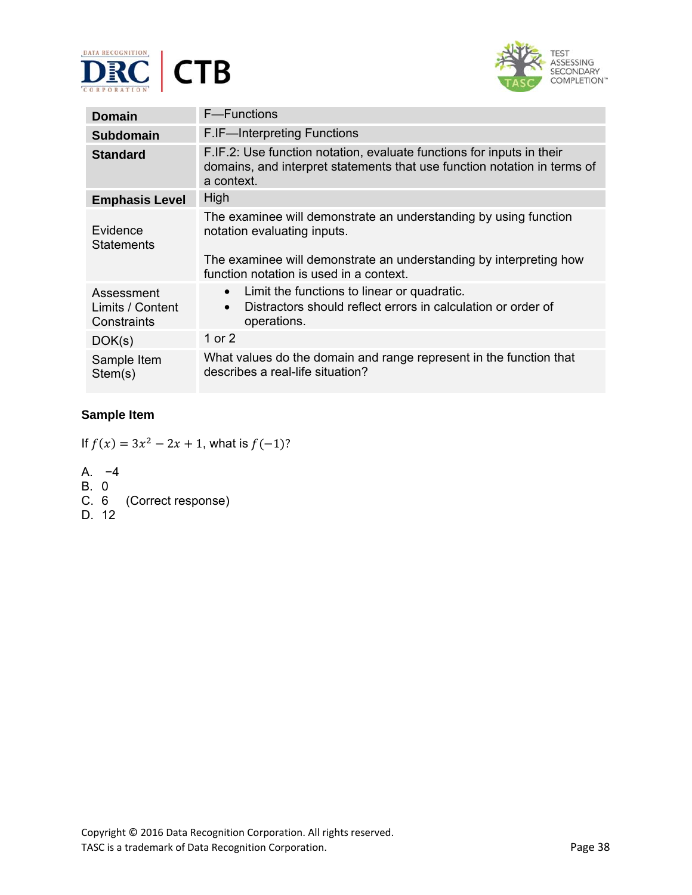



| Domain                                        | F-Functions                                                                                                                                                                                                      |  |
|-----------------------------------------------|------------------------------------------------------------------------------------------------------------------------------------------------------------------------------------------------------------------|--|
| <b>Subdomain</b>                              | F.IF-Interpreting Functions                                                                                                                                                                                      |  |
| <b>Standard</b>                               | F.IF.2: Use function notation, evaluate functions for inputs in their<br>domains, and interpret statements that use function notation in terms of<br>a context.                                                  |  |
| <b>Emphasis Level</b>                         | High                                                                                                                                                                                                             |  |
| Evidence<br><b>Statements</b>                 | The examinee will demonstrate an understanding by using function<br>notation evaluating inputs.<br>The examinee will demonstrate an understanding by interpreting how<br>function notation is used in a context. |  |
| Assessment<br>Limits / Content<br>Constraints | Limit the functions to linear or quadratic.<br>$\bullet$<br>Distractors should reflect errors in calculation or order of<br>$\bullet$<br>operations.                                                             |  |
| DOK(s)                                        | 1 or 2                                                                                                                                                                                                           |  |
| Sample Item<br>Stem(s)                        | What values do the domain and range represent in the function that<br>describes a real-life situation?                                                                                                           |  |

If  $f(x) = 3x^2 - 2x + 1$ , what is  $f(-1)$ ?

- A. −4
- B. 0
- C. 6 (Correct response)
- D. 12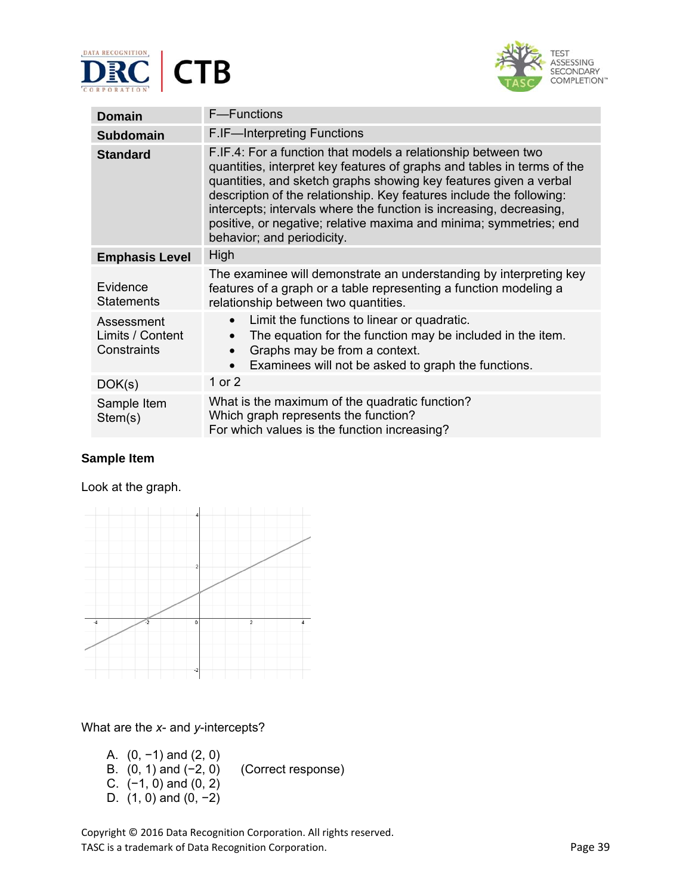



| <b>Domain</b>                                 | F-Functions                                                                                                                                                                                                                                                                                                                                                                                                                                                      |  |
|-----------------------------------------------|------------------------------------------------------------------------------------------------------------------------------------------------------------------------------------------------------------------------------------------------------------------------------------------------------------------------------------------------------------------------------------------------------------------------------------------------------------------|--|
| <b>Subdomain</b>                              | F.IF-Interpreting Functions                                                                                                                                                                                                                                                                                                                                                                                                                                      |  |
| <b>Standard</b>                               | F.IF.4: For a function that models a relationship between two<br>quantities, interpret key features of graphs and tables in terms of the<br>quantities, and sketch graphs showing key features given a verbal<br>description of the relationship. Key features include the following:<br>intercepts; intervals where the function is increasing, decreasing,<br>positive, or negative; relative maxima and minima; symmetries; end<br>behavior; and periodicity. |  |
| <b>Emphasis Level</b>                         | High                                                                                                                                                                                                                                                                                                                                                                                                                                                             |  |
| Evidence<br><b>Statements</b>                 | The examinee will demonstrate an understanding by interpreting key<br>features of a graph or a table representing a function modeling a<br>relationship between two quantities.                                                                                                                                                                                                                                                                                  |  |
| Assessment<br>Limits / Content<br>Constraints | Limit the functions to linear or quadratic.<br>$\bullet$<br>The equation for the function may be included in the item.<br>Graphs may be from a context.<br>$\bullet$<br>Examinees will not be asked to graph the functions.                                                                                                                                                                                                                                      |  |
| DOK(s)                                        | 1 or 2                                                                                                                                                                                                                                                                                                                                                                                                                                                           |  |
| Sample Item<br>Stem(s)                        | What is the maximum of the quadratic function?<br>Which graph represents the function?<br>For which values is the function increasing?                                                                                                                                                                                                                                                                                                                           |  |

Look at the graph.



#### What are the *x*- and *y*-intercepts?

A. (0, −1) and (2, 0) B. (0, 1) and (−2, 0) (Correct response) C. (−1, 0) and (0, 2) D. (1, 0) and (0, -2)

Copyright © 2016 Data Recognition Corporation. All rights reserved. TASC is a trademark of Data Recognition Corporation. The extra set of the extra set of Page 39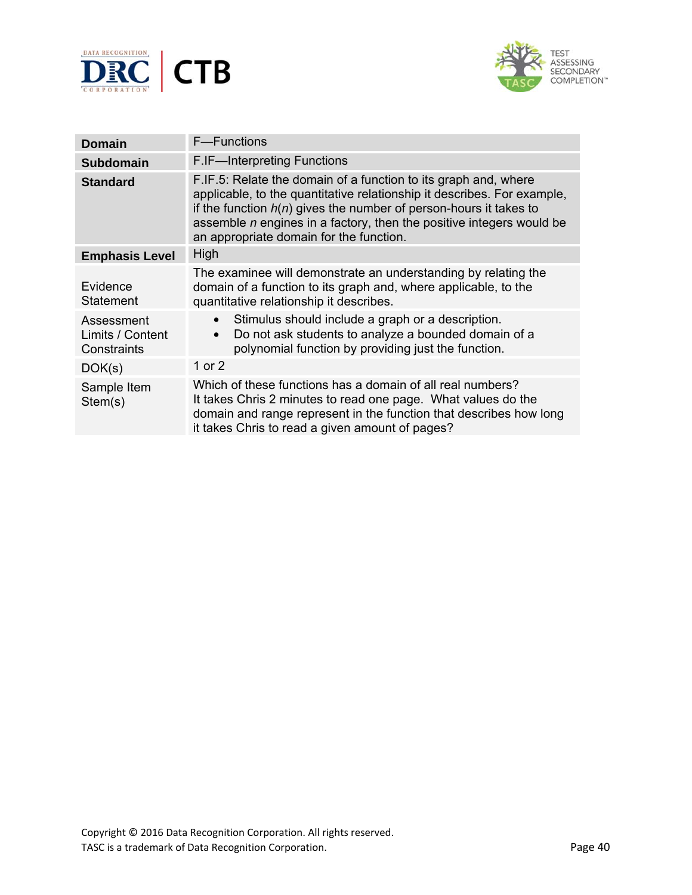



| <b>Domain</b>                                 | F-Functions                                                                                                                                                                                                                                                                                                                            |  |
|-----------------------------------------------|----------------------------------------------------------------------------------------------------------------------------------------------------------------------------------------------------------------------------------------------------------------------------------------------------------------------------------------|--|
| <b>Subdomain</b>                              | F.IF-Interpreting Functions                                                                                                                                                                                                                                                                                                            |  |
| <b>Standard</b>                               | F.IF.5: Relate the domain of a function to its graph and, where<br>applicable, to the quantitative relationship it describes. For example,<br>if the function $h(n)$ gives the number of person-hours it takes to<br>assemble $n$ engines in a factory, then the positive integers would be<br>an appropriate domain for the function. |  |
| <b>Emphasis Level</b>                         | High                                                                                                                                                                                                                                                                                                                                   |  |
| Evidence<br><b>Statement</b>                  | The examinee will demonstrate an understanding by relating the<br>domain of a function to its graph and, where applicable, to the<br>quantitative relationship it describes.                                                                                                                                                           |  |
| Assessment<br>Limits / Content<br>Constraints | Stimulus should include a graph or a description.<br>$\bullet$<br>Do not ask students to analyze a bounded domain of a<br>polynomial function by providing just the function.                                                                                                                                                          |  |
| DOK(s)                                        | 1 or $2$                                                                                                                                                                                                                                                                                                                               |  |
| Sample Item<br>Stem(s)                        | Which of these functions has a domain of all real numbers?<br>It takes Chris 2 minutes to read one page. What values do the<br>domain and range represent in the function that describes how long<br>it takes Chris to read a given amount of pages?                                                                                   |  |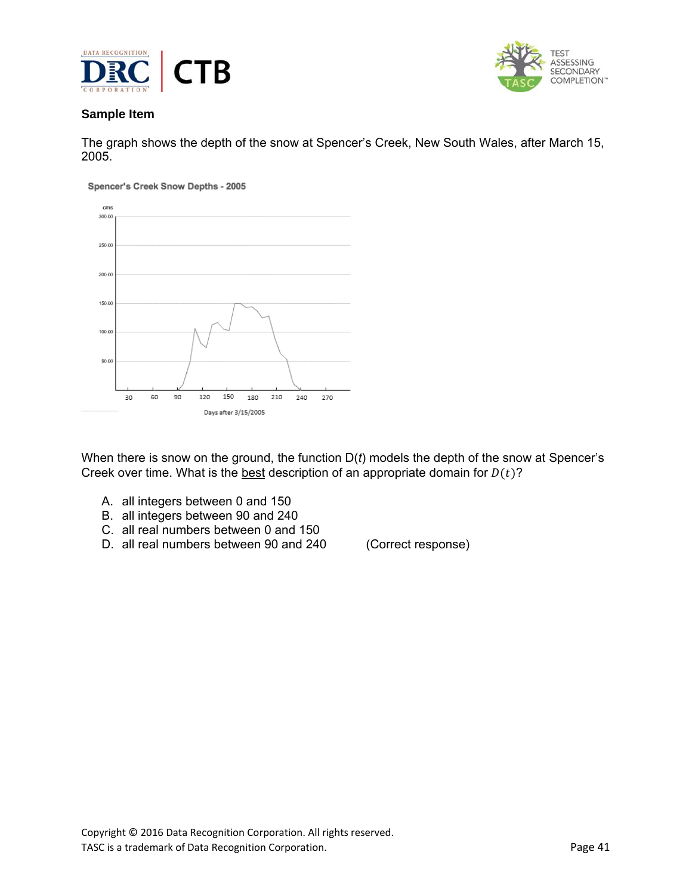



The graph shows the depth of the snow at Spencer's Creek, New South Wales, after March 15, 2005.

Spencer's Creek Snow Depths - 2005



When there is snow on the ground, the function D(*t*) models the depth of the snow at Spencer's Creek over time. What is the best description of an appropriate domain for  $D(t)$ ?

- A. all integers between 0 and 150
- B. all integers between 90 and 240
- C. all real numbers between 0 and 150
- D. all real numbers between 90 and 240 (Correct response)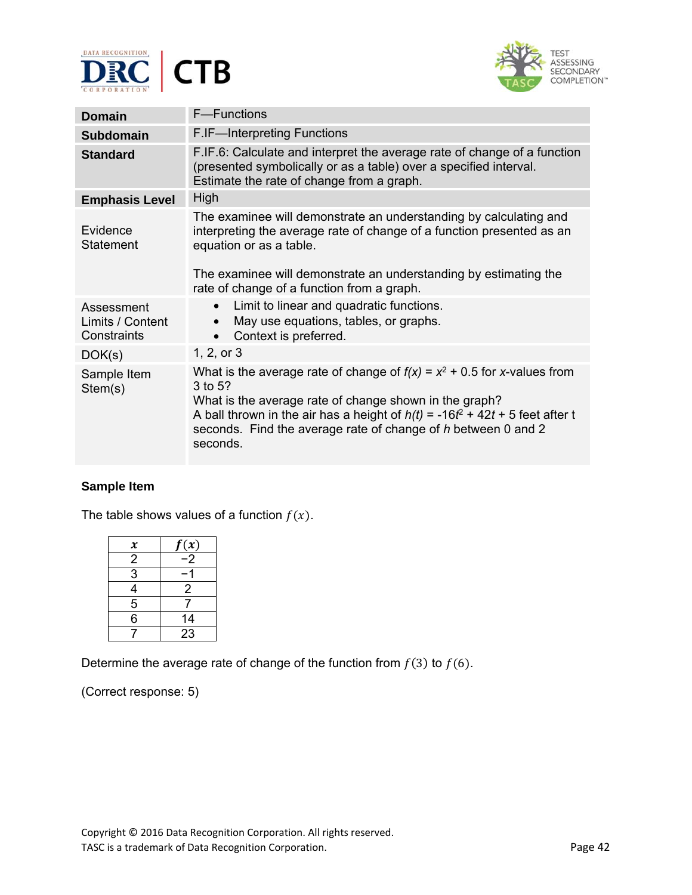



| <b>Domain</b>                                 | F-Functions                                                                                                                                                                                                                                                                                                     |  |
|-----------------------------------------------|-----------------------------------------------------------------------------------------------------------------------------------------------------------------------------------------------------------------------------------------------------------------------------------------------------------------|--|
| <b>Subdomain</b>                              | F.IF-Interpreting Functions                                                                                                                                                                                                                                                                                     |  |
| <b>Standard</b>                               | F.IF.6: Calculate and interpret the average rate of change of a function<br>(presented symbolically or as a table) over a specified interval.<br>Estimate the rate of change from a graph.                                                                                                                      |  |
| <b>Emphasis Level</b>                         | High                                                                                                                                                                                                                                                                                                            |  |
| Evidence<br>Statement                         | The examinee will demonstrate an understanding by calculating and<br>interpreting the average rate of change of a function presented as an<br>equation or as a table.<br>The examinee will demonstrate an understanding by estimating the<br>rate of change of a function from a graph.                         |  |
| Assessment<br>Limits / Content<br>Constraints | Limit to linear and quadratic functions.<br>$\bullet$<br>May use equations, tables, or graphs.<br>Context is preferred.<br>$\bullet$                                                                                                                                                                            |  |
| DOK(s)                                        | 1, 2, or 3                                                                                                                                                                                                                                                                                                      |  |
| Sample Item<br>Stem(s)                        | What is the average rate of change of $f(x) = x^2 + 0.5$ for x-values from<br>3 to 5?<br>What is the average rate of change shown in the graph?<br>A ball thrown in the air has a height of $h(t) = -16t^2 + 42t + 5$ feet after t<br>seconds. Find the average rate of change of h between 0 and 2<br>seconds. |  |

The table shows values of a function  $f(x)$ .

| $\pmb{\chi}$   | f(x)            |
|----------------|-----------------|
| $\overline{2}$ | $\overline{-2}$ |
| 3              |                 |
| 4              | 2               |
| $\overline{5}$ |                 |
| 6              | 14              |
|                | 23              |

Determine the average rate of change of the function from  $f(3)$  to  $f(6)$ .

(Correct response: 5)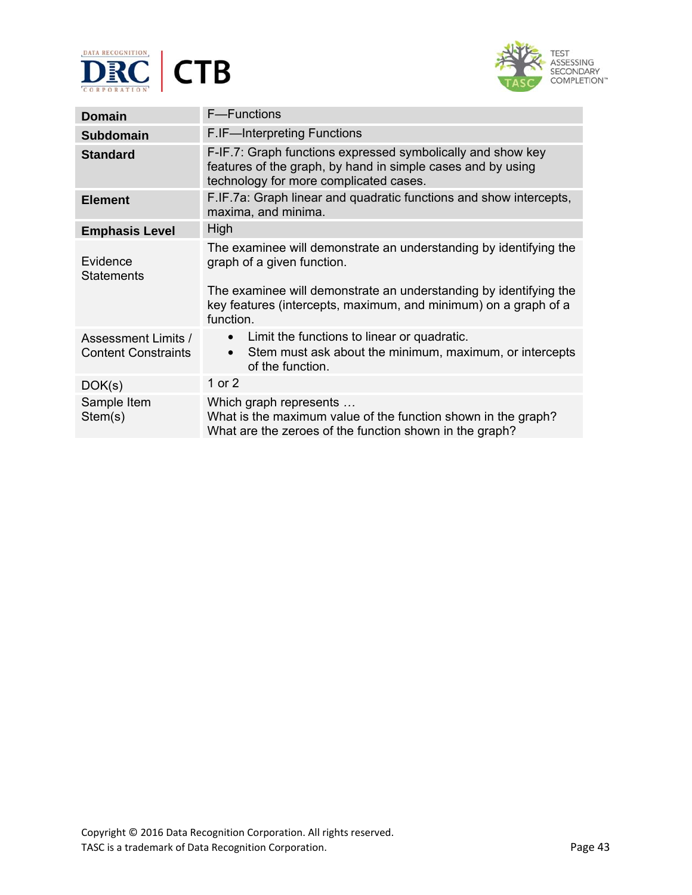



| Domain                                                   | F-Functions                                                                                                                                                                                                                                          |  |
|----------------------------------------------------------|------------------------------------------------------------------------------------------------------------------------------------------------------------------------------------------------------------------------------------------------------|--|
| <b>Subdomain</b>                                         | F.IF-Interpreting Functions                                                                                                                                                                                                                          |  |
| <b>Standard</b>                                          | F-IF.7: Graph functions expressed symbolically and show key<br>features of the graph, by hand in simple cases and by using<br>technology for more complicated cases.                                                                                 |  |
| <b>Element</b>                                           | F.IF.7a: Graph linear and quadratic functions and show intercepts,<br>maxima, and minima.                                                                                                                                                            |  |
| <b>Emphasis Level</b>                                    | High                                                                                                                                                                                                                                                 |  |
| Evidence<br><b>Statements</b>                            | The examinee will demonstrate an understanding by identifying the<br>graph of a given function.<br>The examinee will demonstrate an understanding by identifying the<br>key features (intercepts, maximum, and minimum) on a graph of a<br>function. |  |
| <b>Assessment Limits /</b><br><b>Content Constraints</b> | Limit the functions to linear or quadratic.<br>Stem must ask about the minimum, maximum, or intercepts<br>of the function.                                                                                                                           |  |
| DOK(s)                                                   | 1 or 2                                                                                                                                                                                                                                               |  |
| Sample Item<br>Stem(s)                                   | Which graph represents<br>What is the maximum value of the function shown in the graph?<br>What are the zeroes of the function shown in the graph?                                                                                                   |  |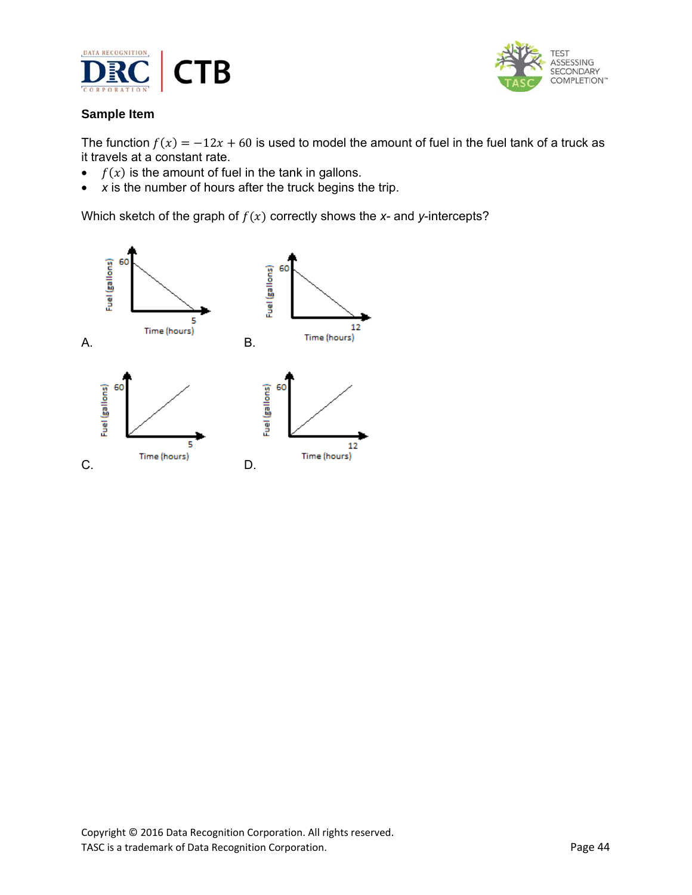



The function  $f(x) = -12x + 60$  is used to model the amount of fuel in the fuel tank of a truck as it travels at a constant rate.

- $f(x)$  is the amount of fuel in the tank in gallons.
- *x* is the number of hours after the truck begins the trip.

Which sketch of the graph of  $f(x)$  correctly shows the  $x$ - and  $y$ -intercepts?

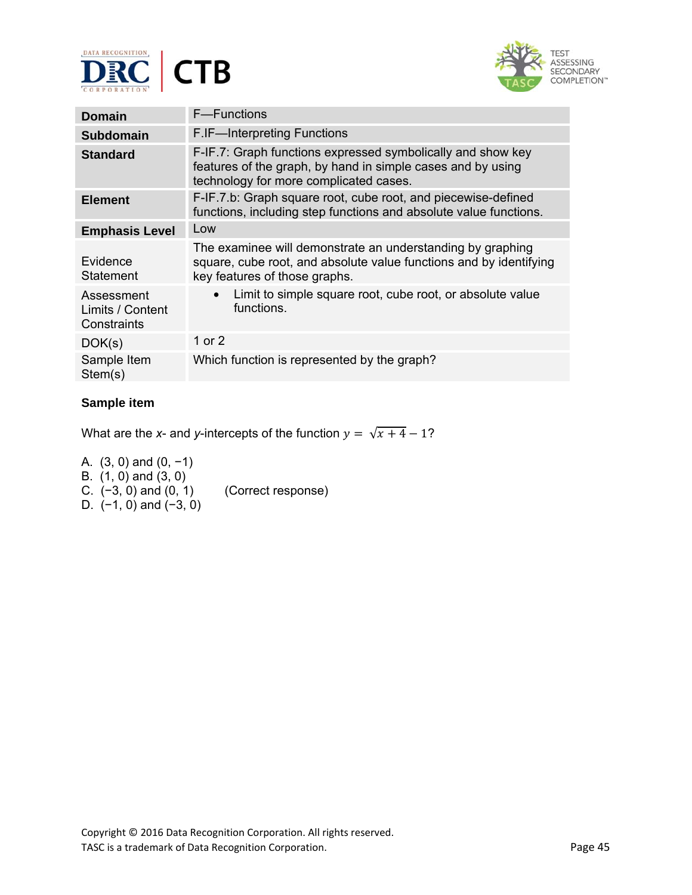



| Domain                                        | F-Functions                                                                                                                                                          |  |
|-----------------------------------------------|----------------------------------------------------------------------------------------------------------------------------------------------------------------------|--|
| Subdomain                                     | F.IF-Interpreting Functions                                                                                                                                          |  |
| <b>Standard</b>                               | F-IF.7: Graph functions expressed symbolically and show key<br>features of the graph, by hand in simple cases and by using<br>technology for more complicated cases. |  |
| <b>Element</b>                                | F-IF.7.b: Graph square root, cube root, and piecewise-defined<br>functions, including step functions and absolute value functions.                                   |  |
| <b>Emphasis Level</b>                         | Low                                                                                                                                                                  |  |
| Evidence<br>Statement                         | The examinee will demonstrate an understanding by graphing<br>square, cube root, and absolute value functions and by identifying<br>key features of those graphs.    |  |
| Assessment<br>Limits / Content<br>Constraints | Limit to simple square root, cube root, or absolute value<br>functions.                                                                                              |  |
| DOK(s)                                        | 1 or 2                                                                                                                                                               |  |
| Sample Item<br>Stem(s)                        | Which function is represented by the graph?                                                                                                                          |  |

What are the *x*- and *y*-intercepts of the function  $y = \sqrt{x+4} - 1$ ?

A. (3, 0) and (0, −1) B. (1, 0) and (3, 0) C. (−3, 0) and (0, 1) (Correct response) D. (−1, 0) and (−3, 0)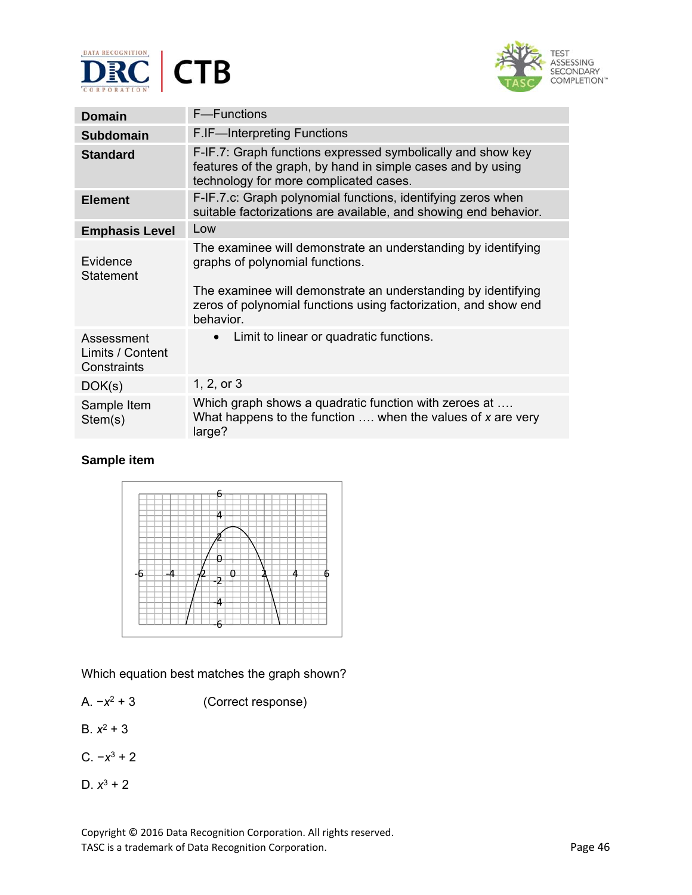



| <b>Domain</b>                                 | <b>F</b> —Functions                                                                                                                                                  |  |
|-----------------------------------------------|----------------------------------------------------------------------------------------------------------------------------------------------------------------------|--|
| <b>Subdomain</b>                              | <b>F.IF-Interpreting Functions</b>                                                                                                                                   |  |
| <b>Standard</b>                               | F-IF.7: Graph functions expressed symbolically and show key<br>features of the graph, by hand in simple cases and by using<br>technology for more complicated cases. |  |
| <b>Element</b>                                | F-IF.7.c: Graph polynomial functions, identifying zeros when<br>suitable factorizations are available, and showing end behavior.                                     |  |
| <b>Emphasis Level</b>                         | Low                                                                                                                                                                  |  |
| Evidence<br>Statement                         | The examinee will demonstrate an understanding by identifying<br>graphs of polynomial functions.<br>The examinee will demonstrate an understanding by identifying    |  |
|                                               | zeros of polynomial functions using factorization, and show end<br>behavior.                                                                                         |  |
| Assessment<br>Limits / Content<br>Constraints | Limit to linear or quadratic functions.                                                                                                                              |  |
| DOK(s)                                        | 1, 2, or 3                                                                                                                                                           |  |
| Sample Item<br>Stem(s)                        | Which graph shows a quadratic function with zeroes at<br>What happens to the function $\dots$ when the values of x are very<br>large?                                |  |



Which equation best matches the graph shown?

- A. −*x*2 + 3(Correct response)
- B.  $x^2 + 3$
- C. −*x*3 + 2
- D.  $x^3 + 2$

Copyright © 2016 Data Recognition Corporation. All rights reserved. TASC is a trademark of Data Recognition Corporation. The extra set of the Page 46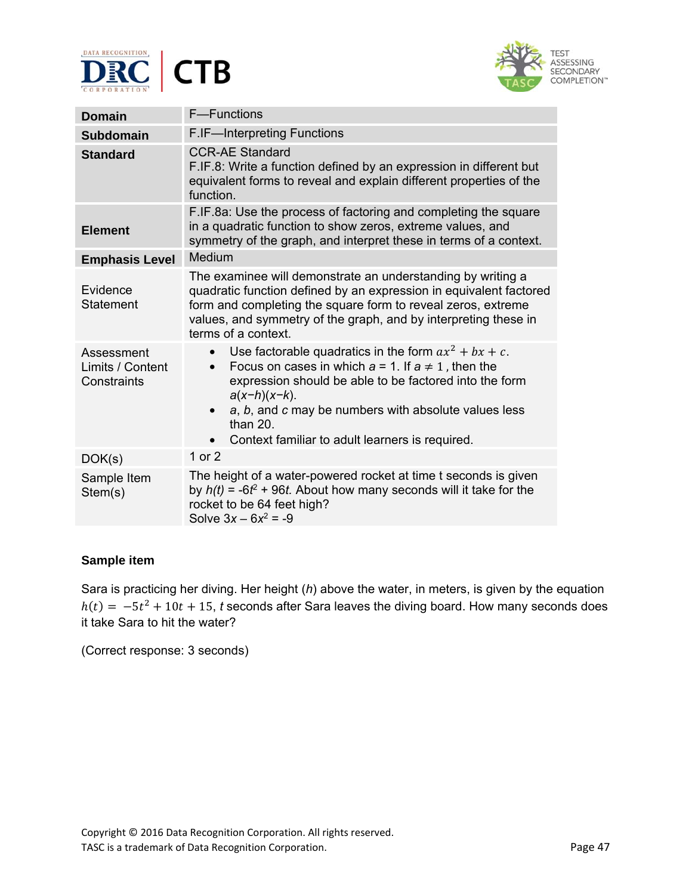



| <b>Domain</b>                                 | F-Functions                                                                                                                                                                                                                                                                                                                                         |  |
|-----------------------------------------------|-----------------------------------------------------------------------------------------------------------------------------------------------------------------------------------------------------------------------------------------------------------------------------------------------------------------------------------------------------|--|
| <b>Subdomain</b>                              | F.IF-Interpreting Functions                                                                                                                                                                                                                                                                                                                         |  |
| <b>Standard</b>                               | <b>CCR-AE Standard</b><br>F.IF.8: Write a function defined by an expression in different but<br>equivalent forms to reveal and explain different properties of the<br>function.                                                                                                                                                                     |  |
| <b>Element</b>                                | F.IF.8a: Use the process of factoring and completing the square<br>in a quadratic function to show zeros, extreme values, and<br>symmetry of the graph, and interpret these in terms of a context.                                                                                                                                                  |  |
| <b>Emphasis Level</b>                         | Medium                                                                                                                                                                                                                                                                                                                                              |  |
| Evidence<br><b>Statement</b>                  | The examinee will demonstrate an understanding by writing a<br>quadratic function defined by an expression in equivalent factored<br>form and completing the square form to reveal zeros, extreme<br>values, and symmetry of the graph, and by interpreting these in<br>terms of a context.                                                         |  |
| Assessment<br>Limits / Content<br>Constraints | Use factorable quadratics in the form $ax^2 + bx + c$ .<br>$\bullet$<br>Focus on cases in which $a = 1$ . If $a \neq 1$ , then the<br>expression should be able to be factored into the form<br>$a(x-h)(x-k)$ .<br>a, b, and c may be numbers with absolute values less<br>$\bullet$<br>than 20.<br>Context familiar to adult learners is required. |  |
| DOK(s)                                        | 1 or 2                                                                                                                                                                                                                                                                                                                                              |  |
| Sample Item<br>Stem(s)                        | The height of a water-powered rocket at time t seconds is given<br>by $h(t) = -6t^2 + 96t$ . About how many seconds will it take for the<br>rocket to be 64 feet high?<br>Solve $3x - 6x^2 = -9$                                                                                                                                                    |  |

Sara is practicing her diving. Her height (*h*) above the water, in meters, is given by the equation  $h(t) = -5t^2 + 10t + 15$ , *t* seconds after Sara leaves the diving board. How many seconds does it take Sara to hit the water?

(Correct response: 3 seconds)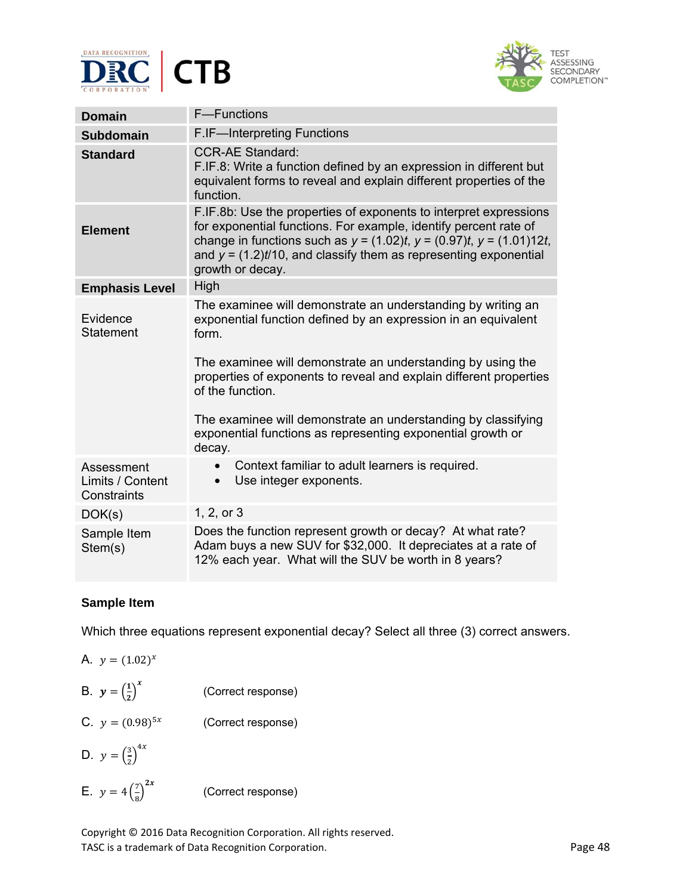



| <b>Domain</b>                                 | F-Functions                                                                                                                                                                                                                                                                                                                                                                                                                                |  |
|-----------------------------------------------|--------------------------------------------------------------------------------------------------------------------------------------------------------------------------------------------------------------------------------------------------------------------------------------------------------------------------------------------------------------------------------------------------------------------------------------------|--|
| <b>Subdomain</b>                              | <b>F.IF-Interpreting Functions</b>                                                                                                                                                                                                                                                                                                                                                                                                         |  |
| <b>Standard</b>                               | <b>CCR-AE Standard:</b><br>F.IF.8: Write a function defined by an expression in different but<br>equivalent forms to reveal and explain different properties of the<br>function.                                                                                                                                                                                                                                                           |  |
| <b>Element</b>                                | F.IF.8b: Use the properties of exponents to interpret expressions<br>for exponential functions. For example, identify percent rate of<br>change in functions such as $y = (1.02)t$ , $y = (0.97)t$ , $y = (1.01)12t$ ,<br>and $y = (1.2)t/10$ , and classify them as representing exponential<br>growth or decay.                                                                                                                          |  |
| <b>Emphasis Level</b>                         | High                                                                                                                                                                                                                                                                                                                                                                                                                                       |  |
| Evidence<br>Statement                         | The examinee will demonstrate an understanding by writing an<br>exponential function defined by an expression in an equivalent<br>form.<br>The examinee will demonstrate an understanding by using the<br>properties of exponents to reveal and explain different properties<br>of the function.<br>The examinee will demonstrate an understanding by classifying<br>exponential functions as representing exponential growth or<br>decay. |  |
| Assessment<br>Limits / Content<br>Constraints | Context familiar to adult learners is required.<br>Use integer exponents.<br>$\bullet$                                                                                                                                                                                                                                                                                                                                                     |  |
| DOK(s)                                        | 1, 2, or 3                                                                                                                                                                                                                                                                                                                                                                                                                                 |  |
| Sample Item<br>Stem(s)                        | Does the function represent growth or decay? At what rate?<br>Adam buys a new SUV for \$32,000. It depreciates at a rate of<br>12% each year. What will the SUV be worth in 8 years?                                                                                                                                                                                                                                                       |  |

Which three equations represent exponential decay? Select all three (3) correct answers.

| A. $y = (1.02)^{x}$                 |                    |
|-------------------------------------|--------------------|
| B. $y = \left(\frac{1}{2}\right)^x$ | (Correct response) |

- C.  $y = (0.98)^{5x}$  (Correct response)
- D.  $y = \left(\frac{3}{2}\right)^{4x}$
- E.  $y = 4\left(\frac{7}{8}\right)^{2x}$ (Correct response)

Copyright © 2016 Data Recognition Corporation. All rights reserved. TASC is a trademark of Data Recognition Corporation. The extended of the Page 48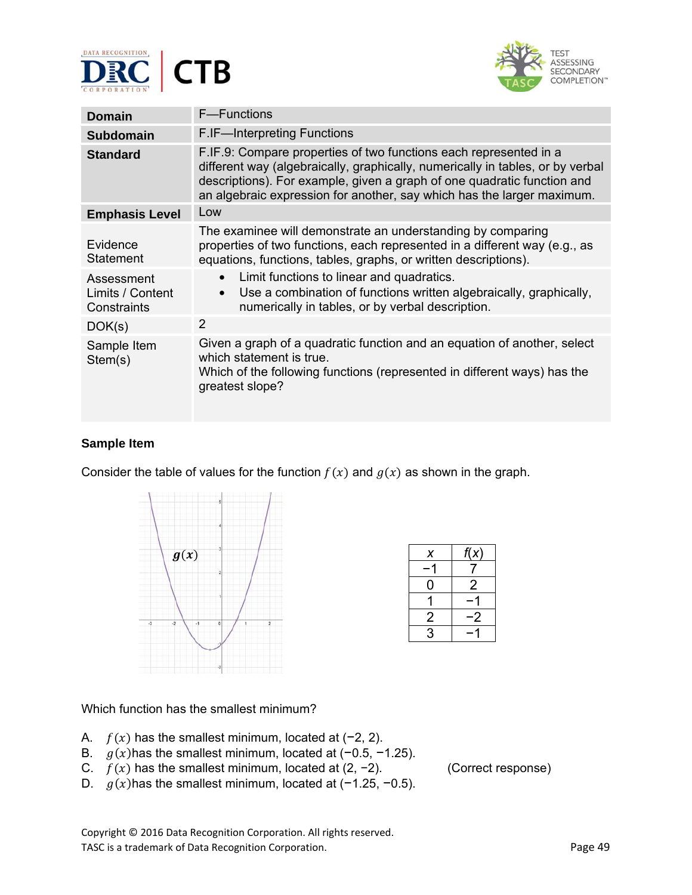



| <b>Domain</b>                                 | F-Functions                                                                                                                                                                                                                                                                                              |
|-----------------------------------------------|----------------------------------------------------------------------------------------------------------------------------------------------------------------------------------------------------------------------------------------------------------------------------------------------------------|
| <b>Subdomain</b>                              | <b>F.IF-Interpreting Functions</b>                                                                                                                                                                                                                                                                       |
| <b>Standard</b>                               | F.IF.9: Compare properties of two functions each represented in a<br>different way (algebraically, graphically, numerically in tables, or by verbal<br>descriptions). For example, given a graph of one quadratic function and<br>an algebraic expression for another, say which has the larger maximum. |
| <b>Emphasis Level</b>                         | Low                                                                                                                                                                                                                                                                                                      |
| Evidence<br><b>Statement</b>                  | The examinee will demonstrate an understanding by comparing<br>properties of two functions, each represented in a different way (e.g., as<br>equations, functions, tables, graphs, or written descriptions).                                                                                             |
| Assessment<br>Limits / Content<br>Constraints | Limit functions to linear and quadratics.<br>$\bullet$<br>Use a combination of functions written algebraically, graphically,<br>$\bullet$<br>numerically in tables, or by verbal description.                                                                                                            |
| DOK(s)                                        | $\mathcal{P}$                                                                                                                                                                                                                                                                                            |
| Sample Item<br>Stem(s)                        | Given a graph of a quadratic function and an equation of another, select<br>which statement is true.<br>Which of the following functions (represented in different ways) has the<br>greatest slope?                                                                                                      |

Consider the table of values for the function  $f(x)$  and  $g(x)$  as shown in the graph.



| х | f(x) |
|---|------|
|   |      |
| O | 2    |
|   |      |
| 2 | .2   |
| 3 |      |

### Which function has the smallest minimum?

- A.  $f(x)$  has the smallest minimum, located at (−2, 2).
- B.  $g(x)$  has the smallest minimum, located at (−0.5, −1.25).
- C.  $f(x)$  has the smallest minimum, located at (2, −2). (Correct response)
- D.  $g(x)$ has the smallest minimum, located at (−1.25, −0.5).

Copyright © 2016 Data Recognition Corporation. All rights reserved. TASC is a trademark of Data Recognition Corporation. The extra set of the extra  $P$  Page 49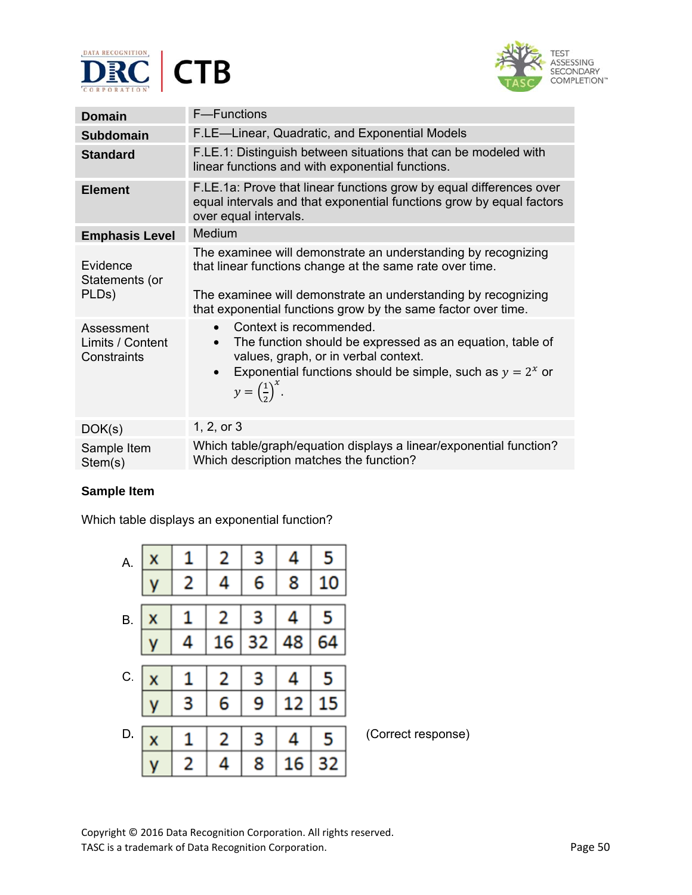



| <b>Domain</b>                                 | F-Functions                                                                                                                                                                                                                                                 |
|-----------------------------------------------|-------------------------------------------------------------------------------------------------------------------------------------------------------------------------------------------------------------------------------------------------------------|
| <b>Subdomain</b>                              | F.LE-Linear, Quadratic, and Exponential Models                                                                                                                                                                                                              |
| <b>Standard</b>                               | F.LE.1: Distinguish between situations that can be modeled with<br>linear functions and with exponential functions.                                                                                                                                         |
| <b>Element</b>                                | F.LE.1a: Prove that linear functions grow by equal differences over<br>equal intervals and that exponential functions grow by equal factors<br>over equal intervals.                                                                                        |
| <b>Emphasis Level</b>                         | Medium                                                                                                                                                                                                                                                      |
| Evidence<br>Statements (or<br>PLDs)           | The examinee will demonstrate an understanding by recognizing<br>that linear functions change at the same rate over time.<br>The examinee will demonstrate an understanding by recognizing<br>that exponential functions grow by the same factor over time. |
| Assessment<br>Limits / Content<br>Constraints | Context is recommended.<br>The function should be expressed as an equation, table of<br>values, graph, or in verbal context.<br>Exponential functions should be simple, such as $y = 2^x$ or<br>$\bullet$<br>$y=\left(\frac{1}{2}\right)^{x}$ .             |
| DOK(s)                                        | 1, 2, or 3                                                                                                                                                                                                                                                  |
| Sample Item<br>Stem(s)                        | Which table/graph/equation displays a linear/exponential function?<br>Which description matches the function?                                                                                                                                               |

Which table displays an exponential function?

| А.        | x |   | 2  |    |    |    |                    |
|-----------|---|---|----|----|----|----|--------------------|
|           |   | 2 |    | 6  | 8  | 10 |                    |
| <b>B.</b> | х |   | 2  |    |    |    |                    |
|           |   |   | 16 | 32 | 48 |    |                    |
| C.        | x |   | 2  | B  |    |    |                    |
|           |   |   | 6  |    |    |    |                    |
| D.        | x |   | 2  |    |    | 5  | (Correct response) |
|           |   | 2 |    | 8  | 16 | 32 |                    |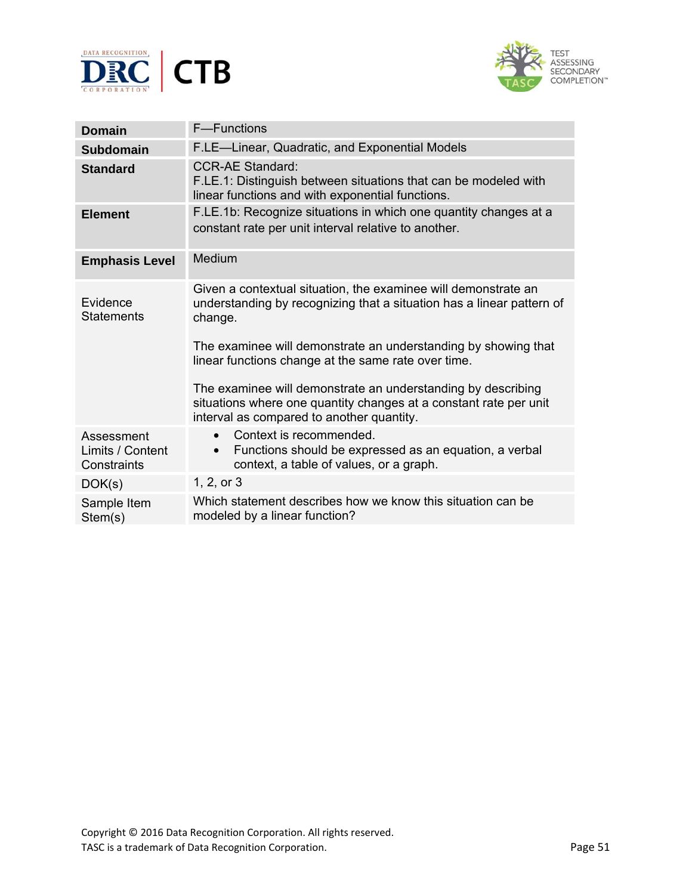



| <b>Domain</b>                                 | <b>F-Functions</b>                                                                                                                                                                                                                                                                                                                                                                                               |
|-----------------------------------------------|------------------------------------------------------------------------------------------------------------------------------------------------------------------------------------------------------------------------------------------------------------------------------------------------------------------------------------------------------------------------------------------------------------------|
| <b>Subdomain</b>                              | F.LE-Linear, Quadratic, and Exponential Models                                                                                                                                                                                                                                                                                                                                                                   |
| <b>Standard</b>                               | <b>CCR-AE Standard:</b><br>F.LE.1: Distinguish between situations that can be modeled with<br>linear functions and with exponential functions.                                                                                                                                                                                                                                                                   |
| <b>Element</b>                                | F.LE.1b: Recognize situations in which one quantity changes at a<br>constant rate per unit interval relative to another.                                                                                                                                                                                                                                                                                         |
| <b>Emphasis Level</b>                         | Medium                                                                                                                                                                                                                                                                                                                                                                                                           |
| Evidence<br><b>Statements</b>                 | Given a contextual situation, the examinee will demonstrate an<br>understanding by recognizing that a situation has a linear pattern of<br>change.<br>The examinee will demonstrate an understanding by showing that<br>linear functions change at the same rate over time.<br>The examinee will demonstrate an understanding by describing<br>situations where one quantity changes at a constant rate per unit |
|                                               | interval as compared to another quantity.                                                                                                                                                                                                                                                                                                                                                                        |
| Assessment<br>Limits / Content<br>Constraints | Context is recommended.<br>Functions should be expressed as an equation, a verbal<br>context, a table of values, or a graph.                                                                                                                                                                                                                                                                                     |
| DOK(s)                                        | 1, 2, or 3                                                                                                                                                                                                                                                                                                                                                                                                       |
| Sample Item<br>Stem(s)                        | Which statement describes how we know this situation can be<br>modeled by a linear function?                                                                                                                                                                                                                                                                                                                     |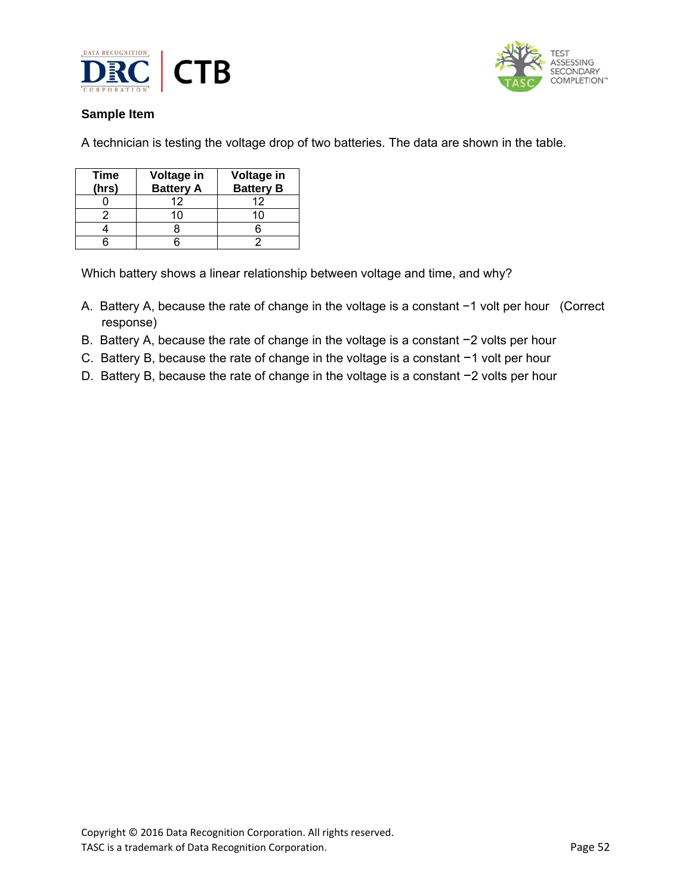



A technician is testing the voltage drop of two batteries. The data are shown in the table.

| Time<br>(hrs) | Voltage in<br><b>Battery A</b> | Voltage in<br><b>Battery B</b> |
|---------------|--------------------------------|--------------------------------|
|               | 12                             | 12                             |
|               | 11                             |                                |
|               |                                |                                |
|               |                                |                                |

Which battery shows a linear relationship between voltage and time, and why?

- A. Battery A, because the rate of change in the voltage is a constant −1 volt per hour(Correct response)
- B. Battery A, because the rate of change in the voltage is a constant −2 volts per hour
- C. Battery B, because the rate of change in the voltage is a constant −1 volt per hour
- D. Battery B, because the rate of change in the voltage is a constant −2 volts per hour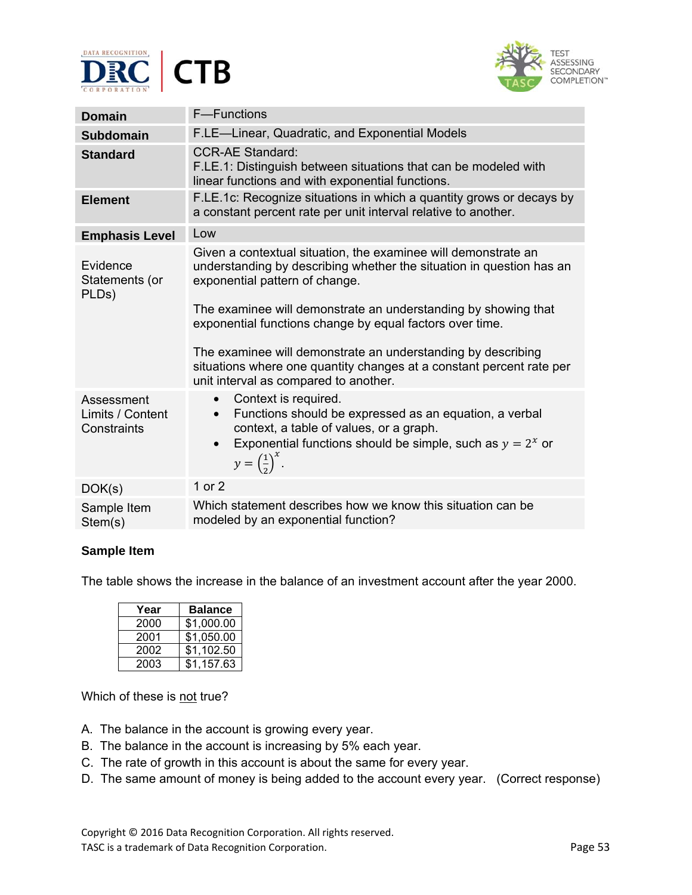



| <b>Domain</b>                                 | F-Functions                                                                                                                                                                                                                                                                                                                                                                                                                                                                             |
|-----------------------------------------------|-----------------------------------------------------------------------------------------------------------------------------------------------------------------------------------------------------------------------------------------------------------------------------------------------------------------------------------------------------------------------------------------------------------------------------------------------------------------------------------------|
| <b>Subdomain</b>                              | F.LE-Linear, Quadratic, and Exponential Models                                                                                                                                                                                                                                                                                                                                                                                                                                          |
| <b>Standard</b>                               | <b>CCR-AE Standard:</b><br>F.LE.1: Distinguish between situations that can be modeled with<br>linear functions and with exponential functions.                                                                                                                                                                                                                                                                                                                                          |
| <b>Element</b>                                | F.LE.1c: Recognize situations in which a quantity grows or decays by<br>a constant percent rate per unit interval relative to another.                                                                                                                                                                                                                                                                                                                                                  |
| <b>Emphasis Level</b>                         | Low                                                                                                                                                                                                                                                                                                                                                                                                                                                                                     |
| Evidence<br>Statements (or<br>PLDs)           | Given a contextual situation, the examinee will demonstrate an<br>understanding by describing whether the situation in question has an<br>exponential pattern of change.<br>The examinee will demonstrate an understanding by showing that<br>exponential functions change by equal factors over time.<br>The examinee will demonstrate an understanding by describing<br>situations where one quantity changes at a constant percent rate per<br>unit interval as compared to another. |
| Assessment<br>Limits / Content<br>Constraints | Context is required.<br>$\bullet$<br>Functions should be expressed as an equation, a verbal<br>$\bullet$<br>context, a table of values, or a graph.<br>Exponential functions should be simple, such as $y = 2^x$ or<br>$\bullet$<br>$y=\left(\frac{1}{2}\right)^{x}$ .                                                                                                                                                                                                                  |
| DOK(s)                                        | 1 or 2                                                                                                                                                                                                                                                                                                                                                                                                                                                                                  |
| Sample Item<br>Stem(s)                        | Which statement describes how we know this situation can be<br>modeled by an exponential function?                                                                                                                                                                                                                                                                                                                                                                                      |

The table shows the increase in the balance of an investment account after the year 2000.

| Year | <b>Balance</b> |
|------|----------------|
| 2000 | \$1,000.00     |
| 2001 | \$1,050.00     |
| 2002 | \$1,102.50     |
| 2003 | \$1,157.63     |

Which of these is not true?

- A. The balance in the account is growing every year.
- B. The balance in the account is increasing by 5% each year.
- C. The rate of growth in this account is about the same for every year.
- D. The same amount of money is being added to the account every year. (Correct response)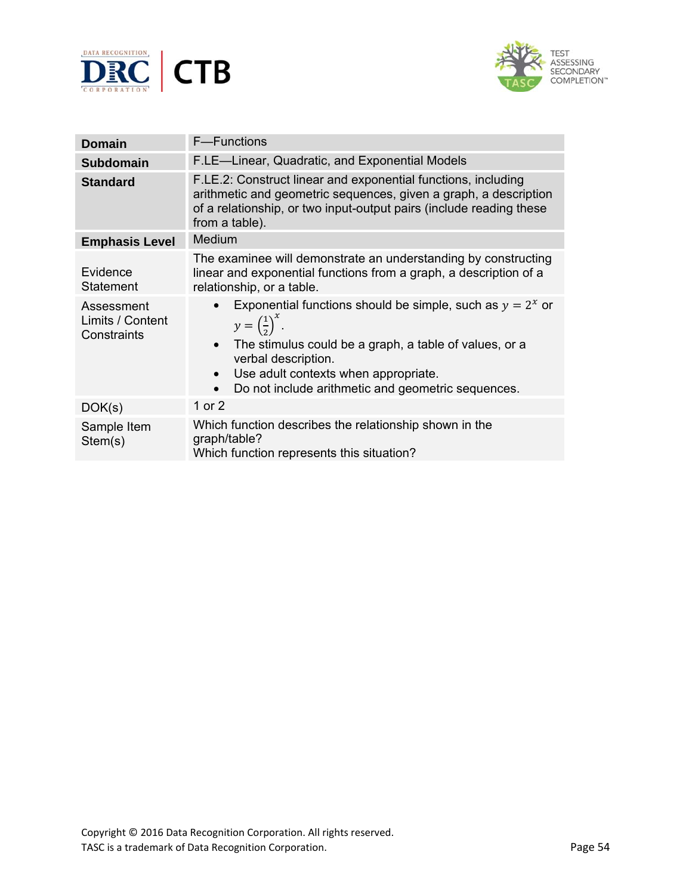



| <b>Domain</b>                                                                 | <b>F</b> —Functions                                                                                                                                                                                                                                                    |  |  |  |
|-------------------------------------------------------------------------------|------------------------------------------------------------------------------------------------------------------------------------------------------------------------------------------------------------------------------------------------------------------------|--|--|--|
| <b>Subdomain</b>                                                              | F.LE-Linear, Quadratic, and Exponential Models                                                                                                                                                                                                                         |  |  |  |
| <b>Standard</b>                                                               | F.LE.2: Construct linear and exponential functions, including<br>arithmetic and geometric sequences, given a graph, a description<br>of a relationship, or two input-output pairs (include reading these<br>from a table).                                             |  |  |  |
| <b>Emphasis Level</b>                                                         | <b>Medium</b>                                                                                                                                                                                                                                                          |  |  |  |
| Evidence<br><b>Statement</b><br>Assessment<br>Limits / Content<br>Constraints | The examinee will demonstrate an understanding by constructing<br>linear and exponential functions from a graph, a description of a<br>relationship, or a table.<br>Exponential functions should be simple, such as $y = 2^x$ or<br>$y=\left(\frac{1}{2}\right)^{x}$ . |  |  |  |
|                                                                               | The stimulus could be a graph, a table of values, or a<br>verbal description.<br>Use adult contexts when appropriate.<br>Do not include arithmetic and geometric sequences.                                                                                            |  |  |  |
| DOK(s)                                                                        | 1 or 2                                                                                                                                                                                                                                                                 |  |  |  |
| Sample Item<br>Stem(s)                                                        | Which function describes the relationship shown in the<br>graph/table?<br>Which function represents this situation?                                                                                                                                                    |  |  |  |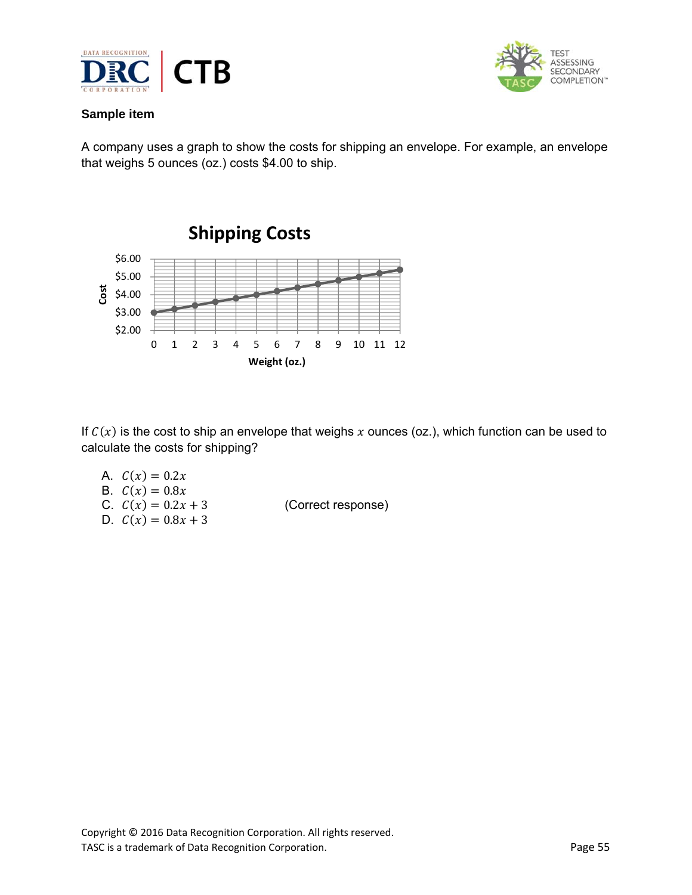



A company uses a graph to show the costs for shipping an envelope. For example, an envelope that weighs 5 ounces (oz.) costs \$4.00 to ship.



If  $C(x)$  is the cost to ship an envelope that weighs x ounces (oz.), which function can be used to calculate the costs for shipping?

A.  $C(x) = 0.2x$ B.  $C(x) = 0.8x$ C.  $C(x) = 0.2x + 3$  (Correct response) D.  $C(x) = 0.8x + 3$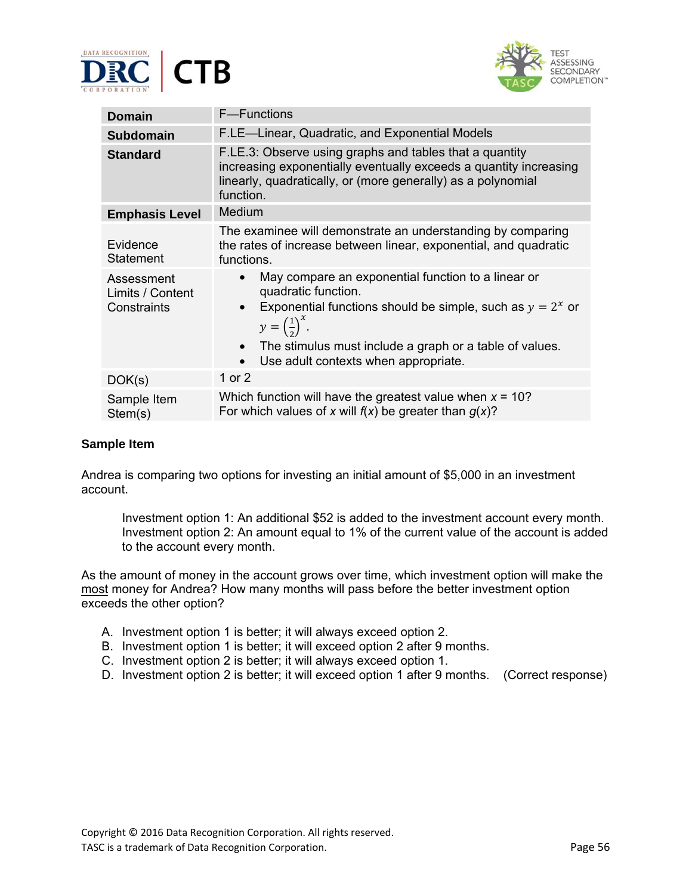



| <b>Domain</b>                                 | <b>F</b> —Functions                                                                                                                                                                                                                                                                                                                    |  |  |  |
|-----------------------------------------------|----------------------------------------------------------------------------------------------------------------------------------------------------------------------------------------------------------------------------------------------------------------------------------------------------------------------------------------|--|--|--|
| <b>Subdomain</b>                              | F.LE-Linear, Quadratic, and Exponential Models                                                                                                                                                                                                                                                                                         |  |  |  |
| <b>Standard</b>                               | F.LE.3: Observe using graphs and tables that a quantity<br>increasing exponentially eventually exceeds a quantity increasing<br>linearly, quadratically, or (more generally) as a polynomial<br>function.                                                                                                                              |  |  |  |
| <b>Emphasis Level</b>                         | Medium                                                                                                                                                                                                                                                                                                                                 |  |  |  |
| Evidence<br>Statement                         | The examinee will demonstrate an understanding by comparing<br>the rates of increase between linear, exponential, and quadratic<br>functions.                                                                                                                                                                                          |  |  |  |
| Assessment<br>Limits / Content<br>Constraints | May compare an exponential function to a linear or<br>$\bullet$<br>quadratic function.<br>Exponential functions should be simple, such as $y = 2^x$ or<br>$\bullet$<br>$y=\left(\frac{1}{2}\right)^{x}$ .<br>The stimulus must include a graph or a table of values.<br>$\bullet$<br>Use adult contexts when appropriate.<br>$\bullet$ |  |  |  |
| DOK(s)                                        | 1 or 2                                                                                                                                                                                                                                                                                                                                 |  |  |  |
| Sample Item<br>Stem(s)                        | Which function will have the greatest value when $x = 10$ ?<br>For which values of x will $f(x)$ be greater than $g(x)$ ?                                                                                                                                                                                                              |  |  |  |

Andrea is comparing two options for investing an initial amount of \$5,000 in an investment account.

Investment option 1: An additional \$52 is added to the investment account every month. Investment option 2: An amount equal to 1% of the current value of the account is added to the account every month.

As the amount of money in the account grows over time, which investment option will make the most money for Andrea? How many months will pass before the better investment option exceeds the other option?

- A. Investment option 1 is better; it will always exceed option 2.
- B. Investment option 1 is better; it will exceed option 2 after 9 months.
- C. Investment option 2 is better; it will always exceed option 1.
- D. Investment option 2 is better; it will exceed option 1 after 9 months.(Correct response)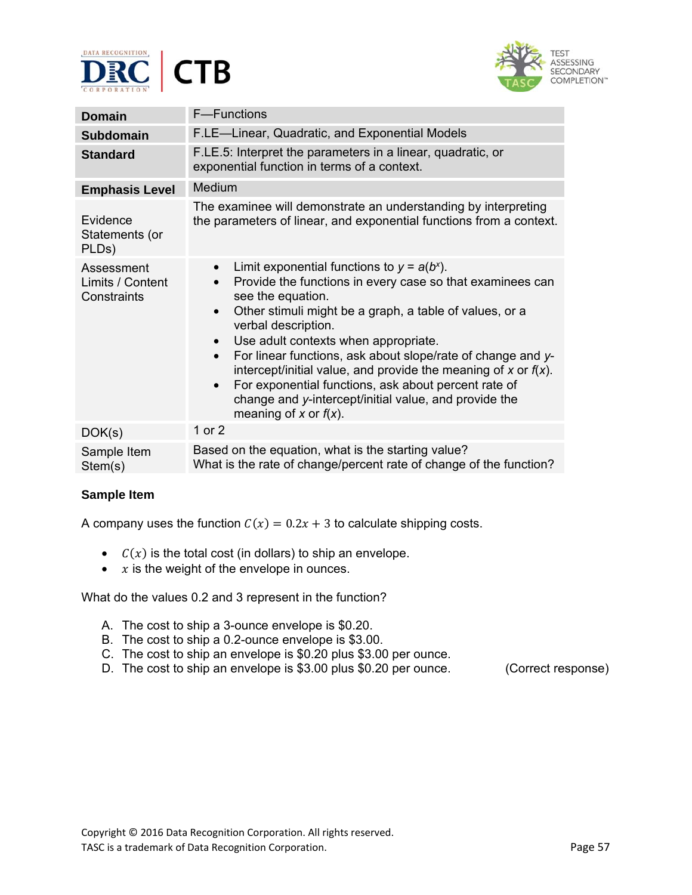



| <b>Domain</b>                                 | F-Functions                                                                                                                                                                                                                                                                                                                                                                                                                                                                                                                                                                                    |  |  |  |
|-----------------------------------------------|------------------------------------------------------------------------------------------------------------------------------------------------------------------------------------------------------------------------------------------------------------------------------------------------------------------------------------------------------------------------------------------------------------------------------------------------------------------------------------------------------------------------------------------------------------------------------------------------|--|--|--|
| <b>Subdomain</b>                              | F.LE-Linear, Quadratic, and Exponential Models                                                                                                                                                                                                                                                                                                                                                                                                                                                                                                                                                 |  |  |  |
| <b>Standard</b>                               | F.LE.5: Interpret the parameters in a linear, quadratic, or<br>exponential function in terms of a context.                                                                                                                                                                                                                                                                                                                                                                                                                                                                                     |  |  |  |
| <b>Emphasis Level</b>                         | Medium                                                                                                                                                                                                                                                                                                                                                                                                                                                                                                                                                                                         |  |  |  |
| Evidence<br>Statements (or<br>PLDs)           | The examinee will demonstrate an understanding by interpreting<br>the parameters of linear, and exponential functions from a context.                                                                                                                                                                                                                                                                                                                                                                                                                                                          |  |  |  |
| Assessment<br>Limits / Content<br>Constraints | Limit exponential functions to $y = a(b^x)$ .<br>$\bullet$<br>Provide the functions in every case so that examinees can<br>see the equation.<br>Other stimuli might be a graph, a table of values, or a<br>$\bullet$<br>verbal description.<br>Use adult contexts when appropriate.<br>$\bullet$<br>For linear functions, ask about slope/rate of change and y-<br>intercept/initial value, and provide the meaning of x or $f(x)$ .<br>For exponential functions, ask about percent rate of<br>$\bullet$<br>change and y-intercept/initial value, and provide the<br>meaning of x or $f(x)$ . |  |  |  |
| DOK(s)                                        | 1 or 2                                                                                                                                                                                                                                                                                                                                                                                                                                                                                                                                                                                         |  |  |  |
| Sample Item<br>Stem(s)                        | Based on the equation, what is the starting value?<br>What is the rate of change/percent rate of change of the function?                                                                                                                                                                                                                                                                                                                                                                                                                                                                       |  |  |  |

A company uses the function  $C(x) = 0.2x + 3$  to calculate shipping costs.

- $C(x)$  is the total cost (in dollars) to ship an envelope.
- $x$  is the weight of the envelope in ounces.

What do the values 0.2 and 3 represent in the function?

- A. The cost to ship a 3-ounce envelope is \$0.20.
- B. The cost to ship a 0.2-ounce envelope is \$3.00.
- C. The cost to ship an envelope is \$0.20 plus \$3.00 per ounce.
- D. The cost to ship an envelope is \$3.00 plus \$0.20 per ounce. (Correct response)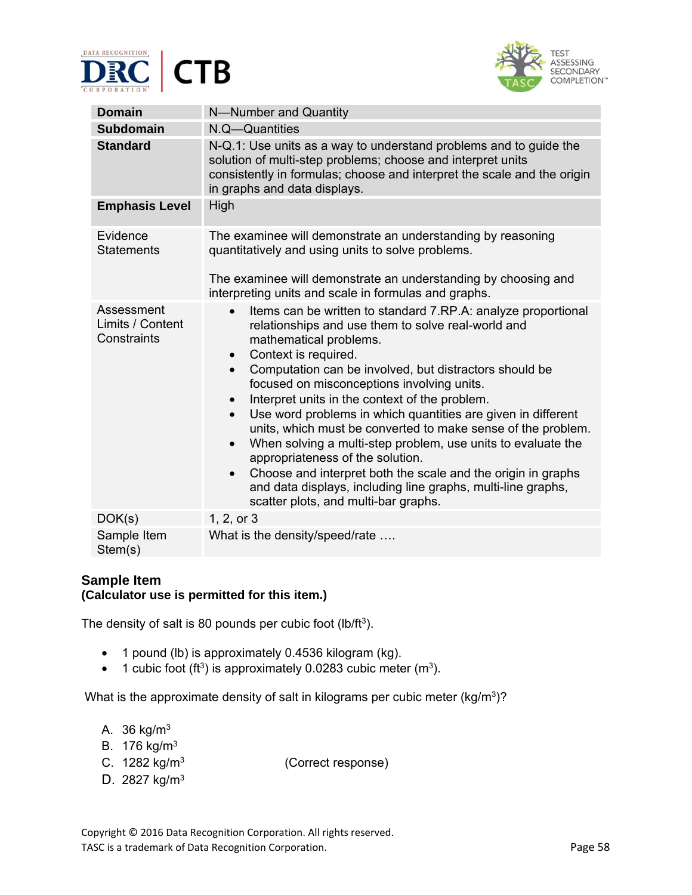



| <b>Domain</b>                                 | N-Number and Quantity                                                                                                                                                                                                                                                                                                                                                                                                                                                                                                                                                                                                                                                                                                                                                                                                     |  |  |  |
|-----------------------------------------------|---------------------------------------------------------------------------------------------------------------------------------------------------------------------------------------------------------------------------------------------------------------------------------------------------------------------------------------------------------------------------------------------------------------------------------------------------------------------------------------------------------------------------------------------------------------------------------------------------------------------------------------------------------------------------------------------------------------------------------------------------------------------------------------------------------------------------|--|--|--|
| <b>Subdomain</b>                              | N.Q—Quantities                                                                                                                                                                                                                                                                                                                                                                                                                                                                                                                                                                                                                                                                                                                                                                                                            |  |  |  |
| <b>Standard</b>                               | N-Q.1: Use units as a way to understand problems and to guide the<br>solution of multi-step problems; choose and interpret units<br>consistently in formulas; choose and interpret the scale and the origin<br>in graphs and data displays.                                                                                                                                                                                                                                                                                                                                                                                                                                                                                                                                                                               |  |  |  |
| <b>Emphasis Level</b>                         | High                                                                                                                                                                                                                                                                                                                                                                                                                                                                                                                                                                                                                                                                                                                                                                                                                      |  |  |  |
| Evidence<br><b>Statements</b>                 | The examinee will demonstrate an understanding by reasoning<br>quantitatively and using units to solve problems.<br>The examinee will demonstrate an understanding by choosing and<br>interpreting units and scale in formulas and graphs.                                                                                                                                                                                                                                                                                                                                                                                                                                                                                                                                                                                |  |  |  |
| Assessment<br>Limits / Content<br>Constraints | Items can be written to standard 7.RP.A: analyze proportional<br>$\bullet$<br>relationships and use them to solve real-world and<br>mathematical problems.<br>Context is required.<br>$\bullet$<br>Computation can be involved, but distractors should be<br>$\bullet$<br>focused on misconceptions involving units.<br>Interpret units in the context of the problem.<br>Use word problems in which quantities are given in different<br>$\bullet$<br>units, which must be converted to make sense of the problem.<br>When solving a multi-step problem, use units to evaluate the<br>$\bullet$<br>appropriateness of the solution.<br>Choose and interpret both the scale and the origin in graphs<br>$\bullet$<br>and data displays, including line graphs, multi-line graphs,<br>scatter plots, and multi-bar graphs. |  |  |  |
| DOK(s)                                        | 1, 2, or 3                                                                                                                                                                                                                                                                                                                                                                                                                                                                                                                                                                                                                                                                                                                                                                                                                |  |  |  |
| Sample Item<br>Stem(s)                        | What is the density/speed/rate                                                                                                                                                                                                                                                                                                                                                                                                                                                                                                                                                                                                                                                                                                                                                                                            |  |  |  |

# **Sample Item (Calculator use is permitted for this item.)**

The density of salt is 80 pounds per cubic foot (lb/ft<sup>3</sup>).

- 1 pound (lb) is approximately 0.4536 kilogram (kg).
- 1 cubic foot (ft<sup>3</sup>) is approximately 0.0283 cubic meter (m<sup>3</sup>).

What is the approximate density of salt in kilograms per cubic meter ( $kg/m<sup>3</sup>$ )?

- A.  $36$  kg/m<sup>3</sup>
- B. 176 kg/m3
- C. 1282 kg/m3(Correct response)
- D. 2827 kg/m3

Copyright © 2016 Data Recognition Corporation. All rights reserved. TASC is a trademark of Data Recognition Corporation. TASC is a trademark of Data Recognition Corporation.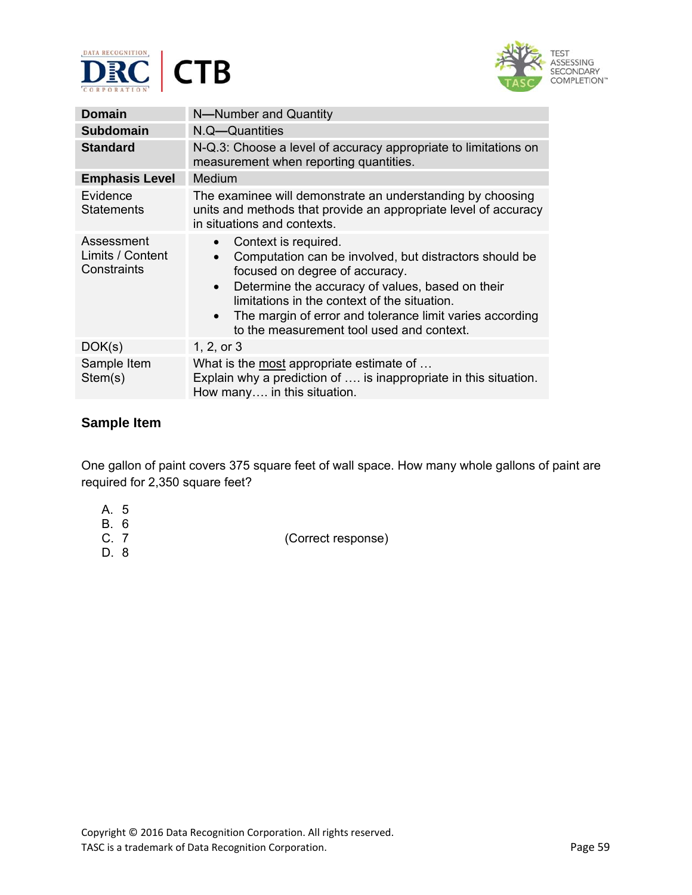



| <b>Domain</b>                                 | N-Number and Quantity                                                                                                                                                                                                                                                                                                                                                |  |
|-----------------------------------------------|----------------------------------------------------------------------------------------------------------------------------------------------------------------------------------------------------------------------------------------------------------------------------------------------------------------------------------------------------------------------|--|
| <b>Subdomain</b>                              | N.Q-Quantities                                                                                                                                                                                                                                                                                                                                                       |  |
| <b>Standard</b>                               | N-Q.3: Choose a level of accuracy appropriate to limitations on<br>measurement when reporting quantities.                                                                                                                                                                                                                                                            |  |
| <b>Emphasis Level</b>                         | Medium                                                                                                                                                                                                                                                                                                                                                               |  |
| Evidence<br><b>Statements</b>                 | The examinee will demonstrate an understanding by choosing<br>units and methods that provide an appropriate level of accuracy<br>in situations and contexts.                                                                                                                                                                                                         |  |
| Assessment<br>Limits / Content<br>Constraints | Context is required.<br>Computation can be involved, but distractors should be<br>$\bullet$<br>focused on degree of accuracy.<br>Determine the accuracy of values, based on their<br>$\bullet$<br>limitations in the context of the situation.<br>The margin of error and tolerance limit varies according<br>$\bullet$<br>to the measurement tool used and context. |  |
| DOK(s)                                        | 1, 2, or 3                                                                                                                                                                                                                                                                                                                                                           |  |
| Sample Item<br>Stem(s)                        | What is the most appropriate estimate of<br>Explain why a prediction of  is inappropriate in this situation.<br>How many in this situation.                                                                                                                                                                                                                          |  |

One gallon of paint covers 375 square feet of wall space. How many whole gallons of paint are required for 2,350 square feet?

- A. 5
- B. 6
- 
- D. 8

(Correct response)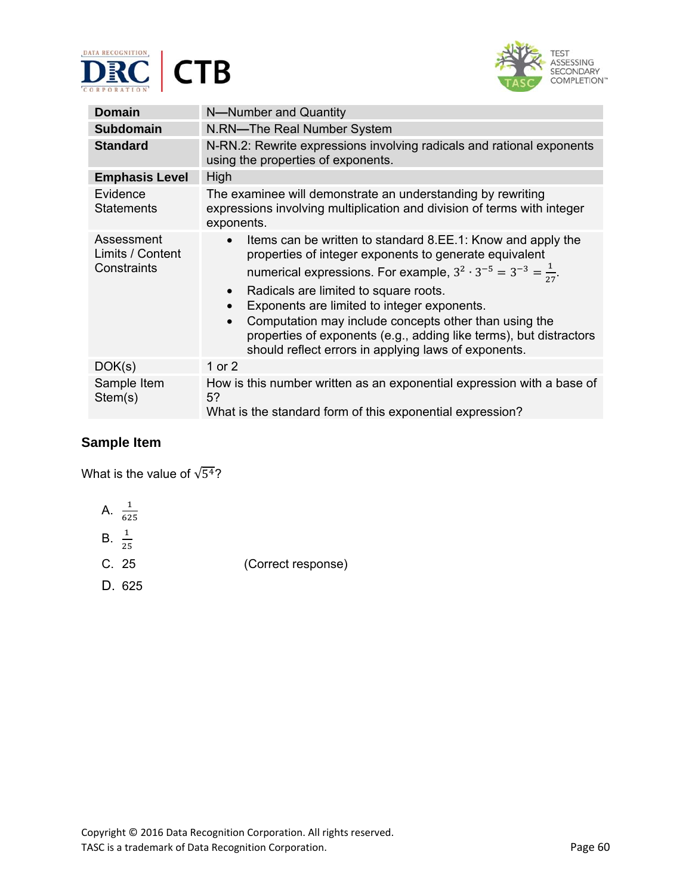



| <b>Domain</b>                                 | N-Number and Quantity                                                                                                                                                                                                                                                                                                                                                                                                                                                                                 |  |  |
|-----------------------------------------------|-------------------------------------------------------------------------------------------------------------------------------------------------------------------------------------------------------------------------------------------------------------------------------------------------------------------------------------------------------------------------------------------------------------------------------------------------------------------------------------------------------|--|--|
| <b>Subdomain</b>                              | N.RN-The Real Number System                                                                                                                                                                                                                                                                                                                                                                                                                                                                           |  |  |
| <b>Standard</b>                               | N-RN.2: Rewrite expressions involving radicals and rational exponents<br>using the properties of exponents.                                                                                                                                                                                                                                                                                                                                                                                           |  |  |
| <b>Emphasis Level</b>                         | High                                                                                                                                                                                                                                                                                                                                                                                                                                                                                                  |  |  |
| Evidence<br><b>Statements</b>                 | The examinee will demonstrate an understanding by rewriting<br>expressions involving multiplication and division of terms with integer<br>exponents.                                                                                                                                                                                                                                                                                                                                                  |  |  |
| Assessment<br>Limits / Content<br>Constraints | Items can be written to standard 8.EE.1: Know and apply the<br>properties of integer exponents to generate equivalent<br>numerical expressions. For example, $3^2 \cdot 3^{-5} = 3^{-3} = \frac{1}{27}$ .<br>Radicals are limited to square roots.<br>$\bullet$<br>Exponents are limited to integer exponents.<br>Computation may include concepts other than using the<br>properties of exponents (e.g., adding like terms), but distractors<br>should reflect errors in applying laws of exponents. |  |  |
| DOK(s)                                        | 1 or 2                                                                                                                                                                                                                                                                                                                                                                                                                                                                                                |  |  |
| Sample Item<br>Stem(s)                        | How is this number written as an exponential expression with a base of<br>5?<br>What is the standard form of this exponential expression?                                                                                                                                                                                                                                                                                                                                                             |  |  |

What is the value of  $\sqrt{5^4}$ ?

A. 
$$
\frac{1}{625}
$$
  
B.  $\frac{1}{25}$ 

- 
- C. 25(Correct response)
- D. 625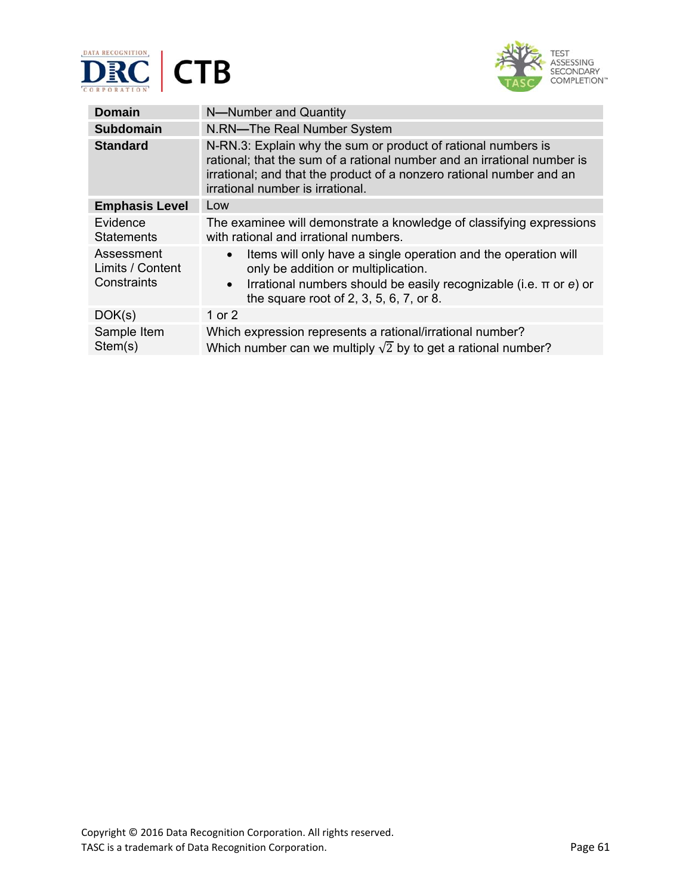



| <b>Domain</b>                                 | N-Number and Quantity                                                                                                                                                                                                                                |  |
|-----------------------------------------------|------------------------------------------------------------------------------------------------------------------------------------------------------------------------------------------------------------------------------------------------------|--|
| <b>Subdomain</b>                              | N.RN-The Real Number System                                                                                                                                                                                                                          |  |
| <b>Standard</b>                               | N-RN.3: Explain why the sum or product of rational numbers is<br>rational; that the sum of a rational number and an irrational number is<br>irrational; and that the product of a nonzero rational number and an<br>irrational number is irrational. |  |
| <b>Emphasis Level</b>                         | Low                                                                                                                                                                                                                                                  |  |
| Evidence<br><b>Statements</b>                 | The examinee will demonstrate a knowledge of classifying expressions<br>with rational and irrational numbers.                                                                                                                                        |  |
| Assessment<br>Limits / Content<br>Constraints | Items will only have a single operation and the operation will<br>$\bullet$<br>only be addition or multiplication.<br>Irrational numbers should be easily recognizable (i.e. $\pi$ or e) or<br>$\bullet$<br>the square root of 2, 3, 5, 6, 7, or 8.  |  |
| DOK(s)                                        | 1 or $2$                                                                                                                                                                                                                                             |  |
| Sample Item<br>Stem(s)                        | Which expression represents a rational/irrational number?<br>Which number can we multiply $\sqrt{2}$ by to get a rational number?                                                                                                                    |  |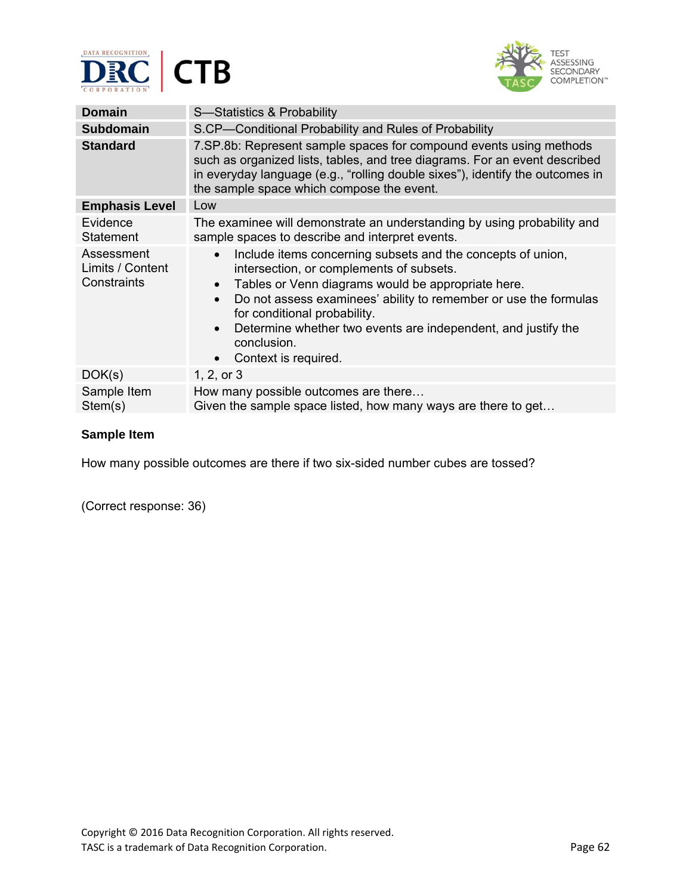



| <b>Domain</b>                                 | S-Statistics & Probability                                                                                                                                                                                                                                                                                                                                                                                                                 |  |
|-----------------------------------------------|--------------------------------------------------------------------------------------------------------------------------------------------------------------------------------------------------------------------------------------------------------------------------------------------------------------------------------------------------------------------------------------------------------------------------------------------|--|
| <b>Subdomain</b>                              | S.CP-Conditional Probability and Rules of Probability                                                                                                                                                                                                                                                                                                                                                                                      |  |
| <b>Standard</b>                               | 7. SP. 8b: Represent sample spaces for compound events using methods<br>such as organized lists, tables, and tree diagrams. For an event described<br>in everyday language (e.g., "rolling double sixes"), identify the outcomes in<br>the sample space which compose the event.                                                                                                                                                           |  |
| <b>Emphasis Level</b>                         | Low                                                                                                                                                                                                                                                                                                                                                                                                                                        |  |
| Evidence<br><b>Statement</b>                  | The examinee will demonstrate an understanding by using probability and<br>sample spaces to describe and interpret events.                                                                                                                                                                                                                                                                                                                 |  |
| Assessment<br>Limits / Content<br>Constraints | Include items concerning subsets and the concepts of union,<br>$\bullet$<br>intersection, or complements of subsets.<br>Tables or Venn diagrams would be appropriate here.<br>$\bullet$<br>Do not assess examinees' ability to remember or use the formulas<br>$\bullet$<br>for conditional probability.<br>Determine whether two events are independent, and justify the<br>$\bullet$<br>conclusion.<br>Context is required.<br>$\bullet$ |  |
| DOK(s)                                        | 1, 2, or $3$                                                                                                                                                                                                                                                                                                                                                                                                                               |  |
| Sample Item<br>Stem(s)                        | How many possible outcomes are there<br>Given the sample space listed, how many ways are there to get                                                                                                                                                                                                                                                                                                                                      |  |

How many possible outcomes are there if two six-sided number cubes are tossed?

(Correct response: 36)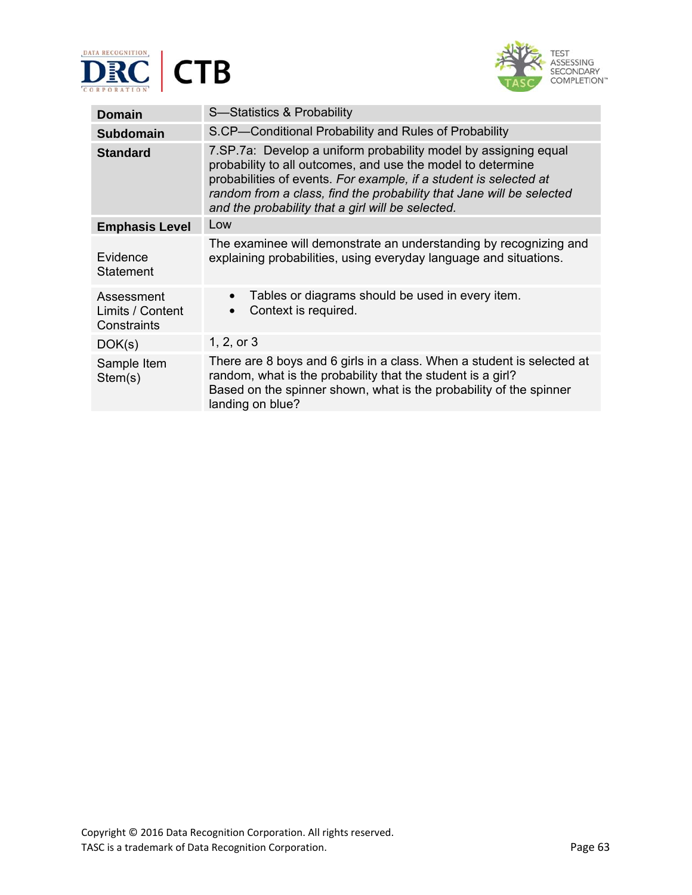



| <b>Domain</b>                                 | S-Statistics & Probability                                                                                                                                                                                                                                                                                                         |  |
|-----------------------------------------------|------------------------------------------------------------------------------------------------------------------------------------------------------------------------------------------------------------------------------------------------------------------------------------------------------------------------------------|--|
| <b>Subdomain</b>                              | S.CP-Conditional Probability and Rules of Probability                                                                                                                                                                                                                                                                              |  |
| <b>Standard</b>                               | 7. SP. 7a: Develop a uniform probability model by assigning equal<br>probability to all outcomes, and use the model to determine<br>probabilities of events. For example, if a student is selected at<br>random from a class, find the probability that Jane will be selected<br>and the probability that a girl will be selected. |  |
| <b>Emphasis Level</b>                         | Low                                                                                                                                                                                                                                                                                                                                |  |
| Evidence<br>Statement                         | The examinee will demonstrate an understanding by recognizing and<br>explaining probabilities, using everyday language and situations.                                                                                                                                                                                             |  |
| Assessment<br>Limits / Content<br>Constraints | Tables or diagrams should be used in every item.<br>$\bullet$<br>Context is required.                                                                                                                                                                                                                                              |  |
| DOK(s)                                        | 1, 2, or $3$                                                                                                                                                                                                                                                                                                                       |  |
| Sample Item<br>Stem(s)                        | There are 8 boys and 6 girls in a class. When a student is selected at<br>random, what is the probability that the student is a girl?<br>Based on the spinner shown, what is the probability of the spinner<br>landing on blue?                                                                                                    |  |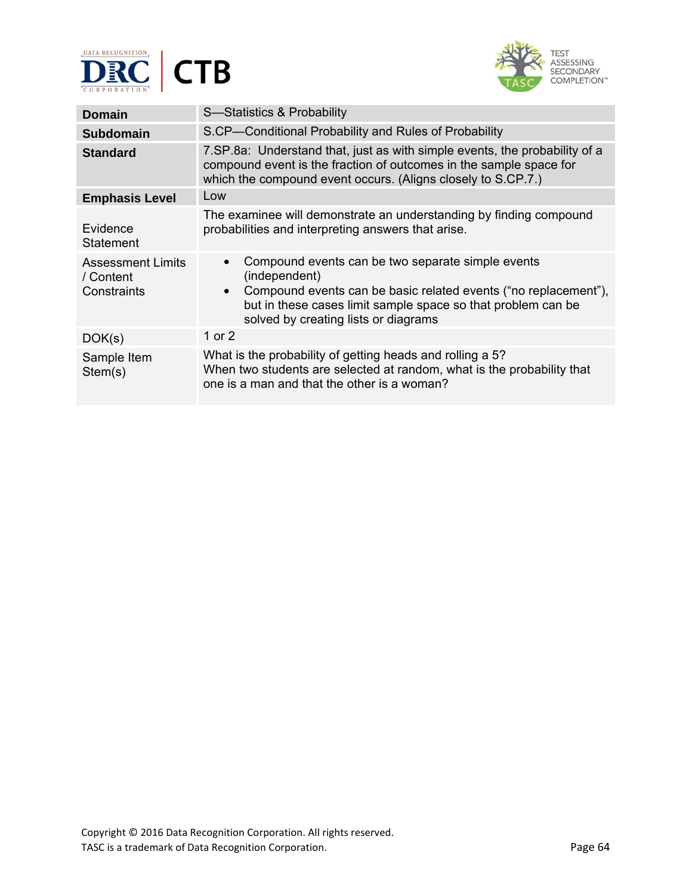



| <b>Domain</b>                                        | S-Statistics & Probability                                                                                                                                                                                                                                 |  |
|------------------------------------------------------|------------------------------------------------------------------------------------------------------------------------------------------------------------------------------------------------------------------------------------------------------------|--|
| <b>Subdomain</b>                                     | S.CP-Conditional Probability and Rules of Probability                                                                                                                                                                                                      |  |
| <b>Standard</b>                                      | 7. SP. 8a: Understand that, just as with simple events, the probability of a<br>compound event is the fraction of outcomes in the sample space for<br>which the compound event occurs. (Aligns closely to S.CP.7.)                                         |  |
| <b>Emphasis Level</b>                                | Low                                                                                                                                                                                                                                                        |  |
| Evidence<br>Statement                                | The examinee will demonstrate an understanding by finding compound<br>probabilities and interpreting answers that arise.                                                                                                                                   |  |
| <b>Assessment Limits</b><br>/ Content<br>Constraints | Compound events can be two separate simple events<br>(independent)<br>Compound events can be basic related events ("no replacement"),<br>$\bullet$<br>but in these cases limit sample space so that problem can be<br>solved by creating lists or diagrams |  |
| DOK(s)                                               | 1 or 2                                                                                                                                                                                                                                                     |  |
| Sample Item<br>Stem(s)                               | What is the probability of getting heads and rolling a 5?<br>When two students are selected at random, what is the probability that<br>one is a man and that the other is a woman?                                                                         |  |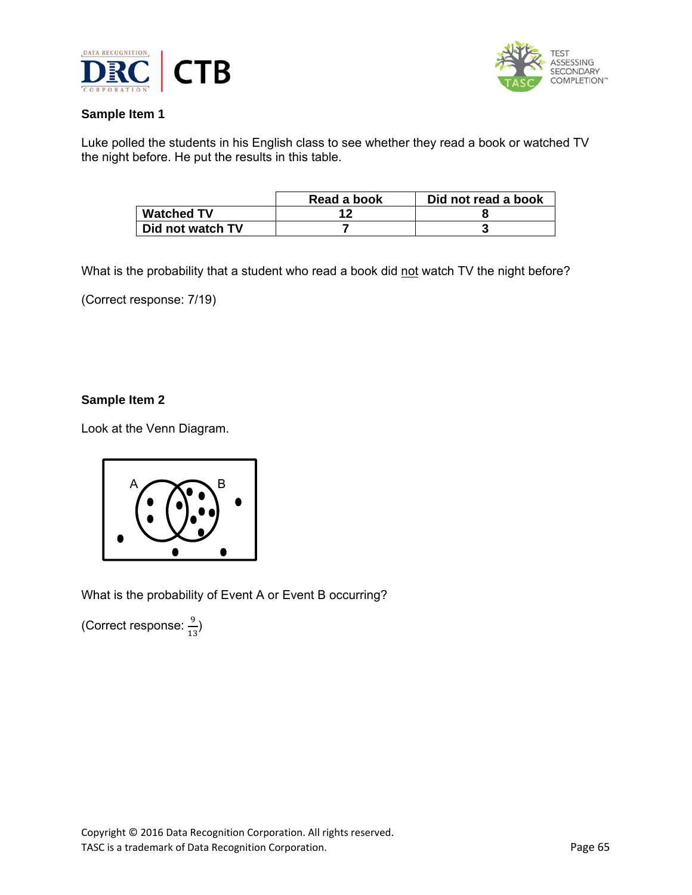



Luke polled the students in his English class to see whether they read a book or watched TV the night before. He put the results in this table.

|                   | Read a book | Did not read a book |
|-------------------|-------------|---------------------|
| <b>Watched TV</b> |             |                     |
| Did not watch TV  |             |                     |

What is the probability that a student who read a book did not watch TV the night before?

(Correct response: 7/19)

## **Sample Item 2**

Look at the Venn Diagram.



What is the probability of Event A or Event B occurring?

(Correct response:  $\frac{9}{13}$ )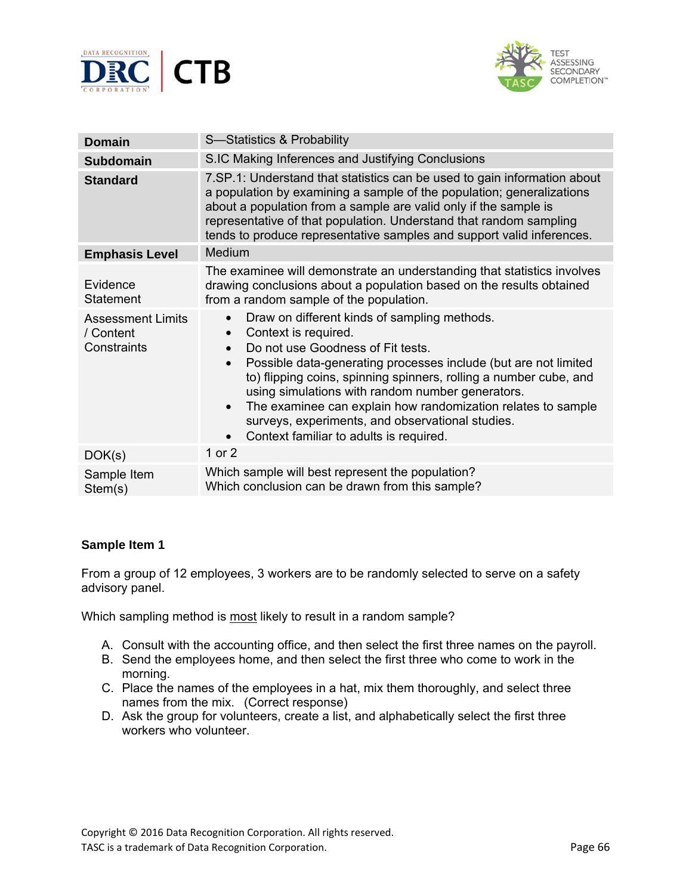



| <b>Domain</b>                                        | S-Statistics & Probability                                                                                                                                                                                                                                                                                                                                                                                                                                                                                                            |  |
|------------------------------------------------------|---------------------------------------------------------------------------------------------------------------------------------------------------------------------------------------------------------------------------------------------------------------------------------------------------------------------------------------------------------------------------------------------------------------------------------------------------------------------------------------------------------------------------------------|--|
| <b>Subdomain</b>                                     | S.IC Making Inferences and Justifying Conclusions                                                                                                                                                                                                                                                                                                                                                                                                                                                                                     |  |
| <b>Standard</b>                                      | 7.SP.1: Understand that statistics can be used to gain information about<br>a population by examining a sample of the population; generalizations<br>about a population from a sample are valid only if the sample is<br>representative of that population. Understand that random sampling<br>tends to produce representative samples and support valid inferences.                                                                                                                                                                  |  |
| <b>Emphasis Level</b>                                | Medium                                                                                                                                                                                                                                                                                                                                                                                                                                                                                                                                |  |
| Evidence<br><b>Statement</b>                         | The examinee will demonstrate an understanding that statistics involves<br>drawing conclusions about a population based on the results obtained<br>from a random sample of the population.                                                                                                                                                                                                                                                                                                                                            |  |
| <b>Assessment Limits</b><br>/ Content<br>Constraints | Draw on different kinds of sampling methods.<br>$\bullet$<br>Context is required.<br>$\bullet$<br>Do not use Goodness of Fit tests.<br>$\bullet$<br>Possible data-generating processes include (but are not limited<br>to) flipping coins, spinning spinners, rolling a number cube, and<br>using simulations with random number generators.<br>The examinee can explain how randomization relates to sample<br>$\bullet$<br>surveys, experiments, and observational studies.<br>Context familiar to adults is required.<br>$\bullet$ |  |
| DOK(s)                                               | 1 or 2                                                                                                                                                                                                                                                                                                                                                                                                                                                                                                                                |  |
| Sample Item<br>Stem(s)                               | Which sample will best represent the population?<br>Which conclusion can be drawn from this sample?                                                                                                                                                                                                                                                                                                                                                                                                                                   |  |

From a group of 12 employees, 3 workers are to be randomly selected to serve on a safety advisory panel.

Which sampling method is most likely to result in a random sample?

- A. Consult with the accounting office, and then select the first three names on the payroll.
- B. Send the employees home, and then select the first three who come to work in the morning.
- C. Place the names of the employees in a hat, mix them thoroughly, and select three names from the mix.(Correct response)
- D. Ask the group for volunteers, create a list, and alphabetically select the first three workers who volunteer.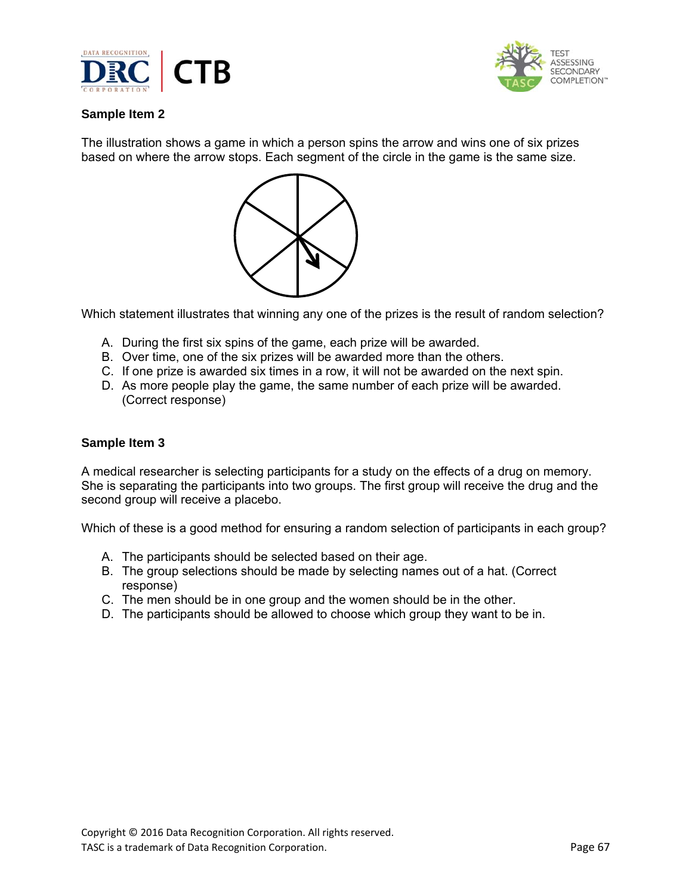



The illustration shows a game in which a person spins the arrow and wins one of six prizes based on where the arrow stops. Each segment of the circle in the game is the same size.



Which statement illustrates that winning any one of the prizes is the result of random selection?

- A. During the first six spins of the game, each prize will be awarded.
- B. Over time, one of the six prizes will be awarded more than the others.
- C. If one prize is awarded six times in a row, it will not be awarded on the next spin.
- D. As more people play the game, the same number of each prize will be awarded. (Correct response)

#### **Sample Item 3**

A medical researcher is selecting participants for a study on the effects of a drug on memory. She is separating the participants into two groups. The first group will receive the drug and the second group will receive a placebo.

Which of these is a good method for ensuring a random selection of participants in each group?

- A. The participants should be selected based on their age.
- B. The group selections should be made by selecting names out of a hat. (Correct response)
- C. The men should be in one group and the women should be in the other.
- D. The participants should be allowed to choose which group they want to be in.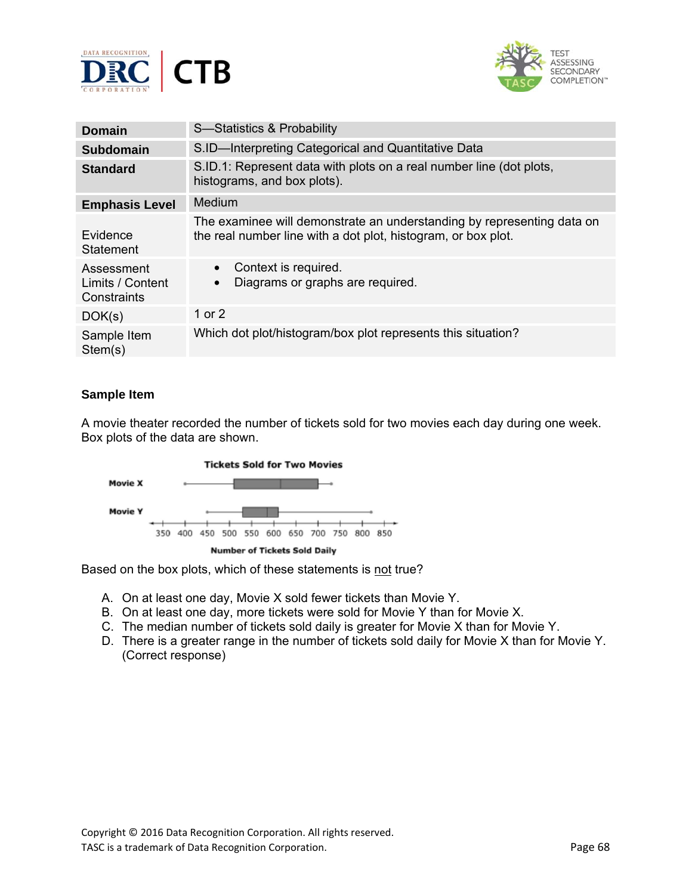



| Domain                                        | S-Statistics & Probability                                                                                                              |  |
|-----------------------------------------------|-----------------------------------------------------------------------------------------------------------------------------------------|--|
| <b>Subdomain</b>                              | S.ID-Interpreting Categorical and Quantitative Data                                                                                     |  |
| <b>Standard</b>                               | S.ID.1: Represent data with plots on a real number line (dot plots,<br>histograms, and box plots).                                      |  |
| <b>Emphasis Level</b>                         | Medium                                                                                                                                  |  |
| Evidence<br>Statement                         | The examinee will demonstrate an understanding by representing data on<br>the real number line with a dot plot, histogram, or box plot. |  |
| Assessment<br>Limits / Content<br>Constraints | Context is required.<br>$\bullet$<br>Diagrams or graphs are required.<br>$\bullet$                                                      |  |
| DOK(s)                                        | 1 or $2$                                                                                                                                |  |
| Sample Item<br>Stem(s)                        | Which dot plot/histogram/box plot represents this situation?                                                                            |  |

A movie theater recorded the number of tickets sold for two movies each day during one week. Box plots of the data are shown.



Based on the box plots, which of these statements is not true?

- A. On at least one day, Movie X sold fewer tickets than Movie Y.
- B. On at least one day, more tickets were sold for Movie Y than for Movie X.
- C. The median number of tickets sold daily is greater for Movie X than for Movie Y.
- D. There is a greater range in the number of tickets sold daily for Movie X than for Movie Y. (Correct response)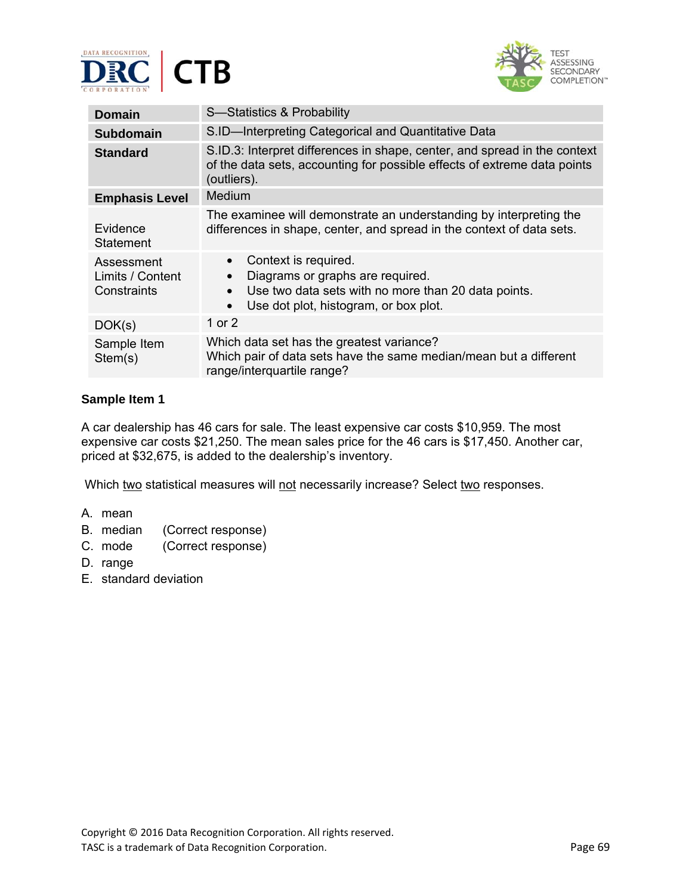



| <b>Domain</b>                                 | S-Statistics & Probability                                                                                                                                                         |  |
|-----------------------------------------------|------------------------------------------------------------------------------------------------------------------------------------------------------------------------------------|--|
| <b>Subdomain</b>                              | S.ID-Interpreting Categorical and Quantitative Data                                                                                                                                |  |
| <b>Standard</b>                               | S.ID.3: Interpret differences in shape, center, and spread in the context<br>of the data sets, accounting for possible effects of extreme data points<br>(outliers).               |  |
| <b>Emphasis Level</b>                         | Medium                                                                                                                                                                             |  |
| Evidence<br><b>Statement</b>                  | The examinee will demonstrate an understanding by interpreting the<br>differences in shape, center, and spread in the context of data sets.                                        |  |
| Assessment<br>Limits / Content<br>Constraints | Context is required.<br>$\bullet$<br>Diagrams or graphs are required.<br>Use two data sets with no more than 20 data points.<br>Use dot plot, histogram, or box plot.<br>$\bullet$ |  |
| DOK(s)                                        | 1 or $2$                                                                                                                                                                           |  |
| Sample Item<br>Stem(s)                        | Which data set has the greatest variance?<br>Which pair of data sets have the same median/mean but a different<br>range/interquartile range?                                       |  |

A car dealership has 46 cars for sale. The least expensive car costs \$10,959. The most expensive car costs \$21,250. The mean sales price for the 46 cars is \$17,450. Another car, priced at \$32,675, is added to the dealership's inventory.

Which two statistical measures will not necessarily increase? Select two responses.

- A. mean
- B. median (Correct response)
- C. mode (Correct response)
- D. range
- E. standard deviation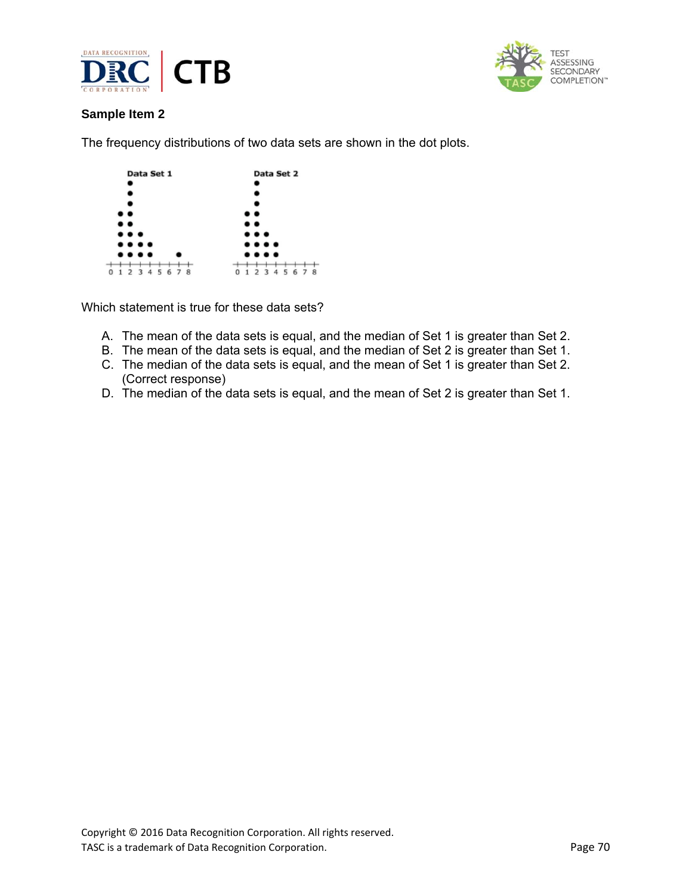



The frequency distributions of two data sets are shown in the dot plots.

|   | Data Set 1                         | Data Set 2                                  |
|---|------------------------------------|---------------------------------------------|
|   |                                    |                                             |
|   |                                    |                                             |
|   |                                    |                                             |
|   | $\bullet\bullet$                   |                                             |
|   |                                    |                                             |
|   | $\cdots$                           | $\cdots$                                    |
|   | $\cdots$                           | $\cdots$                                    |
|   | $\cdots$                           | $\cdots$                                    |
| 1 | -8<br>2<br>-3<br>6<br>4<br>5.<br>7 | 8<br>- 5<br>6<br>0<br>3<br>7<br>1<br>4<br>э |

Which statement is true for these data sets?

- A. The mean of the data sets is equal, and the median of Set 1 is greater than Set 2.
- B. The mean of the data sets is equal, and the median of Set 2 is greater than Set 1.
- C. The median of the data sets is equal, and the mean of Set 1 is greater than Set 2. (Correct response)
- D. The median of the data sets is equal, and the mean of Set 2 is greater than Set 1.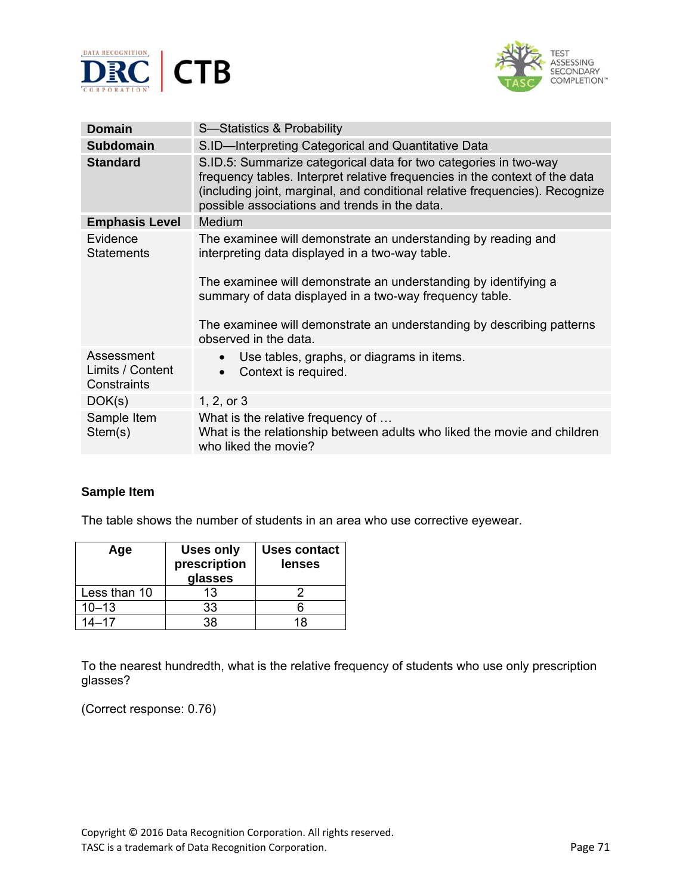



| <b>Domain</b>                                 | S-Statistics & Probability                                                                                                                                                                                                                                                       |  |  |
|-----------------------------------------------|----------------------------------------------------------------------------------------------------------------------------------------------------------------------------------------------------------------------------------------------------------------------------------|--|--|
| <b>Subdomain</b>                              | S.ID-Interpreting Categorical and Quantitative Data                                                                                                                                                                                                                              |  |  |
| <b>Standard</b>                               | S.ID.5: Summarize categorical data for two categories in two-way<br>frequency tables. Interpret relative frequencies in the context of the data<br>(including joint, marginal, and conditional relative frequencies). Recognize<br>possible associations and trends in the data. |  |  |
| <b>Emphasis Level</b>                         | Medium                                                                                                                                                                                                                                                                           |  |  |
| Evidence<br><b>Statements</b>                 | The examinee will demonstrate an understanding by reading and<br>interpreting data displayed in a two-way table.                                                                                                                                                                 |  |  |
|                                               | The examinee will demonstrate an understanding by identifying a<br>summary of data displayed in a two-way frequency table.                                                                                                                                                       |  |  |
|                                               | The examinee will demonstrate an understanding by describing patterns<br>observed in the data.                                                                                                                                                                                   |  |  |
| Assessment<br>Limits / Content<br>Constraints | Use tables, graphs, or diagrams in items.<br>Context is required.<br>$\bullet$                                                                                                                                                                                                   |  |  |
| DOK(s)                                        | 1, 2, or 3                                                                                                                                                                                                                                                                       |  |  |
| Sample Item<br>Stem(s)                        | What is the relative frequency of<br>What is the relationship between adults who liked the movie and children<br>who liked the movie?                                                                                                                                            |  |  |

The table shows the number of students in an area who use corrective eyewear.

| Age          | <b>Uses only</b><br>prescription<br>glasses | Uses contact<br>lenses |
|--------------|---------------------------------------------|------------------------|
| Less than 10 | 13                                          |                        |
| $10 - 13$    | 33                                          |                        |
| $14 - 17$    | 38.                                         | 18                     |

To the nearest hundredth, what is the relative frequency of students who use only prescription glasses?

(Correct response: 0.76)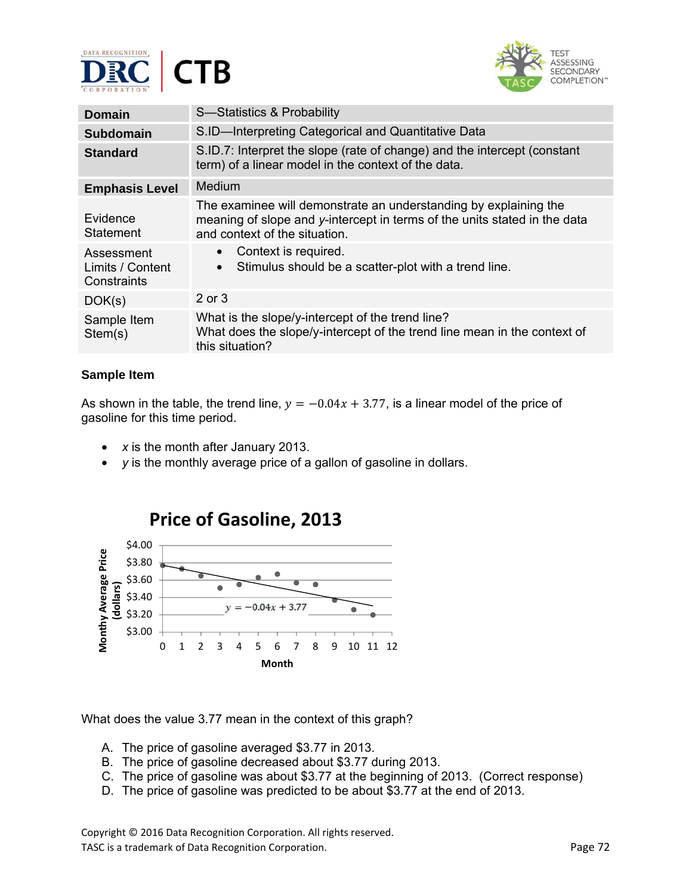



| Domain                                        | S-Statistics & Probability                                                                                                                                                     |
|-----------------------------------------------|--------------------------------------------------------------------------------------------------------------------------------------------------------------------------------|
| Subdomain                                     | S.ID-Interpreting Categorical and Quantitative Data                                                                                                                            |
| <b>Standard</b>                               | S.ID.7: Interpret the slope (rate of change) and the intercept (constant<br>term) of a linear model in the context of the data.                                                |
| <b>Emphasis Level</b>                         | Medium                                                                                                                                                                         |
| Evidence<br><b>Statement</b>                  | The examinee will demonstrate an understanding by explaining the<br>meaning of slope and y-intercept in terms of the units stated in the data<br>and context of the situation. |
| Assessment<br>Limits / Content<br>Constraints | Context is required.<br>$\bullet$<br>Stimulus should be a scatter-plot with a trend line.<br>$\bullet$                                                                         |
| DOK(s)                                        | 2 or 3                                                                                                                                                                         |
| Sample Item<br>Stem(s)                        | What is the slope/y-intercept of the trend line?<br>What does the slope/y-intercept of the trend line mean in the context of<br>this situation?                                |

As shown in the table, the trend line,  $y = -0.04x + 3.77$ , is a linear model of the price of gasoline for this time period.

- *x* is the month after January 2013.
- *y* is the monthly average price of a gallon of gasoline in dollars.



What does the value 3.77 mean in the context of this graph?

- A. The price of gasoline averaged \$3.77 in 2013.
- B. The price of gasoline decreased about \$3.77 during 2013.
- C. The price of gasoline was about \$3.77 at the beginning of 2013. (Correct response)
- D. The price of gasoline was predicted to be about \$3.77 at the end of 2013.

Copyright © 2016 Data Recognition Corporation. All rights reserved. TASC is a trademark of Data Recognition Corporation. The example of the example of the Page 72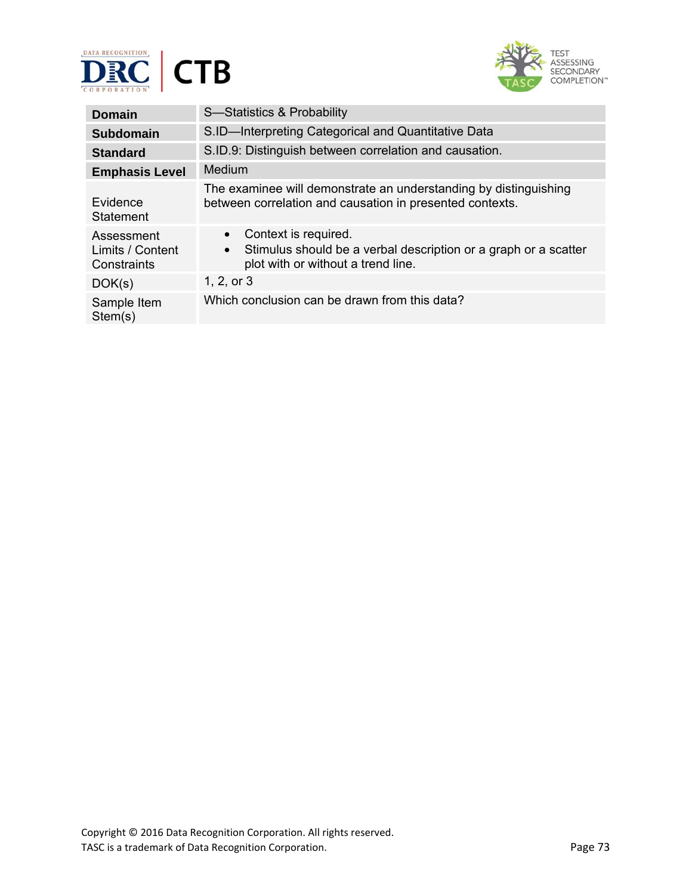



| <b>Domain</b>                                 | S-Statistics & Probability                                                                                                                 |
|-----------------------------------------------|--------------------------------------------------------------------------------------------------------------------------------------------|
| <b>Subdomain</b>                              | S.ID-Interpreting Categorical and Quantitative Data                                                                                        |
| <b>Standard</b>                               | S.ID.9: Distinguish between correlation and causation.                                                                                     |
| <b>Emphasis Level</b>                         | Medium                                                                                                                                     |
| Evidence<br><b>Statement</b>                  | The examinee will demonstrate an understanding by distinguishing<br>between correlation and causation in presented contexts.               |
| Assessment<br>Limits / Content<br>Constraints | Context is required.<br>$\bullet$<br>Stimulus should be a verbal description or a graph or a scatter<br>plot with or without a trend line. |
| DOK(s)                                        | 1, 2, or 3                                                                                                                                 |
| Sample Item<br>Stem(s)                        | Which conclusion can be drawn from this data?                                                                                              |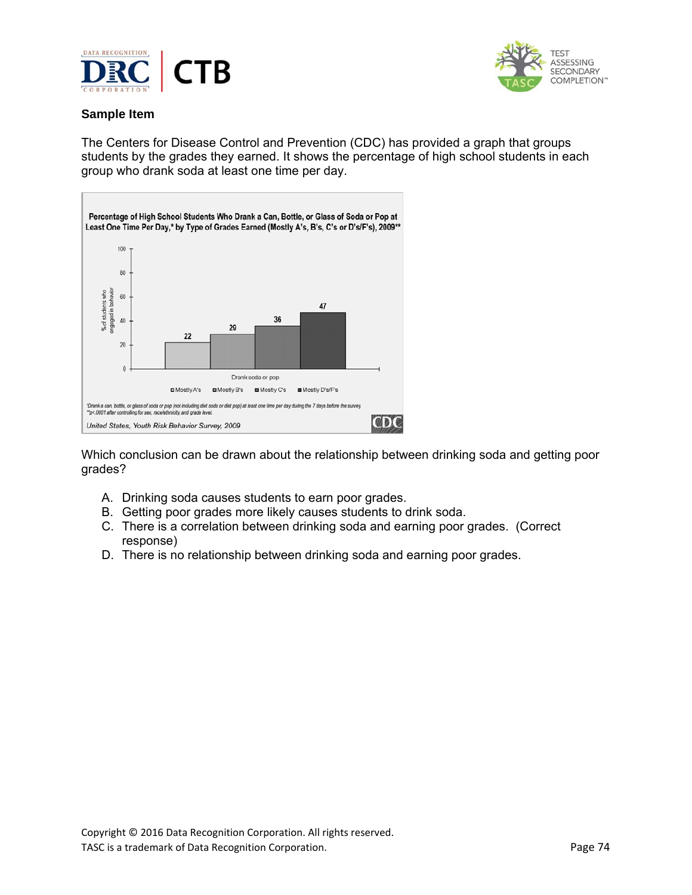



# **Sample Item**

The Centers for Disease Control and Prevention (CDC) has provided a graph that groups students by the grades they earned. It shows the percentage of high school students in each group who drank soda at least one time per day.



Which conclusion can be drawn about the relationship between drinking soda and getting poor grades?

- A. Drinking soda causes students to earn poor grades.
- B. Getting poor grades more likely causes students to drink soda.
- C. There is a correlation between drinking soda and earning poor grades. (Correct response)
- D. There is no relationship between drinking soda and earning poor grades.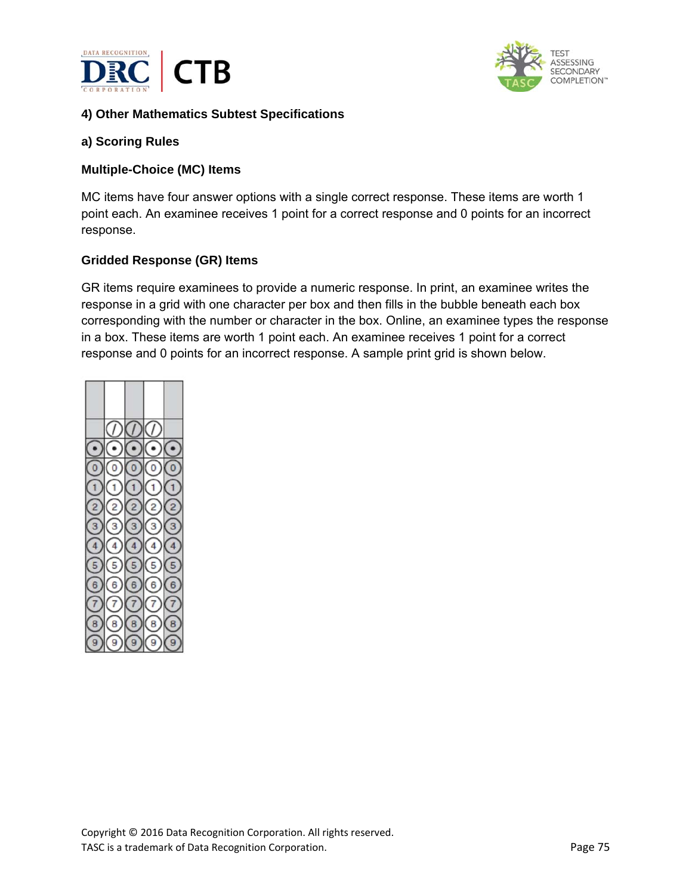



# **4) Other Mathematics Subtest Specifications**

#### **a) Scoring Rules**

#### **Multiple-Choice (MC) Items**

MC items have four answer options with a single correct response. These items are worth 1 point each. An examinee receives 1 point for a correct response and 0 points for an incorrect response.

#### **Gridded Response (GR) Items**

GR items require examinees to provide a numeric response. In print, an examinee writes the response in a grid with one character per box and then fills in the bubble beneath each box corresponding with the number or character in the box. Online, an examinee types the response in a box. These items are worth 1 point each. An examinee receives 1 point for a correct response and 0 points for an incorrect response. A sample print grid is shown below.

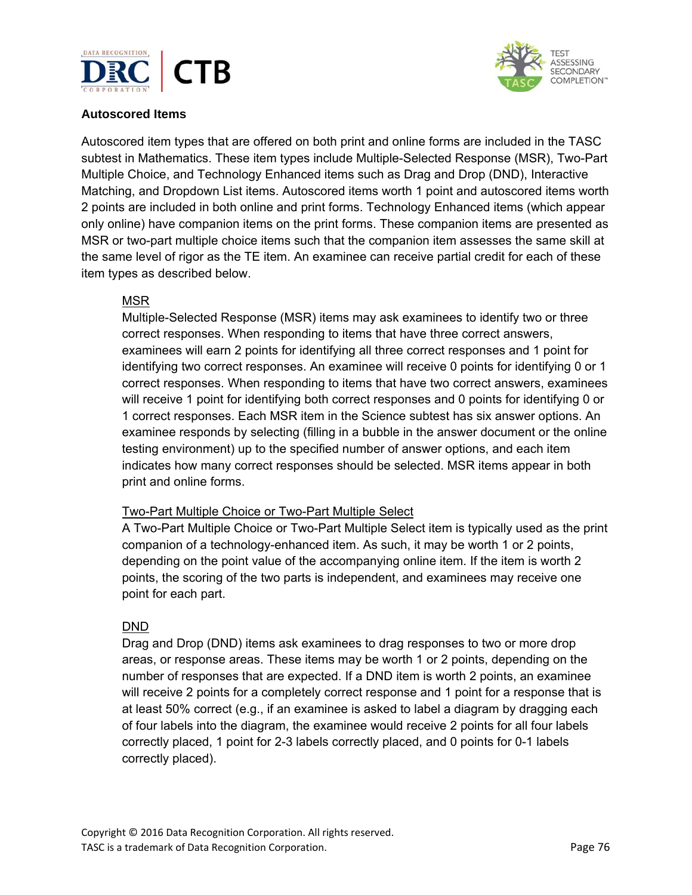



# **Autoscored Items**

Autoscored item types that are offered on both print and online forms are included in the TASC subtest in Mathematics. These item types include Multiple-Selected Response (MSR), Two-Part Multiple Choice, and Technology Enhanced items such as Drag and Drop (DND), Interactive Matching, and Dropdown List items. Autoscored items worth 1 point and autoscored items worth 2 points are included in both online and print forms. Technology Enhanced items (which appear only online) have companion items on the print forms. These companion items are presented as MSR or two-part multiple choice items such that the companion item assesses the same skill at the same level of rigor as the TE item. An examinee can receive partial credit for each of these item types as described below.

## MSR

Multiple-Selected Response (MSR) items may ask examinees to identify two or three correct responses. When responding to items that have three correct answers, examinees will earn 2 points for identifying all three correct responses and 1 point for identifying two correct responses. An examinee will receive 0 points for identifying 0 or 1 correct responses. When responding to items that have two correct answers, examinees will receive 1 point for identifying both correct responses and 0 points for identifying 0 or 1 correct responses. Each MSR item in the Science subtest has six answer options. An examinee responds by selecting (filling in a bubble in the answer document or the online testing environment) up to the specified number of answer options, and each item indicates how many correct responses should be selected. MSR items appear in both print and online forms.

## Two-Part Multiple Choice or Two-Part Multiple Select

A Two-Part Multiple Choice or Two-Part Multiple Select item is typically used as the print companion of a technology-enhanced item. As such, it may be worth 1 or 2 points, depending on the point value of the accompanying online item. If the item is worth 2 points, the scoring of the two parts is independent, and examinees may receive one point for each part.

## DND

Drag and Drop (DND) items ask examinees to drag responses to two or more drop areas, or response areas. These items may be worth 1 or 2 points, depending on the number of responses that are expected. If a DND item is worth 2 points, an examinee will receive 2 points for a completely correct response and 1 point for a response that is at least 50% correct (e.g., if an examinee is asked to label a diagram by dragging each of four labels into the diagram, the examinee would receive 2 points for all four labels correctly placed, 1 point for 2-3 labels correctly placed, and 0 points for 0-1 labels correctly placed).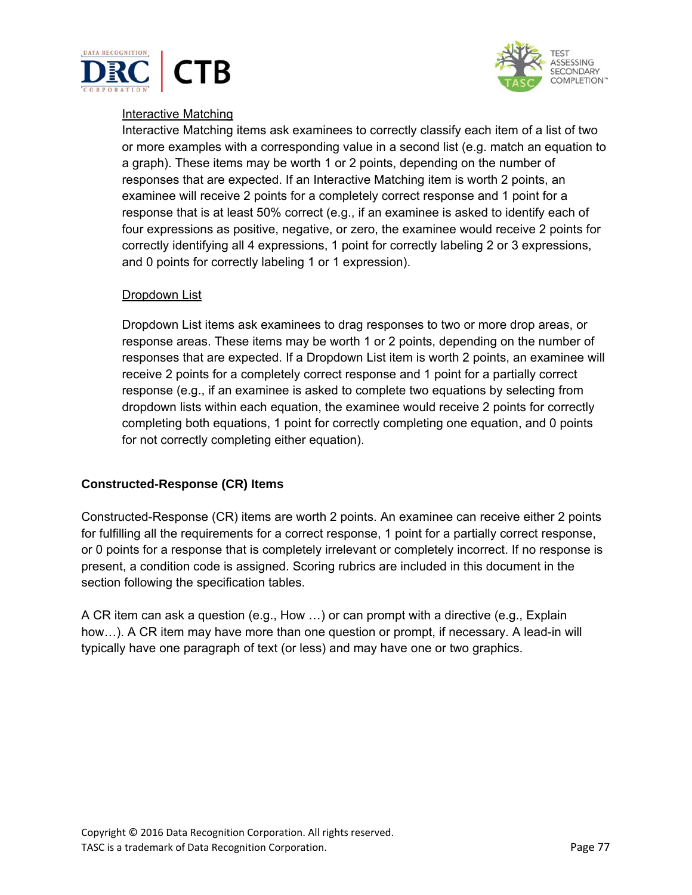



## Interactive Matching

Interactive Matching items ask examinees to correctly classify each item of a list of two or more examples with a corresponding value in a second list (e.g. match an equation to a graph). These items may be worth 1 or 2 points, depending on the number of responses that are expected. If an Interactive Matching item is worth 2 points, an examinee will receive 2 points for a completely correct response and 1 point for a response that is at least 50% correct (e.g., if an examinee is asked to identify each of four expressions as positive, negative, or zero, the examinee would receive 2 points for correctly identifying all 4 expressions, 1 point for correctly labeling 2 or 3 expressions, and 0 points for correctly labeling 1 or 1 expression).

#### Dropdown List

Dropdown List items ask examinees to drag responses to two or more drop areas, or response areas. These items may be worth 1 or 2 points, depending on the number of responses that are expected. If a Dropdown List item is worth 2 points, an examinee will receive 2 points for a completely correct response and 1 point for a partially correct response (e.g., if an examinee is asked to complete two equations by selecting from dropdown lists within each equation, the examinee would receive 2 points for correctly completing both equations, 1 point for correctly completing one equation, and 0 points for not correctly completing either equation).

## **Constructed-Response (CR) Items**

Constructed-Response (CR) items are worth 2 points. An examinee can receive either 2 points for fulfilling all the requirements for a correct response, 1 point for a partially correct response, or 0 points for a response that is completely irrelevant or completely incorrect. If no response is present, a condition code is assigned. Scoring rubrics are included in this document in the section following the specification tables.

A CR item can ask a question (e.g., How …) or can prompt with a directive (e.g., Explain how…). A CR item may have more than one question or prompt, if necessary. A lead-in will typically have one paragraph of text (or less) and may have one or two graphics.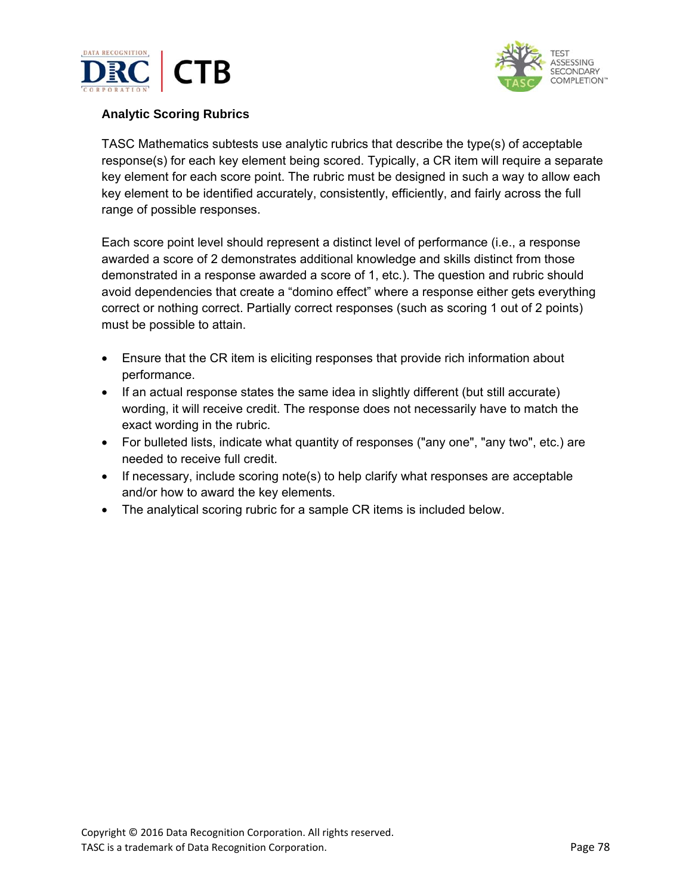



# **Analytic Scoring Rubrics**

TASC Mathematics subtests use analytic rubrics that describe the type(s) of acceptable response(s) for each key element being scored. Typically, a CR item will require a separate key element for each score point. The rubric must be designed in such a way to allow each key element to be identified accurately, consistently, efficiently, and fairly across the full range of possible responses.

Each score point level should represent a distinct level of performance (i.e., a response awarded a score of 2 demonstrates additional knowledge and skills distinct from those demonstrated in a response awarded a score of 1, etc.). The question and rubric should avoid dependencies that create a "domino effect" where a response either gets everything correct or nothing correct. Partially correct responses (such as scoring 1 out of 2 points) must be possible to attain.

- Ensure that the CR item is eliciting responses that provide rich information about performance.
- If an actual response states the same idea in slightly different (but still accurate) wording, it will receive credit. The response does not necessarily have to match the exact wording in the rubric.
- For bulleted lists, indicate what quantity of responses ("any one", "any two", etc.) are needed to receive full credit.
- If necessary, include scoring note(s) to help clarify what responses are acceptable and/or how to award the key elements.
- The analytical scoring rubric for a sample CR items is included below.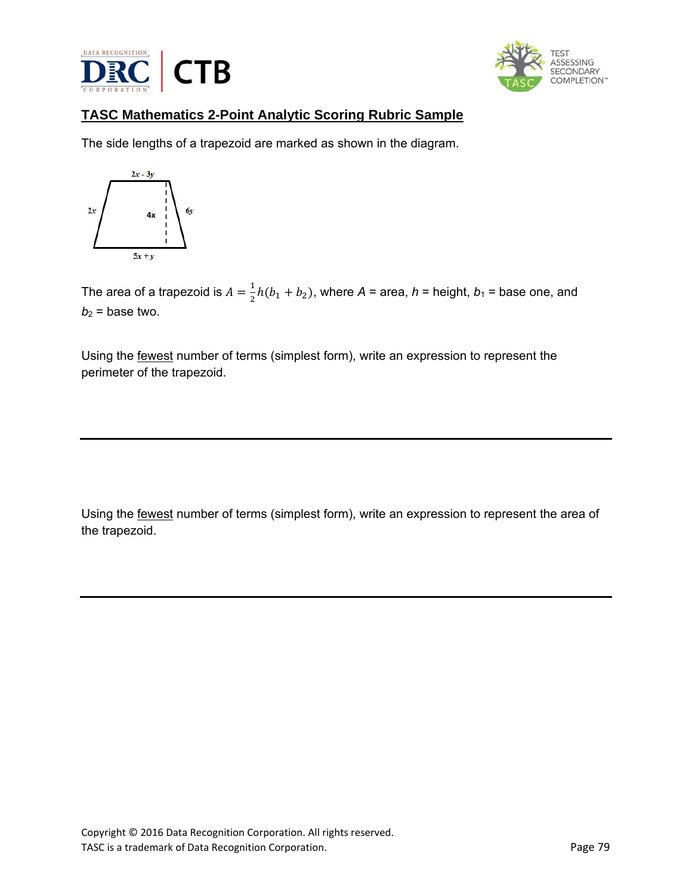



# **TASC Mathematics 2-Point Analytic Scoring Rubric Sample**

The side lengths of a trapezoid are marked as shown in the diagram.



The area of a trapezoid is  $A = \frac{1}{2}h(b_1 + b_2)$ , where  $A$  = area,  $h$  = height,  $b_1$  = base one, and  $b_2$  = base two.

Using the fewest number of terms (simplest form), write an expression to represent the perimeter of the trapezoid.

Using the fewest number of terms (simplest form), write an expression to represent the area of the trapezoid.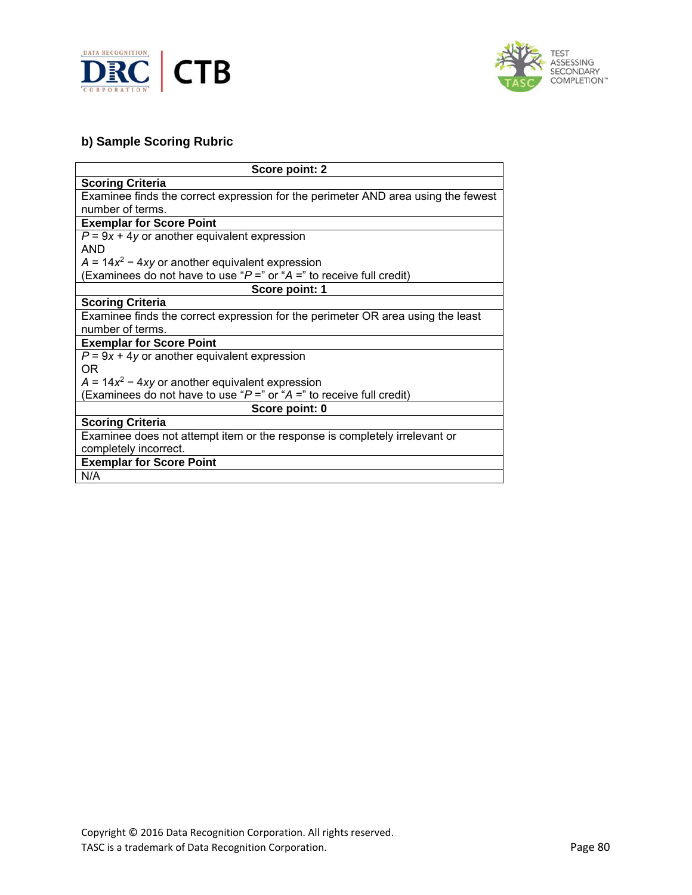



# **b) Sample Scoring Rubric**

| Score point: 2                                                                    |  |
|-----------------------------------------------------------------------------------|--|
| <b>Scoring Criteria</b>                                                           |  |
| Examinee finds the correct expression for the perimeter AND area using the fewest |  |
| number of terms.                                                                  |  |
| <b>Exemplar for Score Point</b>                                                   |  |
| $P = 9x + 4y$ or another equivalent expression                                    |  |
| <b>AND</b>                                                                        |  |
| $A = 14x^2 - 4xy$ or another equivalent expression                                |  |
| (Examinees do not have to use " $P =$ " or " $A =$ " to receive full credit)      |  |
| Score point: 1                                                                    |  |
| <b>Scoring Criteria</b>                                                           |  |
| Examinee finds the correct expression for the perimeter OR area using the least   |  |
| number of terms.                                                                  |  |
| <b>Exemplar for Score Point</b>                                                   |  |
| $P = 9x + 4y$ or another equivalent expression                                    |  |
| OR.                                                                               |  |
| $A = 14x^2 - 4xy$ or another equivalent expression                                |  |
| Examinees do not have to use " $P =$ " or " $A =$ " to receive full credit)       |  |
| Score point: 0                                                                    |  |
| <b>Scoring Criteria</b>                                                           |  |
| Examinee does not attempt item or the response is completely irrelevant or        |  |
| completely incorrect.                                                             |  |
| <b>Exemplar for Score Point</b>                                                   |  |
| N/A                                                                               |  |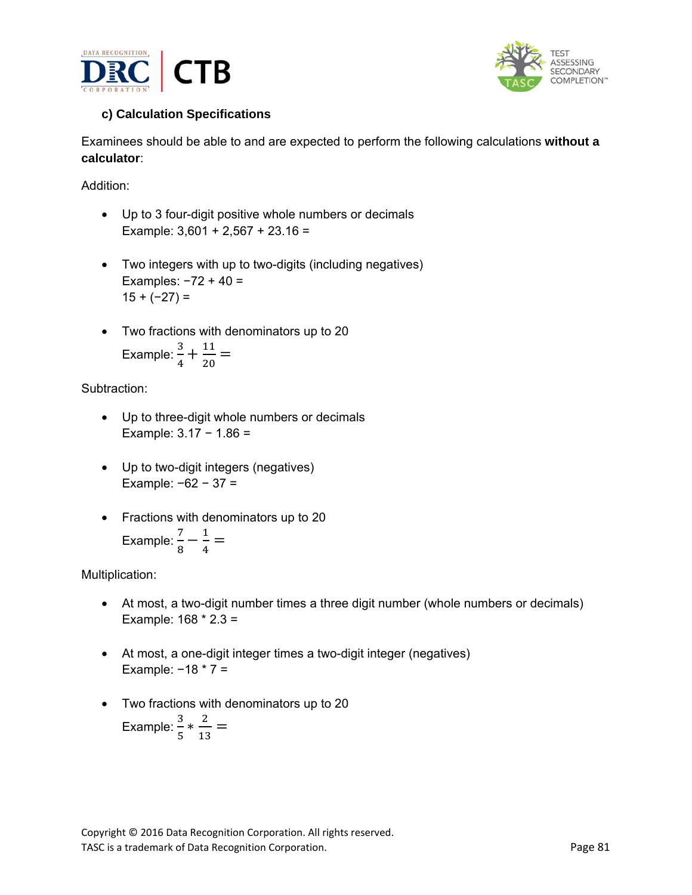



# **c) Calculation Specifications**

Examinees should be able to and are expected to perform the following calculations **without a calculator**:

Addition:

- Up to 3 four-digit positive whole numbers or decimals Example:  $3,601 + 2,567 + 23.16 =$
- Two integers with up to two-digits (including negatives) Examples: −72 + 40 =  $15 + (-27) =$
- Two fractions with denominators up to 20

Example: 
$$
\frac{3}{4} + \frac{11}{20} =
$$

# Subtraction:

- Up to three-digit whole numbers or decimals Example: 3.17 − 1.86 =
- Up to two-digit integers (negatives) Example: −62 − 37 =
- Fractions with denominators up to 20 Example:  $\frac{7}{8} - \frac{1}{4} =$

Multiplication:

- At most, a two-digit number times a three digit number (whole numbers or decimals) Example: 168 \* 2.3 =
- At most, a one-digit integer times a two-digit integer (negatives) Example:  $-18 * 7 =$
- Two fractions with denominators up to 20

Example: 
$$
\frac{3}{5} * \frac{2}{13} =
$$